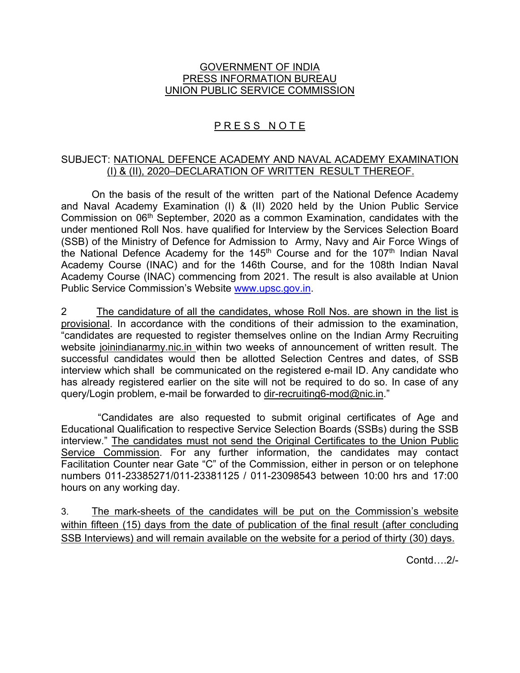## GOVERNMENT OF INDIA PRESS INFORMATION BUREAU UNION PUBLIC SERVICE COMMISSION

# PRESS NOTE

## SUBJECT: NATIONAL DEFENCE ACADEMY AND NAVAL ACADEMY EXAMINATION (I) & (II), 2020–DECLARATION OF WRITTEN RESULT THEREOF.

On the basis of the result of the written part of the National Defence Academy and Naval Academy Examination (I) & (II) 2020 held by the Union Public Service Commission on 06<sup>th</sup> September, 2020 as a common Examination, candidates with the under mentioned Roll Nos. have qualified for Interview by the Services Selection Board (SSB) of the Ministry of Defence for Admission to Army, Navy and Air Force Wings of the National Defence Academy for the 145<sup>th</sup> Course and for the 107<sup>th</sup> Indian Naval Academy Course (INAC) and for the 146th Course, and for the 108th Indian Naval Academy Course (INAC) commencing from 2021. The result is also available at Union Public Service Commission's Website www.upsc.gov.in.

2 The candidature of all the candidates, whose Roll Nos. are shown in the list is provisional. In accordance with the conditions of their admission to the examination, "candidates are requested to register themselves online on the Indian Army Recruiting website joinindianarmy.nic.in within two weeks of announcement of written result. The successful candidates would then be allotted Selection Centres and dates, of SSB interview which shall be communicated on the registered e-mail ID. Any candidate who has already registered earlier on the site will not be required to do so. In case of any query/Login problem, e-mail be forwarded to dir-recruiting6-mod@nic.in."

 "Candidates are also requested to submit original certificates of Age and Educational Qualification to respective Service Selection Boards (SSBs) during the SSB interview." The candidates must not send the Original Certificates to the Union Public Service Commission. For any further information, the candidates may contact Facilitation Counter near Gate "C" of the Commission, either in person or on telephone numbers 011-23385271/011-23381125 / 011-23098543 between 10:00 hrs and 17:00 hours on any working day.

3. The mark-sheets of the candidates will be put on the Commission's website within fifteen (15) days from the date of publication of the final result (after concluding SSB Interviews) and will remain available on the website for a period of thirty (30) days.

Contd….2/-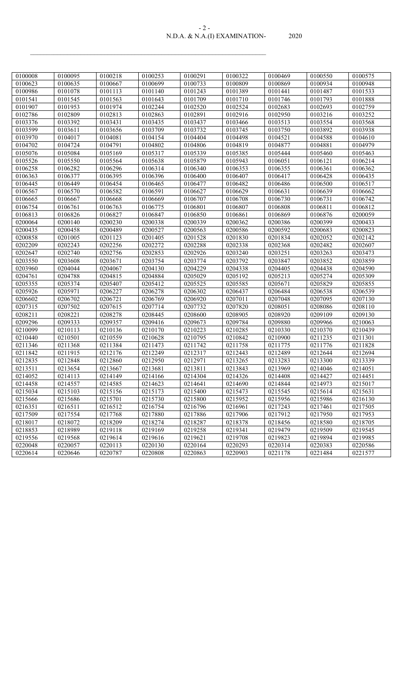| N.D.A. & N.A.(I) EXAMINATION- | 2020. |
|-------------------------------|-------|

| 0100008 | 0100095 | 0100218 | 0100253 | 0100291 | 0100322 | 0100469 | 0100550 | 0100575 |
|---------|---------|---------|---------|---------|---------|---------|---------|---------|
| 0100623 | 0100635 | 0100667 | 0100699 | 0100733 | 0100809 | 0100869 | 0100934 | 0100948 |
| 0100986 | 0101078 | 0101113 | 0101140 | 0101243 | 0101389 | 0101441 | 0101487 | 0101533 |
| 0101541 | 0101545 | 0101563 | 0101643 | 0101709 | 0101710 | 0101746 | 0101793 | 0101888 |
| 0101907 | 0101953 | 0101974 | 0102244 | 0102520 | 0102524 | 0102683 | 0102693 | 0102759 |
| 0102786 | 0102809 | 0102813 | 0102863 | 0102891 | 0102916 | 0102950 | 0103216 | 0103252 |
| 0103376 | 0103392 | 0103431 | 0103435 | 0103437 | 0103466 | 0103513 | 0103554 | 0103568 |
| 0103599 | 0103611 | 0103656 | 0103709 | 0103732 | 0103745 | 0103750 | 0103892 | 0103938 |
| 0103970 | 0104017 | 0104081 | 0104154 | 0104404 | 0104498 | 0104521 | 0104588 | 0104610 |
| 0104702 | 0104724 | 0104791 | 0104802 | 0104806 | 0104819 | 0104877 | 0104881 | 0104979 |
| 0105076 | 0105084 | 0105169 | 0105317 | 0105339 | 0105385 | 0105444 | 0105460 | 0105463 |
| 0105526 | 0105550 | 0105564 | 0105638 | 0105879 | 0105943 | 0106051 | 0106121 | 0106214 |
| 0106258 | 0106282 | 0106296 | 0106314 | 0106340 | 0106353 | 0106355 | 0106361 | 0106362 |
| 0106363 | 0106377 | 0106395 | 0106396 | 0106400 | 0106407 | 0106417 | 0106428 | 0106435 |
| 0106445 | 0106449 | 0106454 | 0106465 | 0106477 | 0106482 | 0106486 | 0106500 | 0106517 |
| 0106567 | 0106570 | 0106582 | 0106591 | 0106627 | 0106629 | 0106631 | 0106639 | 0106662 |
| 0106665 | 0106667 | 0106668 | 0106669 | 0106707 | 0106708 | 0106730 | 0106731 | 0106742 |
| 0106754 | 0106761 | 0106763 | 0106775 | 0106801 | 0106807 | 0106808 | 0106811 | 0106812 |
| 0106813 | 0106826 | 0106827 | 0106847 | 0106850 | 0106861 | 0106869 | 0106876 | 0200059 |
| 0200064 | 0200140 | 0200230 | 0200338 | 0200339 | 0200362 | 0200386 | 0200399 | 0200433 |
| 0200435 | 0200458 | 0200489 | 0200527 | 0200563 | 0200586 | 0200592 | 0200683 | 0200823 |
| 0200858 | 0201005 | 0201123 | 0201405 | 0201528 | 0201830 | 0201834 | 0202052 | 0202142 |
| 0202209 | 0202243 | 0202256 | 0202272 | 0202288 | 0202338 | 0202368 | 0202482 | 0202607 |
| 0202647 | 0202740 | 0202756 | 0202853 | 0202926 | 0203240 | 0203251 | 0203263 | 0203473 |
| 0203550 | 0203608 | 0203671 | 0203754 | 0203774 | 0203792 | 0203847 | 0203852 | 0203859 |
| 0203960 | 0204044 | 0204067 | 0204130 | 0204229 | 0204338 | 0204405 | 0204438 | 0204590 |
| 0204761 | 0204788 | 0204815 | 0204884 | 0205029 | 0205192 | 0205213 | 0205274 | 0205309 |
| 0205355 | 0205374 | 0205407 | 0205412 | 0205525 | 0205585 | 0205671 | 0205829 | 0205855 |
| 0205926 | 0205971 | 0206227 | 0206278 | 0206302 | 0206437 | 0206484 | 0206538 | 0206539 |
| 0206602 | 0206702 | 0206721 | 0206769 | 0206920 | 0207011 | 0207048 | 0207095 | 0207130 |
| 0207315 | 0207502 | 0207615 | 0207714 | 0207732 | 0207820 | 0208051 | 0208086 | 0208110 |
| 0208211 | 0208221 | 0208278 | 0208445 | 0208600 | 0208905 | 0208920 | 0209109 | 0209130 |
| 0209296 | 0209333 | 0209357 | 0209416 | 0209673 | 0209784 | 0209880 | 0209966 | 0210063 |
| 0210099 | 0210113 | 0210136 | 0210170 | 0210223 | 0210285 | 0210330 | 0210370 | 0210439 |
| 0210440 | 0210501 | 0210559 | 0210628 | 0210795 | 0210842 | 0210900 | 0211235 | 0211301 |
| 0211346 | 0211368 | 0211384 | 0211473 | 0211742 | 0211758 | 0211775 | 0211776 | 0211828 |
| 0211842 | 0211915 | 0212176 | 0212249 | 0212317 | 0212443 | 0212489 | 0212644 | 0212694 |
| 0212835 | 0212848 | 0212860 | 0212950 | 0212971 | 0213265 | 0213283 | 0213300 | 0213339 |
| 0213511 | 0213654 | 0213667 | 0213681 | 0213811 | 0213843 | 0213969 | 0214046 | 0214051 |
| 0214052 | 0214113 | 0214149 | 0214166 | 0214304 | 0214326 | 0214408 | 0214427 | 0214451 |
| 0214458 | 0214557 | 0214585 | 0214623 | 0214641 | 0214690 | 0214844 | 0214973 | 0215017 |
| 0215034 | 0215103 | 0215156 | 0215173 | 0215400 | 0215473 | 0215545 | 0215614 | 0215631 |
| 0215666 | 0215686 | 0215701 | 0215730 | 0215800 | 0215952 | 0215956 | 0215986 | 0216130 |
| 0216351 | 0216511 | 0216512 | 0216754 | 0216796 | 0216961 | 0217243 | 0217461 | 0217505 |
| 0217509 | 0217554 | 0217768 | 0217880 | 0217886 | 0217906 | 0217912 | 0217950 | 0217953 |
| 0218017 | 0218072 | 0218209 | 0218274 | 0218287 | 0218378 | 0218456 | 0218580 | 0218705 |
| 0218853 | 0218989 | 0219118 | 0219169 | 0219258 | 0219341 | 0219479 | 0219509 | 0219545 |
| 0219556 | 0219568 | 0219614 | 0219616 | 0219621 | 0219708 | 0219823 | 0219894 | 0219985 |
| 0220048 | 0220057 | 0220113 | 0220130 | 0220164 | 0220293 | 0220314 | 0220383 | 0220586 |
| 0220614 | 0220646 | 0220787 | 0220808 | 0220863 | 0220903 | 0221178 | 0221484 | 0221577 |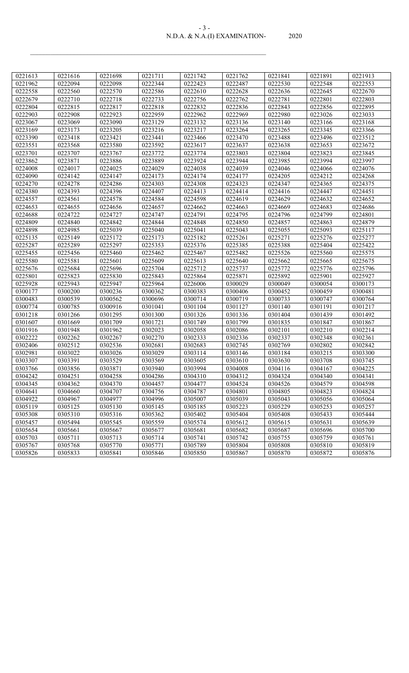#### N.D.A. & N.A.(I) EXAMINATION- 2020 - 3 -

| 0221613              | 0221616 | 0221698 | 0221711 | 0221742 | 0221762              | 0221841 | 0221891 | 0221913 |
|----------------------|---------|---------|---------|---------|----------------------|---------|---------|---------|
| 0221962              | 0222094 | 0222098 | 0222344 | 0222423 | 0222487              | 0222530 | 0222548 | 0222553 |
| 0222558              | 0222560 | 0222570 | 0222586 | 0222610 | 0222628              | 0222636 | 0222645 | 0222670 |
| 0222679              | 0222710 | 0222718 | 0222733 | 0222756 | 0222762              | 0222781 | 0222801 | 0222803 |
| 0222804              | 0222815 | 0222817 | 0222818 | 0222832 | 0222836              | 0222843 | 0222856 | 0222895 |
| 0222903              | 0222908 | 0222923 | 0222959 | 0222962 | 0222969              | 0222980 | 0223026 | 0223033 |
| 0223067              | 0223069 | 0223090 | 0223129 | 0223132 | 0223136              | 0223140 | 0223166 | 0223168 |
| 0223169              | 0223173 | 0223205 | 0223216 | 0223217 | 0223264              | 0223265 | 0223345 | 0223366 |
| 0223390              | 0223418 | 0223421 | 0223441 | 0223466 | 0223470              | 0223488 | 0223496 | 0223512 |
| 0223551              | 0223568 | 0223580 | 0223592 | 0223617 | 0223637              | 0223638 | 0223653 | 0223672 |
| 0223701              | 0223707 | 0223767 | 0223772 | 0223774 | 0223803              | 0223804 | 0223823 | 0223845 |
| 0223862              | 0223871 | 0223886 | 0223889 | 0223924 | 0223944              | 0223985 | 0223994 | 0223997 |
| 0224008              | 0224017 | 0224025 | 0224029 | 0224038 | 0224039              | 0224046 | 0224066 | 0224076 |
| 0224090              | 0224142 | 0224147 | 0224173 | 0224174 | 0224177              | 0224205 | 0224212 | 0224268 |
| 0224270              | 0224278 | 0224286 | 0224303 | 0224308 | 0224323              | 0224347 | 0224365 | 0224375 |
| 0224380              | 0224393 | 0224396 | 0224407 | 0224413 | 0224414              | 0224416 | 0224447 | 0224451 |
| 0224557              | 0224561 | 0224578 | 0224584 | 0224598 | 0224619              | 0224629 | 0224632 | 0224652 |
| 0224653              | 0224655 | 0224656 | 0224657 | 0224662 | 0224663              | 0224669 | 0224683 | 0224686 |
| 0224688              | 0224722 | 0224727 | 0224747 | 0224791 | 0224795              | 0224796 | 0224799 | 0224801 |
| 0224809              | 0224840 | 0224842 | 0224844 | 0224848 | 0224850              | 0224857 | 0224863 | 0224879 |
| 0224898              | 0224985 | 0225039 | 0225040 | 0225041 | $\overline{02}25043$ | 0225055 | 0225093 | 0225117 |
| $\overline{0225135}$ | 0225149 | 0225172 | 0225173 | 0225182 | 0225261              | 0225271 | 0225276 | 0225277 |
| 0225287              | 0225289 | 0225297 | 0225353 | 0225376 | 0225385              | 0225388 | 0225404 | 0225422 |
| 0225455              | 0225456 | 0225460 | 0225462 | 0225467 | 0225482              | 0225526 | 0225560 | 0225575 |
| 0225580              | 0225581 | 0225601 | 0225609 | 0225613 | 0225640              | 0225662 | 0225665 | 0225675 |
| 0225676              | 0225684 | 0225696 | 0225704 | 0225712 | 0225737              | 0225772 | 0225776 | 0225796 |
| 0225801              | 0225823 | 0225830 | 0225843 | 0225864 | 0225871              | 0225892 | 0225901 | 0225927 |
| 0225928              | 0225943 | 0225947 | 0225964 | 0226006 | 0300029              | 0300049 | 0300054 | 0300173 |
| 0300177              | 0300200 | 0300236 | 0300362 | 0300383 | 0300406              | 0300452 | 0300459 | 0300481 |
| 0300483              | 0300539 | 0300562 | 0300696 | 0300714 | 0300719              | 0300733 | 0300747 | 0300764 |
| 0300774              | 0300785 | 0300916 | 0301041 | 0301104 | 0301127              | 0301140 | 0301191 | 0301217 |
| 0301218              | 0301266 | 0301295 | 0301300 | 0301326 | 0301336              | 0301404 | 0301439 | 0301492 |
| 0301607              | 0301669 | 0301709 | 0301721 | 0301749 | 0301799              | 0301835 | 0301847 | 0301867 |
| 0301916              | 0301948 | 0301962 | 0302023 | 0302058 | 0302086              | 0302101 | 0302210 | 0302214 |
| 0302222              | 0302262 | 0302267 | 0302270 | 0302333 | 0302336              | 0302337 | 0302348 | 0302361 |
| 0302406              | 0302512 | 0302536 | 0302681 | 0302683 | 0302745              | 0302769 | 0302802 | 0302842 |
| 0302981              | 0303022 | 0303026 | 0303029 | 0303114 | 0303146              | 0303184 | 0303215 | 0303300 |
| 0303307              | 0303391 | 0303529 | 0303569 | 0303605 | 0303610              | 0303630 | 0303708 | 0303745 |
| 0303766              | 0303856 | 0303871 | 0303940 | 0303994 | 0304008              | 0304116 | 0304167 | 0304225 |
| 0304242              | 0304251 | 0304258 | 0304286 | 0304310 | 0304312              | 0304324 | 0304340 | 0304341 |
| 0304345              | 0304362 | 0304370 | 0304457 | 0304477 | 0304524              | 0304526 | 0304579 | 0304598 |
| 0304641              | 0304660 | 0304707 | 0304756 | 0304787 | 0304801              | 0304805 | 0304823 | 0304824 |
| 0304922              | 0304967 | 0304977 | 0304996 | 0305007 | 0305039              | 0305043 | 0305056 | 0305064 |
| 0305119              | 0305125 | 0305130 | 0305145 | 0305185 | 0305223              | 0305229 | 0305253 | 0305257 |
| 0305308              | 0305310 | 0305316 | 0305362 | 0305402 | 0305404              | 0305408 | 0305433 | 0305444 |
| 0305457              | 0305494 | 0305545 | 0305559 | 0305574 | 0305612              | 0305615 | 0305631 | 0305639 |
| 0305654              | 0305661 | 0305667 | 0305677 | 0305681 | 0305682              | 0305687 | 0305696 | 0305700 |
| 0305703              | 0305711 | 0305713 | 0305714 | 0305741 | 0305742              | 0305755 | 0305759 | 0305761 |
| 0305767              | 0305768 | 0305770 | 0305771 | 0305789 | 0305804              | 0305808 | 0305810 | 0305819 |
| 0305826              | 0305833 | 0305841 | 0305846 | 0305850 | 0305867              | 0305870 | 0305872 | 0305876 |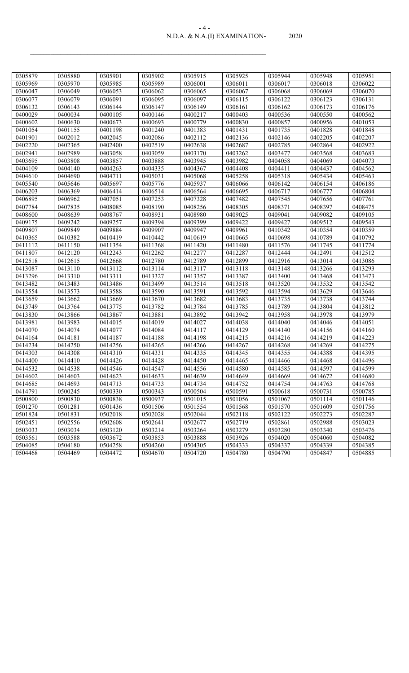#### N.D.A. & N.A.(I) EXAMINATION- 2020 - 4 -

| 0305879 | 0305880 | 0305901 | 0305902 | 0305915 | 0305925 | 0305944 | 0305948 | 0305951 |
|---------|---------|---------|---------|---------|---------|---------|---------|---------|
| 0305969 | 0305970 | 0305985 | 0305989 | 0306001 | 0306011 | 0306017 | 0306018 | 0306022 |
| 0306047 | 0306049 | 0306053 | 0306062 | 0306065 | 0306067 | 0306068 | 0306069 | 0306070 |
| 0306077 | 0306079 | 0306091 | 0306095 | 0306097 | 0306115 | 0306122 | 0306123 | 0306131 |
| 0306132 | 0306143 | 0306144 | 0306147 | 0306149 | 0306161 | 0306162 | 0306173 | 0306176 |
| 0400029 | 0400034 | 0400105 | 0400146 | 0400217 | 0400403 | 0400536 | 0400550 | 0400562 |
| 0400602 | 0400630 | 0400673 | 0400693 | 0400779 | 0400830 | 0400857 | 0400956 | 0401053 |
| 0401054 | 0401155 | 0401198 | 0401240 | 0401383 | 0401431 | 0401735 | 0401828 | 0401848 |
| 0401901 | 0402012 | 0402045 | 0402086 | 0402112 | 0402136 | 0402146 | 0402205 | 0402207 |
| 0402220 | 0402365 | 0402400 | 0402519 | 0402638 | 0402687 | 0402785 | 0402864 | 0402922 |
| 0402941 | 0402989 | 0403058 | 0403059 | 0403170 | 0403262 | 0403477 | 0403568 | 0403683 |
| 0403695 | 0403808 | 0403857 | 0403888 | 0403945 | 0403982 | 0404058 | 0404069 | 0404073 |
| 0404109 | 0404140 | 0404263 | 0404335 | 0404367 | 0404408 | 0404411 | 0404437 | 0404562 |
| 0404610 | 0404690 | 0404711 | 0405031 | 0405068 | 0405258 | 0405318 | 0405434 | 0405463 |
| 0405540 | 0405646 | 0405697 | 0405776 | 0405937 | 0406066 | 0406142 | 0406154 | 0406186 |
| 0406203 | 0406369 | 0406414 | 0406514 | 0406564 | 0406695 | 0406717 | 0406777 | 0406804 |
| 0406895 | 0406962 | 0407051 | 0407253 | 0407328 | 0407482 | 0407545 | 0407656 | 0407761 |
| 0407784 | 0407835 | 0408085 | 0408190 | 0408256 | 0408305 | 0408371 | 0408397 | 0408475 |
| 0408600 | 0408639 | 0408767 | 0408931 | 0408980 | 0409025 | 0409041 | 0409082 | 0409105 |
| 0409175 | 0409242 | 0409257 | 0409394 | 0409399 | 0409422 | 0409427 | 0409512 | 0409543 |
| 0409807 | 0409849 | 0409884 | 0409907 | 0409947 | 0409961 | 0410342 | 0410354 | 0410359 |
| 0410365 | 0410382 | 0410419 | 0410442 | 0410619 | 0410665 | 0410698 | 0410789 | 0410792 |
| 0411112 | 0411150 | 0411354 | 0411368 | 0411420 | 0411480 | 0411576 | 0411745 | 0411774 |
| 0411807 | 0412120 | 0412243 | 0412262 | 0412277 | 0412287 | 0412444 | 0412491 | 0412512 |
| 0412518 | 0412615 | 0412668 | 0412780 | 0412789 | 0412899 | 0412916 | 0413014 | 0413086 |
| 0413087 | 0413110 | 0413112 | 0413114 | 0413117 | 0413118 | 0413148 | 0413266 | 0413293 |
| 0413296 | 0413310 | 0413311 | 0413327 | 0413357 | 0413387 | 0413400 | 0413468 | 0413473 |
| 0413482 | 0413483 | 0413486 | 0413499 | 0413514 | 0413518 | 0413520 | 0413532 | 0413542 |
| 0413554 | 0413573 | 0413588 | 0413590 | 0413591 | 0413592 | 0413594 | 0413629 | 0413646 |
| 0413659 | 0413662 | 0413669 | 0413670 | 0413682 | 0413683 | 0413735 | 0413738 | 0413744 |
| 0413749 | 0413764 | 0413775 | 0413782 | 0413784 | 0413785 | 0413789 | 0413804 | 0413812 |
| 0413830 | 0413866 | 0413867 | 0413881 | 0413892 | 0413942 | 0413958 | 0413978 | 0413979 |
| 0413981 | 0413983 | 0414015 | 0414019 | 0414027 | 0414038 | 0414040 | 0414046 | 0414051 |
| 0414070 | 0414074 | 0414077 | 0414084 | 0414117 | 0414129 | 0414140 | 0414156 | 0414160 |
| 0414164 | 0414181 | 0414187 | 0414188 | 0414198 | 0414215 | 0414216 | 0414219 | 0414223 |
| 0414234 | 0414250 | 0414256 | 0414265 | 0414266 | 0414267 | 0414268 | 0414269 | 0414275 |
| 0414303 | 0414308 | 0414310 | 0414331 | 0414335 | 0414345 | 0414355 | 0414388 | 0414395 |
| 0414400 | 0414410 | 0414426 | 0414428 | 0414450 | 0414465 | 0414466 | 0414468 | 0414496 |
| 0414532 | 0414538 | 0414546 | 0414547 | 0414556 | 0414580 | 0414585 | 0414597 | 0414599 |
| 0414602 | 0414603 | 0414623 | 0414633 | 0414639 | 0414649 | 0414669 | 0414672 | 0414680 |
| 0414685 | 0414693 | 0414713 | 0414733 | 0414734 | 0414752 | 0414754 | 0414763 | 0414768 |
| 0414791 | 0500245 | 0500330 | 0500343 | 0500504 | 0500591 | 0500618 | 0500731 | 0500785 |
| 0500800 | 0500830 | 0500838 | 0500937 | 0501015 | 0501056 | 0501067 | 0501114 | 0501146 |
| 0501270 | 0501281 | 0501436 | 0501506 | 0501554 | 0501568 | 0501570 | 0501609 | 0501756 |
| 0501824 | 0501831 | 0502018 | 0502028 | 0502044 | 0502118 | 0502122 | 0502273 | 0502287 |
| 0502451 | 0502556 | 0502608 | 0502641 | 0502677 | 0502719 | 0502861 | 0502988 | 0503023 |
| 0503033 | 0503034 | 0503120 | 0503214 | 0503264 | 0503279 | 0503280 | 0503340 | 0503476 |
| 0503561 | 0503588 | 0503672 | 0503853 | 0503888 | 0503926 | 0504020 | 0504060 | 0504082 |
| 0504085 | 0504180 | 0504258 | 0504260 | 0504305 | 0504333 | 0504337 | 0504339 | 0504385 |
| 0504468 | 0504469 | 0504472 | 0504670 | 0504720 | 0504780 | 0504790 | 0504847 | 0504885 |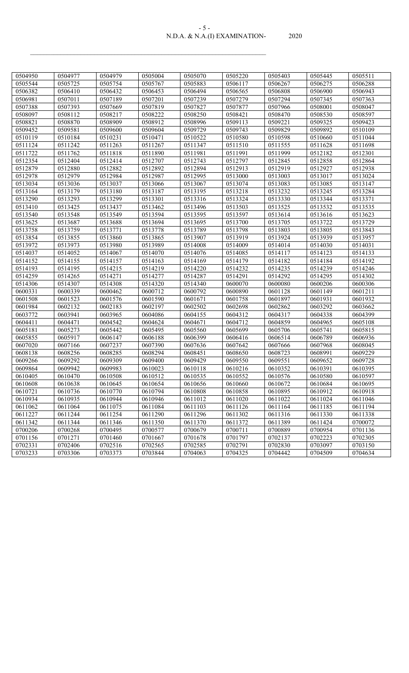#### N.D.A. & N.A.(I) EXAMINATION- 2020 - 5 -

| 0504950 | 0504977 | 0504979 | 0505004 | 0505070 | 0505220 | 0505403 | 0505445 | 0505511 |
|---------|---------|---------|---------|---------|---------|---------|---------|---------|
| 0505544 | 0505725 | 0505754 | 0505767 | 0505883 | 0506117 | 0506267 | 0506275 | 0506288 |
| 0506382 | 0506410 | 0506432 | 0506453 | 0506494 | 0506565 | 0506808 | 0506900 | 0506943 |
| 0506981 | 0507011 | 0507189 | 0507201 | 0507239 | 0507279 | 0507294 | 0507345 | 0507363 |
| 0507388 | 0507393 | 0507669 | 0507819 | 0507827 | 0507877 | 0507966 | 0508001 | 0508047 |
| 0508097 | 0508112 | 0508217 | 0508222 | 0508250 | 0508421 | 0508470 | 0508530 | 0508597 |
| 0508821 | 0508870 | 0508909 | 0508912 | 0508996 | 0509113 | 0509221 | 0509325 | 0509423 |
| 0509452 | 0509581 | 0509600 | 0509604 | 0509729 | 0509743 | 0509829 | 0509892 | 0510109 |
| 0510119 | 0510184 | 0510231 | 0510471 | 0510522 | 0510580 | 0510598 | 0510660 | 0511044 |
| 0511124 | 0511242 | 0511263 | 0511267 | 0511347 | 0511510 | 0511555 | 0511628 | 0511698 |
| 0511722 | 0511762 | 0511818 | 0511890 | 0511981 | 0511991 | 0511999 | 0512182 | 0512301 |
| 0512354 | 0512404 | 0512414 | 0512707 | 0512743 | 0512797 | 0512845 | 0512858 | 0512864 |
| 0512879 | 0512880 | 0512882 | 0512892 | 0512894 | 0512913 | 0512919 | 0512927 | 0512938 |
| 0512978 | 0512979 | 0512984 | 0512987 | 0512995 | 0513000 | 0513003 | 0513017 | 0513024 |
| 0513034 | 0513036 | 0513037 | 0513066 | 0513067 | 0513074 | 0513083 | 0513085 | 0513147 |
| 0513164 | 0513179 | 0513180 | 0513187 | 0513195 | 0513218 | 0513232 | 0513245 | 0513284 |
| 0513290 | 0513293 | 0513299 | 0513301 | 0513316 | 0513324 | 0513330 | 0513344 | 0513371 |
| 0513410 | 0513425 | 0513437 | 0513462 | 0513496 | 0513503 | 0513525 | 0513532 | 0513535 |
| 0513540 | 0513548 | 0513549 | 0513594 | 0513595 | 0513597 | 0513614 | 0513616 | 0513623 |
| 0513625 | 0513687 | 0513688 | 0513694 | 0513695 | 0513700 | 0513705 | 0513722 | 0513729 |
| 0513758 | 0513759 | 0513771 | 0513778 | 0513789 | 0513798 | 0513803 | 0513805 | 0513843 |
| 0513854 | 0513855 | 0513860 | 0513865 | 0513907 | 0513919 | 0513924 | 0513939 | 0513957 |
| 0513972 | 0513973 | 0513980 | 0513989 | 0514008 | 0514009 | 0514014 | 0514030 | 0514031 |
| 0514037 | 0514052 | 0514067 | 0514070 | 0514076 | 0514085 | 0514117 | 0514123 | 0514133 |
| 0514152 | 0514155 | 0514157 | 0514163 | 0514169 | 0514179 | 0514182 | 0514184 | 0514192 |
| 0514193 | 0514195 | 0514215 | 0514219 | 0514220 | 0514232 | 0514235 | 0514239 | 0514246 |
| 0514259 | 0514265 | 0514271 | 0514277 | 0514287 | 0514291 | 0514292 | 0514295 | 0514302 |
| 0514306 | 0514307 | 0514308 | 0514320 | 0514340 | 0600070 | 0600080 | 0600206 | 0600306 |
| 0600331 | 0600339 | 0600462 | 0600712 | 0600792 | 0600890 | 0601128 | 0601149 | 0601211 |
| 0601508 | 0601523 | 0601576 | 0601590 | 0601671 | 0601758 | 0601897 | 0601931 | 0601932 |
| 0601984 | 0602132 | 0602183 | 0602197 | 0602502 | 0602698 | 0602862 | 0603292 | 0603662 |
| 0603772 | 0603941 | 0603965 | 0604086 | 0604155 | 0604312 | 0604317 | 0604338 | 0604399 |
| 0604411 | 0604471 | 0604542 | 0604624 | 0604671 | 0604712 | 0604859 | 0604965 | 0605108 |
| 0605181 | 0605273 | 0605442 | 0605495 | 0605560 | 0605699 | 0605706 | 0605741 | 0605815 |
| 0605855 | 0605917 | 0606147 | 0606188 | 0606399 | 0606416 | 0606514 | 0606789 | 0606936 |
| 0607020 | 0607166 | 0607237 | 0607390 | 0607636 | 0607642 | 0607666 | 0607968 | 0608045 |
| 0608138 | 0608256 | 0608285 | 0608294 | 0608451 | 0608650 | 0608723 | 0608991 | 0609229 |
| 0609266 | 0609292 | 0609309 | 0609400 | 0609429 | 0609550 | 0609551 | 0609652 | 0609728 |
| 0609864 | 0609942 | 0609983 | 0610023 | 0610118 | 0610216 | 0610352 | 0610391 | 0610395 |
| 0610405 | 0610470 | 0610508 | 0610512 | 0610535 | 0610552 | 0610576 | 0610580 | 0610597 |
| 0610608 | 0610638 | 0610645 | 0610654 | 0610656 | 0610660 | 0610672 | 0610684 | 0610695 |
| 0610721 | 0610736 | 0610770 | 0610794 | 0610808 | 0610858 | 0610895 | 0610912 | 0610918 |
| 0610934 | 0610935 | 0610944 | 0610946 | 0611012 | 0611020 | 0611022 | 0611024 | 0611046 |
| 0611062 | 0611064 | 0611075 | 0611084 | 0611103 | 0611126 | 0611164 | 0611185 | 0611194 |
| 0611227 | 0611244 | 0611254 | 0611290 | 0611296 | 0611302 | 0611316 | 0611330 | 0611338 |
| 0611342 | 0611344 | 0611346 | 0611350 | 0611370 | 0611372 | 0611389 | 0611424 | 0700072 |
| 0700206 | 0700268 | 0700495 | 0700577 | 0700679 | 0700711 | 0700889 | 0700954 | 0701136 |
| 0701156 | 0701271 | 0701460 | 0701667 | 0701678 | 0701797 | 0702137 | 0702223 | 0702305 |
| 0702331 | 0702406 | 0702516 | 0702565 | 0702585 | 0702791 | 0702830 | 0703097 | 0703150 |
| 0703233 | 0703306 | 0703373 | 0703844 | 0704063 | 0704325 | 0704442 | 0704509 | 0704634 |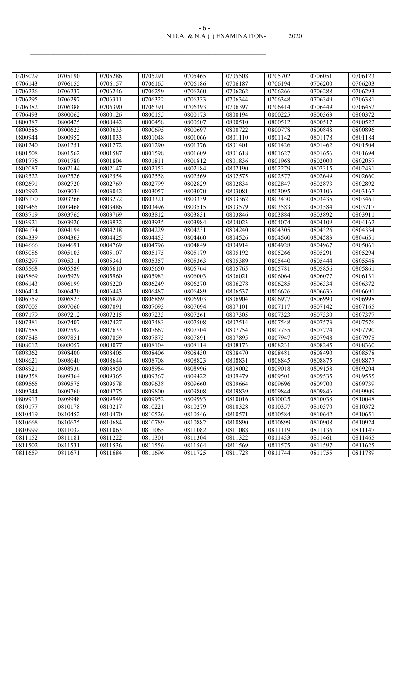#### N.D.A. & N.A.(I) EXAMINATION- 2020 - 6 -

| 0705029 | 0705190 | 0705286 | 0705291 | 0705465 | 0705508 | 0705702 | 0706051 | 0706123 |
|---------|---------|---------|---------|---------|---------|---------|---------|---------|
| 0706143 | 0706155 | 0706157 | 0706165 | 0706186 | 0706187 | 0706194 | 0706200 | 0706203 |
| 0706226 | 0706237 | 0706246 | 0706259 | 0706260 | 0706262 | 0706266 | 0706288 | 0706293 |
| 0706295 | 0706297 | 0706311 | 0706322 | 0706333 | 0706344 | 0706348 | 0706349 | 0706381 |
| 0706382 | 0706388 | 0706390 | 0706391 | 0706393 | 0706397 | 0706414 | 0706449 | 0706452 |
| 0706493 | 0800062 | 0800126 | 0800155 | 0800173 | 0800194 | 0800225 | 0800363 | 0800372 |
| 0800387 | 0800425 | 0800442 | 0800458 | 0800507 | 0800510 | 0800512 | 0800517 | 0800522 |
| 0800586 | 0800623 | 0800633 | 0800695 | 0800697 | 0800722 | 0800778 | 0800848 | 0800896 |
| 0800944 | 0800952 | 0801033 | 0801048 | 0801066 | 0801110 | 0801142 | 0801178 | 0801184 |
| 0801240 | 0801251 | 0801272 | 0801290 | 0801376 | 0801401 | 0801426 | 0801462 | 0801504 |
| 0801508 | 0801562 | 0801587 | 0801598 | 0801609 | 0801618 | 0801627 | 0801656 | 0801694 |
| 0801776 | 0801780 | 0801804 | 0801811 | 0801812 | 0801836 | 0801968 | 0802000 | 0802057 |
| 0802087 | 0802144 | 0802147 | 0802153 | 0802184 | 0802190 | 0802279 | 0802315 | 0802431 |
| 0802522 | 0802526 | 0802554 | 0802558 | 0802569 | 0802575 | 0802577 | 0802649 | 0802660 |
| 0802691 | 0802720 | 0802769 | 0802799 | 0802829 | 0802834 | 0802847 | 0802873 | 0802892 |
| 0802992 | 0803034 | 0803042 | 0803057 | 0803070 | 0803081 | 0803095 | 0803106 | 0803167 |
| 0803170 | 0803266 | 0803272 | 0803321 | 0803339 | 0803362 | 0803430 | 0803435 | 0803461 |
| 0803465 | 0803468 | 0803486 | 0803496 | 0803515 | 0803579 | 0803583 | 0803584 | 0803717 |
| 0803719 | 0803765 | 0803769 | 0803812 | 0803831 | 0803846 | 0803884 | 0803892 | 0803911 |
| 0803921 | 0803926 | 0803932 | 0803935 | 0803984 | 0804023 | 0804074 | 0804109 | 0804162 |
| 0804174 | 0804194 | 0804218 | 0804229 | 0804231 | 0804240 | 0804305 | 0804326 | 0804334 |
| 0804339 | 0804363 | 0804425 | 0804453 | 0804460 | 0804526 | 0804560 | 0804583 | 0804651 |
| 0804666 | 0804691 | 0804769 | 0804796 | 0804849 | 0804914 | 0804928 | 0804967 | 0805061 |
| 0805086 | 0805103 | 0805107 | 0805175 | 0805179 | 0805192 | 0805266 | 0805291 | 0805294 |
| 0805297 | 0805311 | 0805341 | 0805357 | 0805363 | 0805389 | 0805440 | 0805444 | 0805548 |
| 0805568 | 0805589 | 0805610 | 0805650 | 0805764 | 0805765 | 0805781 | 0805856 | 0805861 |
| 0805869 | 0805929 | 0805960 | 0805983 | 0806003 | 0806021 | 0806064 | 0806077 | 0806131 |
| 0806143 | 0806199 | 0806220 | 0806249 | 0806270 | 0806278 | 0806285 | 0806334 | 0806372 |
| 0806414 | 0806420 | 0806443 | 0806487 | 0806489 | 0806537 | 0806626 | 0806636 | 0806691 |
| 0806759 | 0806823 | 0806829 | 0806869 | 0806903 | 0806904 | 0806977 | 0806990 | 0806998 |
| 0807005 | 0807060 | 0807091 | 0807093 | 0807094 | 0807101 | 0807117 | 0807142 | 0807165 |
| 0807179 | 0807212 | 0807215 | 0807233 | 0807261 | 0807305 | 0807323 | 0807330 | 0807377 |
| 0807381 | 0807407 | 0807427 | 0807483 | 0807508 | 0807514 | 0807548 | 0807573 | 0807576 |
| 0807588 | 0807592 | 0807633 | 0807667 | 0807704 | 0807754 | 0807755 | 0807774 | 0807790 |
| 0807848 | 0807851 | 0807859 | 0807873 | 0807891 | 0807895 | 0807947 | 0807948 | 0807978 |
| 0808012 | 0808057 | 0808077 | 0808104 | 0808114 | 0808173 | 0808231 | 0808245 | 0808360 |
| 0808362 | 0808400 | 0808405 | 0808406 | 0808430 | 0808470 | 0808481 | 0808490 | 0808578 |
| 0808621 | 0808640 | 0808644 | 0808708 | 0808823 | 0808831 | 0808845 | 0808875 | 0808877 |
| 0808921 | 0808936 | 0808950 | 0808984 | 0808996 | 0809002 | 0809018 | 0809158 | 0809204 |
| 0809358 | 0809364 | 0809365 | 0809367 | 0809422 | 0809479 | 0809501 | 0809535 | 0809555 |
| 0809565 | 0809575 | 0809578 | 0809638 | 0809660 | 0809664 | 0809696 | 0809700 | 0809739 |
| 0809744 | 0809760 | 0809775 | 0809800 | 0809808 | 0809839 | 0809844 | 0809846 | 0809909 |
| 0809913 | 0809948 | 0809949 | 0809952 | 0809993 | 0810016 | 0810025 | 0810038 | 0810048 |
| 0810177 | 0810178 | 0810217 | 0810221 | 0810279 | 0810328 | 0810357 | 0810370 | 0810372 |
| 0810419 | 0810452 | 0810470 | 0810526 | 0810546 | 0810571 | 0810584 | 0810642 | 0810651 |
| 0810668 | 0810675 | 0810684 | 0810789 | 0810882 | 0810890 | 0810899 | 0810908 | 0810924 |
| 0810999 | 0811032 | 0811063 | 0811065 | 0811082 | 0811088 | 0811119 | 0811136 | 0811147 |
| 0811152 | 0811181 | 0811222 | 0811301 | 0811304 | 0811322 | 0811433 | 0811461 | 0811465 |
| 0811502 | 0811531 | 0811536 | 0811556 | 0811564 | 0811569 | 0811575 | 0811597 | 0811625 |
| 0811659 | 0811671 | 0811684 | 0811696 | 0811725 | 0811728 | 0811744 | 0811755 | 0811789 |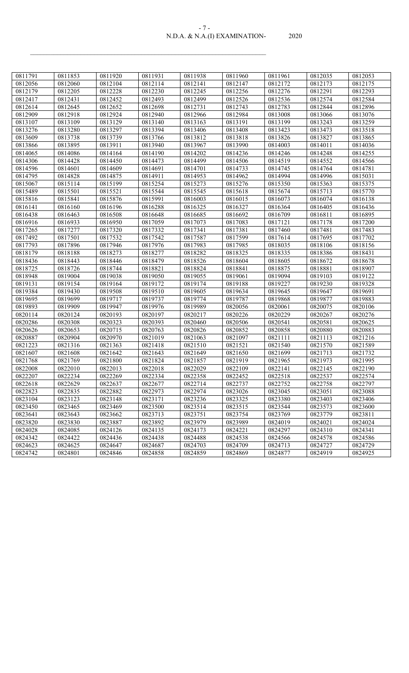| $-1$                          |       |
|-------------------------------|-------|
| N.D.A. & N.A.(I) EXAMINATION- | 2020. |

| 0811791 | 0811853 | 0811920 | 0811931 | 0811938 | 0811960 | 0811961 | 0812035 | 0812053 |
|---------|---------|---------|---------|---------|---------|---------|---------|---------|
| 0812056 | 0812060 | 0812104 | 0812114 | 0812141 | 0812147 | 0812172 | 0812173 | 0812175 |
| 0812179 | 0812205 | 0812228 | 0812230 | 0812245 | 0812256 | 0812276 | 0812291 | 0812293 |
| 0812417 | 0812431 | 0812452 | 0812493 | 0812499 | 0812526 | 0812536 | 0812574 | 0812584 |
| 0812614 | 0812645 | 0812652 | 0812698 | 0812731 | 0812743 | 0812783 | 0812844 | 0812896 |
| 0812909 | 0812918 | 0812924 | 0812940 | 0812966 | 0812984 | 0813008 | 0813066 | 0813076 |
| 0813107 | 0813109 | 0813129 | 0813140 | 0813163 | 0813191 | 0813199 | 0813243 | 0813259 |
| 0813276 | 0813280 | 0813297 | 0813394 | 0813406 | 0813408 | 0813423 | 0813473 | 0813518 |
| 0813609 | 0813738 | 0813739 | 0813766 | 0813812 | 0813818 | 0813826 | 0813827 | 0813865 |
| 0813866 | 0813895 | 0813911 | 0813940 | 0813967 | 0813990 | 0814003 | 0814011 | 0814036 |
| 0814065 | 0814086 | 0814164 | 0814190 | 0814202 | 0814236 | 0814246 | 0814248 | 0814255 |
| 0814306 | 0814428 | 0814450 | 0814473 | 0814499 | 0814506 | 0814519 | 0814552 | 0814566 |
| 0814596 | 0814601 | 0814609 | 0814691 | 0814701 | 0814733 | 0814745 | 0814764 | 0814781 |
| 0814795 | 0814828 | 0814875 | 0814911 | 0814953 | 0814962 | 0814994 | 0814996 | 0815031 |
| 0815067 | 0815114 | 0815199 | 0815254 | 0815273 | 0815276 | 0815350 | 0815363 | 0815375 |
| 0815489 | 0815501 | 0815521 | 0815544 | 0815545 | 0815618 | 0815674 | 0815713 | 0815770 |
| 0815816 | 0815841 | 0815876 | 0815991 | 0816003 | 0816015 | 0816073 | 0816074 | 0816138 |
| 0816141 | 0816160 | 0816196 | 0816288 | 0816325 | 0816327 | 0816364 | 0816405 | 0816436 |
| 0816438 | 0816463 | 0816508 | 0816648 | 0816685 | 0816692 | 0816709 | 0816811 | 0816895 |
| 0816916 | 0816933 | 0816950 | 0817059 | 0817073 | 0817083 | 0817121 | 0817178 | 0817200 |
| 0817265 | 0817277 | 0817320 | 0817332 | 0817341 | 0817381 | 0817460 | 0817481 | 0817483 |
| 0817492 | 0817501 | 0817532 | 0817542 | 0817587 | 0817599 | 0817614 | 0817695 | 0817702 |
| 0817793 | 0817896 | 0817946 | 0817976 | 0817983 | 0817985 | 0818035 | 0818106 | 0818156 |
| 0818179 | 0818188 | 0818273 | 0818277 | 0818282 | 0818325 | 0818335 | 0818386 | 0818431 |
| 0818436 | 0818443 | 0818446 | 0818479 | 0818526 | 0818604 | 0818605 | 0818672 | 0818678 |
| 0818725 | 0818726 | 0818744 | 0818821 | 0818824 | 0818841 | 0818875 | 0818881 | 0818907 |
| 0818948 | 0819004 | 0819038 | 0819050 | 0819055 | 0819061 | 0819094 | 0819103 | 0819122 |
| 0819131 | 0819154 | 0819164 | 0819172 | 0819174 | 0819188 | 0819227 | 0819230 | 0819328 |
| 0819384 | 0819430 | 0819508 | 0819510 | 0819605 | 0819634 | 0819645 | 0819647 | 0819691 |
| 0819695 | 0819699 | 0819717 | 0819737 | 0819774 | 0819787 | 0819868 | 0819877 | 0819883 |
| 0819893 | 0819909 | 0819947 | 0819976 | 0819989 | 0820056 | 0820061 | 0820075 | 0820106 |
| 0820114 | 0820124 | 0820193 | 0820197 | 0820217 | 0820226 | 0820229 | 0820267 | 0820276 |
| 0820286 | 0820308 | 0820323 | 0820393 | 0820460 | 0820506 | 0820541 | 0820581 | 0820625 |
| 0820626 | 0820653 | 0820715 | 0820763 | 0820826 | 0820852 | 0820858 | 0820880 | 0820883 |
| 0820887 | 0820904 | 0820970 | 0821019 | 0821063 | 0821097 | 0821111 | 0821113 | 0821216 |
| 0821223 | 0821316 | 0821363 | 0821418 | 0821510 | 0821521 | 0821540 | 0821570 | 0821589 |
| 0821607 | 0821608 | 0821642 | 0821643 | 0821649 | 0821650 | 0821699 | 0821713 | 0821732 |
| 0821768 | 0821769 | 0821800 | 0821824 | 0821857 | 0821919 | 0821965 | 0821973 | 0821995 |
| 0822008 | 0822010 | 0822013 | 0822018 | 0822029 | 0822109 | 0822141 | 0822145 | 0822190 |
| 0822207 | 0822234 | 0822269 | 0822334 | 0822358 | 0822452 | 0822518 | 0822537 | 0822574 |
| 0822618 | 0822629 | 0822637 | 0822677 | 0822714 | 0822737 | 0822752 | 0822758 | 0822797 |
| 0822823 | 0822835 | 0822882 | 0822973 | 0822974 | 0823026 | 0823045 | 0823051 | 0823088 |
| 0823104 | 0823123 | 0823148 | 0823171 | 0823236 | 0823325 | 0823380 | 0823403 | 0823406 |
| 0823450 | 0823465 | 0823469 | 0823500 | 0823514 | 0823515 | 0823544 | 0823573 | 0823600 |
| 0823641 | 0823643 | 0823662 | 0823713 | 0823751 | 0823754 | 0823769 | 0823779 | 0823811 |
| 0823820 | 0823830 | 0823887 | 0823892 | 0823979 | 0823989 | 0824019 | 0824021 | 0824024 |
| 0824028 | 0824085 | 0824126 | 0824135 | 0824173 | 0824221 | 0824297 | 0824310 | 0824341 |
| 0824342 | 0824422 | 0824436 | 0824438 | 0824488 | 0824538 | 0824566 | 0824578 | 0824586 |
| 0824623 | 0824625 | 0824647 | 0824687 | 0824703 | 0824709 | 0824713 | 0824727 | 0824729 |
| 0824742 | 0824801 | 0824846 | 0824858 | 0824859 | 0824869 | 0824877 | 0824919 | 0824925 |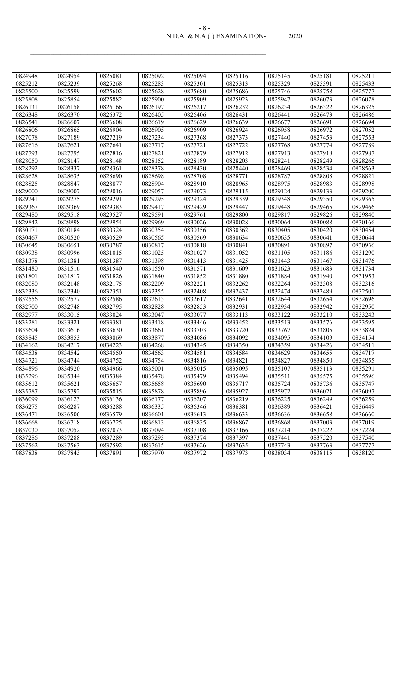#### N.D.A. & N.A.(I) EXAMINATION- 2020 - 8 -

| 0824948 | 0824954 | 0825081 | 0825092 | 0825094 | 0825116 | 0825145 | 0825181 | 0825211 |
|---------|---------|---------|---------|---------|---------|---------|---------|---------|
| 0825212 | 0825239 | 0825268 | 0825283 | 0825301 | 0825313 | 0825329 | 0825391 | 0825433 |
| 0825500 | 0825599 | 0825602 | 0825628 | 0825680 | 0825686 | 0825746 | 0825758 | 0825777 |
| 0825808 | 0825854 | 0825882 | 0825900 | 0825909 | 0825923 | 0825947 | 0826073 | 0826078 |
| 0826131 | 0826158 | 0826166 | 0826197 | 0826217 | 0826232 | 0826234 | 0826322 | 0826325 |
| 0826348 | 0826370 | 0826372 | 0826405 | 0826406 | 0826431 | 0826441 | 0826473 | 0826486 |
| 0826541 | 0826607 | 0826608 | 0826619 | 0826629 | 0826639 | 0826677 | 0826691 | 0826694 |
| 0826806 | 0826865 | 0826904 | 0826905 | 0826909 | 0826924 | 0826958 | 0826972 | 0827052 |
| 0827078 | 0827189 | 0827219 | 0827234 | 0827368 | 0827373 | 0827440 | 0827453 | 0827553 |
| 0827616 | 0827621 | 0827641 | 0827717 | 0827721 | 0827722 | 0827768 | 0827774 | 0827789 |
| 0827793 | 0827795 | 0827816 | 0827821 | 0827879 | 0827912 | 0827913 | 0827918 | 0827987 |
| 0828050 | 0828147 | 0828148 | 0828152 | 0828189 | 0828203 | 0828241 | 0828249 | 0828266 |
| 0828292 | 0828337 | 0828361 | 0828378 | 0828430 | 0828440 | 0828469 | 0828534 | 0828563 |
| 0828628 | 0828635 | 0828690 | 0828698 | 0828708 | 0828771 | 0828787 | 0828808 | 0828821 |
| 0828825 | 0828847 | 0828877 | 0828904 | 0828910 | 0828965 | 0828975 | 0828983 | 0828998 |
| 0829000 | 0829007 | 0829016 | 0829057 | 0829073 | 0829115 | 0829124 | 0829133 | 0829200 |
| 0829241 | 0829275 | 0829291 | 0829295 | 0829324 | 0829339 | 0829348 | 0829350 | 0829365 |
| 0829367 | 0829369 | 0829383 | 0829417 | 0829429 | 0829447 | 0829448 | 0829465 | 0829466 |
| 0829480 | 0829518 | 0829527 | 0829591 | 0829761 | 0829800 | 0829817 | 0829826 | 0829840 |
| 0829842 | 0829898 | 0829954 | 0829969 | 0830026 | 0830028 | 0830064 | 0830088 | 0830166 |
| 0830171 | 0830184 | 0830324 | 0830354 | 0830356 | 0830362 | 0830405 | 0830420 | 0830454 |
| 0830467 | 0830520 | 0830529 | 0830565 | 0830569 | 0830634 | 0830635 | 0830641 | 0830644 |
| 0830645 | 0830651 | 0830787 | 0830817 | 0830818 | 0830841 | 0830891 | 0830897 | 0830936 |
| 0830938 | 0830996 | 0831015 | 0831025 | 0831027 | 0831052 | 0831105 | 0831186 | 0831290 |
| 0831378 | 0831381 | 0831387 | 0831398 | 0831413 | 0831425 | 0831443 | 0831467 | 0831476 |
| 0831480 | 0831516 | 0831540 | 0831550 | 0831571 | 0831609 | 0831623 | 0831683 | 0831734 |
| 0831801 | 0831817 | 0831826 | 0831840 | 0831852 | 0831880 | 0831884 | 0831940 | 0831953 |
| 0832080 | 0832148 | 0832175 | 0832209 | 0832221 | 0832262 | 0832264 | 0832308 | 0832316 |
| 0832336 | 0832340 | 0832351 | 0832355 | 0832408 | 0832437 | 0832474 | 0832489 | 0832501 |
| 0832556 | 0832577 | 0832586 | 0832613 | 0832617 | 0832641 | 0832644 | 0832654 | 0832696 |
| 0832700 | 0832748 | 0832795 | 0832828 | 0832853 | 0832931 | 0832934 | 0832942 | 0832950 |
| 0832977 | 0833015 | 0833024 | 0833047 | 0833077 | 0833113 | 0833122 | 0833210 | 0833243 |
| 0833281 | 0833321 | 0833381 | 0833418 | 0833446 | 0833452 | 0833513 | 0833576 | 0833595 |
| 0833604 | 0833616 | 0833630 | 0833661 | 0833703 | 0833720 | 0833767 | 0833805 | 0833824 |
| 0833845 | 0833853 | 0833869 | 0833877 | 0834086 | 0834092 | 0834095 | 0834109 | 0834154 |
| 0834162 | 0834217 | 0834223 | 0834268 | 0834345 | 0834350 | 0834359 | 0834426 | 0834511 |
| 0834538 | 0834542 | 0834550 | 0834563 | 0834581 | 0834584 | 0834629 | 0834655 | 0834717 |
| 0834721 | 0834744 | 0834752 | 0834754 | 0834816 | 0834821 | 0834827 | 0834850 | 0834855 |
| 0834896 | 0834920 | 0834966 | 0835001 | 0835015 | 0835095 | 0835107 | 0835113 | 0835291 |
| 0835296 | 0835344 | 0835384 | 0835478 | 0835479 | 0835494 | 0835511 | 0835575 | 0835596 |
| 0835612 | 0835621 | 0835657 | 0835658 | 0835690 | 0835717 | 0835724 | 0835736 | 0835747 |
| 0835787 | 0835792 | 0835815 | 0835878 | 0835896 | 0835927 | 0835972 | 0836021 | 0836097 |
| 0836099 | 0836123 | 0836136 | 0836177 | 0836207 | 0836219 | 0836225 | 0836249 | 0836259 |
| 0836275 | 0836287 | 0836288 | 0836335 | 0836346 | 0836381 | 0836389 | 0836421 | 0836449 |
| 0836471 | 0836506 | 0836579 | 0836601 | 0836613 | 0836633 | 0836636 | 0836658 | 0836660 |
| 0836668 | 0836718 | 0836725 | 0836813 | 0836835 | 0836867 | 0836868 | 0837003 | 0837019 |
| 0837030 | 0837052 | 0837073 | 0837094 | 0837108 | 0837166 | 0837214 | 0837222 | 0837224 |
| 0837286 | 0837288 | 0837289 | 0837293 | 0837374 | 0837397 | 0837441 | 0837520 | 0837540 |
| 0837562 | 0837563 | 0837592 | 0837615 | 0837626 | 0837635 | 0837743 | 0837763 | 0837777 |
| 0837838 | 0837843 | 0837891 | 0837970 | 0837972 | 0837973 | 0838034 | 0838115 | 0838120 |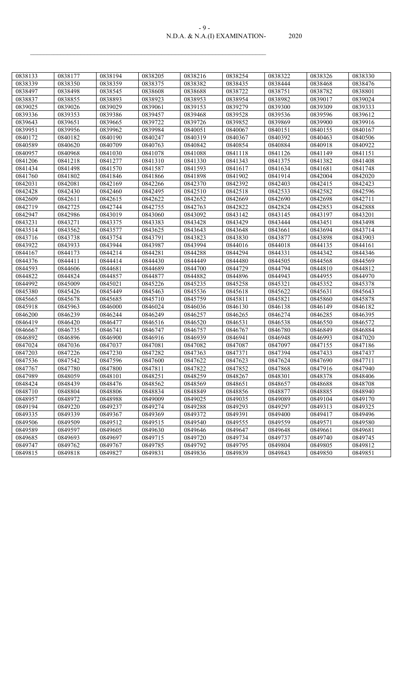#### N.D.A. & N.A.(I) EXAMINATION- 2020 - 9 -

| 0838133 | 0838177 | 0838194 | 0838205 | 0838216 | 0838254 | 0838322 | 0838326 | 0838330 |
|---------|---------|---------|---------|---------|---------|---------|---------|---------|
| 0838339 | 0838350 | 0838359 | 0838375 | 0838382 | 0838435 | 0838444 | 0838468 | 0838476 |
| 0838497 | 0838498 | 0838545 | 0838608 | 0838688 | 0838722 | 0838751 | 0838782 | 0838801 |
| 0838837 | 0838855 | 0838893 | 0838923 | 0838953 | 0838954 | 0838982 | 0839017 | 0839024 |
| 0839025 | 0839026 | 0839029 | 0839061 | 0839153 | 0839279 | 0839300 | 0839309 | 0839333 |
| 0839336 | 0839353 | 0839386 | 0839457 | 0839468 | 0839528 | 0839536 | 0839596 | 0839612 |
| 0839643 | 0839651 | 0839665 | 0839722 | 0839726 | 0839852 | 0839869 | 0839900 | 0839916 |
| 0839951 | 0839956 | 0839962 | 0839984 | 0840051 | 0840067 | 0840151 | 0840155 | 0840167 |
| 0840172 | 0840182 | 0840190 | 0840247 | 0840319 | 0840367 | 0840392 | 0840463 | 0840506 |
| 0840589 | 0840620 | 0840709 | 0840763 | 0840842 | 0840854 | 0840884 | 0840918 | 0840922 |
| 0840957 | 0840968 | 0841030 | 0841078 | 0841088 | 0841118 | 0841126 | 0841149 | 0841151 |
| 0841206 | 0841218 | 0841277 | 0841310 | 0841330 | 0841343 | 0841375 | 0841382 | 0841408 |
| 0841434 | 0841498 | 0841570 | 0841587 | 0841593 | 0841617 | 0841634 | 0841681 | 0841748 |
| 0841760 | 0841802 | 0841846 | 0841866 | 0841898 | 0841902 | 0841914 | 0842004 | 0842020 |
| 0842031 | 0842081 | 0842169 | 0842266 | 0842370 | 0842392 | 0842403 | 0842415 | 0842423 |
| 0842428 | 0842430 | 0842460 | 0842495 | 0842510 | 0842518 | 0842533 | 0842582 | 0842596 |
| 0842609 | 0842611 | 0842615 | 0842622 | 0842652 | 0842669 | 0842690 | 0842698 | 0842711 |
| 0842719 | 0842725 | 0842744 | 0842755 | 0842763 | 0842822 | 0842824 | 0842853 | 0842888 |
| 0842947 | 0842986 | 0843019 | 0843060 | 0843092 | 0843142 | 0843145 | 0843197 | 0843201 |
| 0843231 | 0843271 | 0843375 | 0843383 | 0843428 | 0843429 | 0843444 | 0843451 | 0843498 |
| 0843514 | 0843562 | 0843577 | 0843625 | 0843643 | 0843648 | 0843661 | 0843694 | 0843714 |
| 0843716 | 0843738 | 0843754 | 0843791 | 0843823 | 0843830 | 0843877 | 0843898 | 0843903 |
| 0843922 | 0843933 | 0843944 | 0843987 | 0843994 | 0844016 | 0844018 | 0844135 | 0844161 |
| 0844167 | 0844173 | 0844214 | 0844281 | 0844288 | 0844294 | 0844331 | 0844342 | 0844346 |
| 0844376 | 0844411 | 0844414 | 0844430 | 0844449 | 0844480 | 0844505 | 0844568 | 0844569 |
| 0844593 | 0844606 | 0844681 | 0844689 | 0844700 | 0844729 | 0844794 | 0844810 | 0844812 |
| 0844822 | 0844824 | 0844857 | 0844877 | 0844882 | 0844896 | 0844943 | 0844955 | 0844970 |
| 0844992 | 0845009 | 0845021 | 0845226 | 0845235 | 0845258 | 0845321 | 0845352 | 0845378 |
| 0845380 | 0845426 | 0845449 | 0845463 | 0845536 | 0845618 | 0845622 | 0845631 | 0845643 |
| 0845665 | 0845678 | 0845685 | 0845710 | 0845759 | 0845811 | 0845821 | 0845860 | 0845878 |
| 0845918 | 0845963 | 0846000 | 0846024 | 0846036 | 0846130 | 0846138 | 0846149 | 0846182 |
| 0846200 | 0846239 | 0846244 | 0846249 | 0846257 | 0846265 | 0846274 | 0846285 | 0846395 |
| 0846419 | 0846420 | 0846477 | 0846516 | 0846520 | 0846531 | 0846538 | 0846550 | 0846572 |
| 0846667 | 0846735 | 0846741 | 0846747 | 0846757 | 0846767 | 0846780 | 0846849 | 0846884 |
| 0846892 | 0846896 | 0846900 | 0846916 | 0846939 | 0846941 | 0846948 | 0846993 | 0847020 |
| 0847024 | 0847036 | 0847037 | 0847081 | 0847082 | 0847087 | 0847097 | 0847155 | 0847186 |
| 0847203 | 0847226 | 0847230 | 0847282 | 0847363 | 0847371 | 0847394 | 0847433 | 0847437 |
| 0847536 | 0847542 | 0847596 | 0847600 | 0847622 | 0847623 | 0847624 | 0847690 | 0847711 |
| 0847767 | 0847780 | 0847800 | 0847811 | 0847822 | 0847852 | 0847868 | 0847916 | 0847940 |
| 0847989 | 0848059 | 0848101 | 0848251 | 0848259 | 0848267 | 0848301 | 0848378 | 0848406 |
| 0848424 | 0848439 | 0848476 | 0848562 | 0848569 | 0848651 | 0848657 | 0848688 | 0848708 |
| 0848710 | 0848804 | 0848806 | 0848834 | 0848849 | 0848856 | 0848877 | 0848885 | 0848940 |
| 0848957 | 0848972 | 0848988 | 0849009 | 0849025 | 0849035 | 0849089 | 0849104 | 0849170 |
| 0849194 | 0849220 | 0849237 | 0849274 | 0849288 | 0849293 | 0849297 | 0849313 | 0849325 |
| 0849335 | 0849339 | 0849367 | 0849369 | 0849372 | 0849391 | 0849400 | 0849417 | 0849496 |
| 0849506 | 0849509 | 0849512 | 0849515 | 0849540 | 0849555 | 0849559 | 0849571 | 0849580 |
| 0849589 | 0849597 | 0849605 | 0849630 | 0849646 | 0849647 | 0849648 | 0849661 | 0849681 |
| 0849685 | 0849693 | 0849697 | 0849715 | 0849720 | 0849734 | 0849737 | 0849740 | 0849745 |
| 0849747 | 0849762 | 0849767 | 0849785 | 0849792 | 0849795 | 0849804 | 0849805 | 0849812 |
| 0849815 | 0849818 | 0849827 | 0849831 | 0849836 | 0849839 | 0849843 | 0849850 | 0849851 |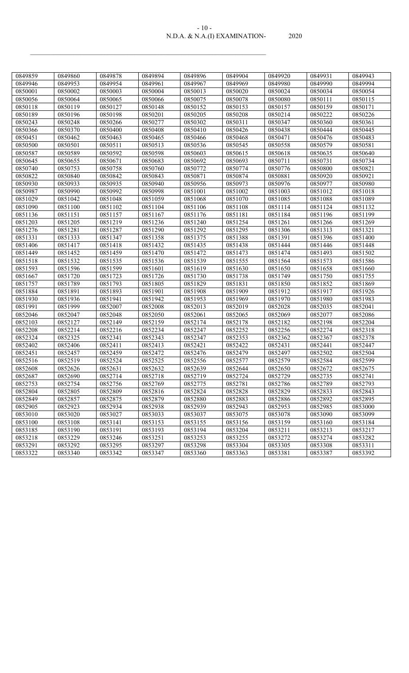### N.D.A. & N.A.(I) EXAMINATION- 2020 - 10 -

| 0849859 | 0849860 | 0849878 | 0849894 | 0849896 | 0849904 | 0849920 | 0849931 | 0849943 |
|---------|---------|---------|---------|---------|---------|---------|---------|---------|
| 0849946 | 0849953 | 0849954 | 0849961 | 0849967 | 0849969 | 0849980 | 0849990 | 0849994 |
| 0850001 | 0850002 | 0850003 | 0850004 | 0850013 | 0850020 | 0850024 | 0850034 | 0850054 |
| 0850056 | 0850064 | 0850065 | 0850066 | 0850075 | 0850078 | 0850080 | 0850111 | 0850115 |
| 0850118 | 0850119 | 0850127 | 0850148 | 0850152 | 0850153 | 0850157 | 0850159 | 0850171 |
| 0850189 | 0850196 | 0850198 | 0850201 | 0850205 | 0850208 | 0850214 | 0850222 | 0850226 |
| 0850243 | 0850248 | 0850266 | 0850277 | 0850302 | 0850311 | 0850347 | 0850360 | 0850361 |
| 0850366 | 0850370 | 0850400 | 0850408 | 0850410 | 0850426 | 0850438 | 0850444 | 0850445 |
| 0850451 | 0850462 | 0850463 | 0850465 | 0850466 | 0850468 | 0850471 | 0850476 | 0850483 |
| 0850500 | 0850501 | 0850511 | 0850513 | 0850536 | 0850545 | 0850558 | 0850579 | 0850581 |
| 0850587 | 0850589 | 0850592 | 0850598 | 0850603 | 0850615 | 0850618 | 0850635 | 0850640 |
| 0850645 | 0850655 | 0850671 | 0850683 | 0850692 | 0850693 | 0850711 | 0850731 | 0850734 |
| 0850740 | 0850753 | 0850758 | 0850760 | 0850772 | 0850774 | 0850776 | 0850800 | 0850821 |
| 0850822 | 0850840 | 0850842 | 0850843 | 0850871 | 0850874 | 0850881 | 0850920 | 0850921 |
| 0850930 | 0850933 | 0850935 | 0850940 | 0850956 | 0850973 | 0850976 | 0850977 | 0850980 |
| 0850987 | 0850990 | 0850992 | 0850998 | 0851001 | 0851002 | 0851003 | 0851012 | 0851018 |
| 0851029 | 0851042 | 0851048 | 0851059 | 0851068 | 0851070 | 0851085 | 0851088 | 0851089 |
| 0851090 | 0851100 | 0851102 | 0851104 | 0851106 | 0851108 | 0851114 | 0851124 | 0851132 |
| 0851136 | 0851151 | 0851157 | 0851167 | 0851176 | 0851181 | 0851184 | 0851196 | 0851199 |
| 0851203 | 0851205 | 0851219 | 0851236 | 0851240 | 0851254 | 0851261 | 0851266 | 0851269 |
| 0851276 | 0851281 | 0851287 | 0851290 | 0851292 | 0851295 | 0851306 | 0851313 | 0851321 |
| 0851331 | 0851333 | 0851347 | 0851358 | 0851375 | 0851388 | 0851391 | 0851396 | 0851400 |
| 0851406 | 0851417 | 0851418 | 0851432 | 0851435 | 0851438 | 0851444 | 0851446 | 0851448 |
| 0851449 | 0851452 | 0851459 | 0851470 | 0851472 | 0851473 | 0851474 | 0851493 | 0851502 |
| 0851518 | 0851532 | 0851535 | 0851536 | 0851539 | 0851555 | 0851564 | 0851573 | 0851586 |
| 0851593 | 0851596 | 0851599 | 0851601 | 0851619 | 0851630 | 0851650 | 0851658 | 0851660 |
| 0851667 | 0851720 | 0851723 | 0851726 | 0851730 | 0851738 | 0851749 | 0851750 | 0851755 |
| 0851757 | 0851789 | 0851793 | 0851805 | 0851829 | 0851831 | 0851850 | 0851852 | 0851869 |
| 0851884 | 0851891 | 0851893 | 0851901 | 0851908 | 0851909 | 0851912 | 0851917 | 0851926 |
| 0851930 | 0851936 | 0851941 | 0851942 | 0851953 | 0851969 | 0851970 | 0851980 | 0851983 |
| 0851991 | 0851999 | 0852007 | 0852008 | 0852013 | 0852019 | 0852028 | 0852035 | 0852041 |
| 0852046 | 0852047 | 0852048 | 0852050 | 0852061 | 0852065 | 0852069 | 0852077 | 0852086 |
| 0852103 | 0852127 | 0852149 | 0852159 | 0852174 | 0852178 | 0852182 | 0852198 | 0852204 |
| 0852208 | 0852214 | 0852216 | 0852234 | 0852247 | 0852252 | 0852256 | 0852274 | 0852318 |
| 0852324 | 0852325 | 0852341 | 0852343 | 0852347 | 0852353 | 0852362 | 0852367 | 0852378 |
| 0852402 | 0852406 | 0852411 | 0852413 | 0852421 | 0852422 | 0852431 | 0852441 | 0852447 |
| 0852451 | 0852457 | 0852459 | 0852472 | 0852476 | 0852479 | 0852497 | 0852502 | 0852504 |
| 0852516 | 0852519 | 0852524 | 0852525 | 0852556 | 0852577 | 0852579 | 0852584 | 0852599 |
| 0852608 | 0852626 | 0852631 | 0852632 | 0852639 | 0852644 | 0852650 | 0852672 | 0852675 |
| 0852687 | 0852690 | 0852714 | 0852718 | 0852719 | 0852724 | 0852729 | 0852735 | 0852741 |
| 0852753 | 0852754 | 0852756 | 0852769 | 0852775 | 0852781 | 0852786 | 0852789 | 0852793 |
| 0852804 | 0852805 | 0852809 | 0852816 | 0852824 | 0852828 | 0852829 | 0852833 | 0852843 |
| 0852849 | 0852857 | 0852875 | 0852879 | 0852880 | 0852883 | 0852886 | 0852892 | 0852895 |
| 0852905 | 0852923 | 0852934 | 0852938 | 0852939 | 0852943 | 0852953 | 0852985 | 0853000 |
| 0853010 | 0853020 | 0853027 | 0853033 | 0853037 | 0853075 | 0853078 | 0853090 | 0853099 |
| 0853100 | 0853108 | 0853141 | 0853153 | 0853155 | 0853156 | 0853159 | 0853160 | 0853184 |
| 0853185 | 0853190 | 0853191 | 0853193 | 0853194 | 0853204 | 0853211 | 0853213 | 0853217 |
| 0853218 | 0853229 | 0853246 | 0853251 | 0853253 | 0853255 | 0853272 | 0853274 | 0853282 |
| 0853291 | 0853292 | 0853295 | 0853297 | 0853298 | 0853304 | 0853305 | 0853308 | 0853311 |
| 0853322 | 0853340 | 0853342 | 0853347 | 0853360 | 0853363 | 0853381 | 0853387 | 0853392 |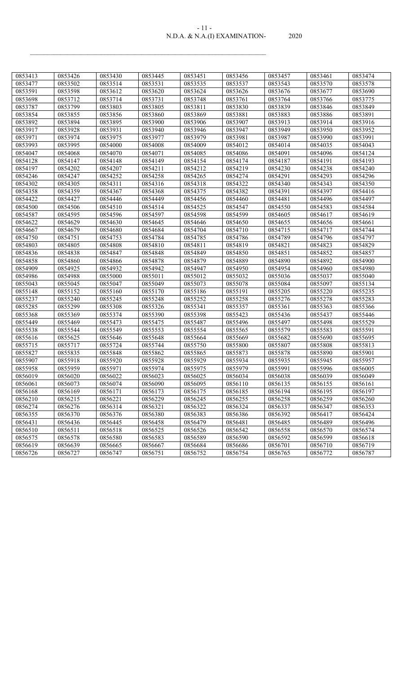| $-11-$                        |       |
|-------------------------------|-------|
| N.D.A. & N.A.(I) EXAMINATION- | 2020. |

| 0853413 | 0853426 | 0853430 | 0853445 | 0853451 | 0853456 | 0853457 | 0853461 | 0853474 |
|---------|---------|---------|---------|---------|---------|---------|---------|---------|
| 0853477 | 0853502 | 0853514 | 0853531 | 0853535 | 0853537 | 0853543 | 0853570 | 0853578 |
| 0853591 | 0853598 | 0853612 | 0853620 | 0853624 | 0853626 | 0853676 | 0853677 | 0853690 |
| 0853698 | 0853712 | 0853714 | 0853731 | 0853748 | 0853761 | 0853764 | 0853766 | 0853775 |
| 0853787 | 0853799 | 0853803 | 0853805 | 0853811 | 0853830 | 0853839 | 0853846 | 0853849 |
| 0853854 | 0853855 | 0853856 | 0853860 | 0853869 | 0853881 | 0853883 | 0853886 | 0853891 |
| 0853892 | 0853894 | 0853895 | 0853900 | 0853906 | 0853907 | 0853913 | 0853914 | 0853916 |
| 0853917 | 0853928 | 0853931 | 0853940 | 0853946 | 0853947 | 0853949 | 0853950 | 0853952 |
| 0853971 | 0853974 | 0853975 | 0853977 | 0853979 | 0853981 | 0853987 | 0853990 | 0853991 |
| 0853993 | 0853995 | 0854000 | 0854008 | 0854009 | 0854012 | 0854014 | 0854035 | 0854043 |
| 0854047 | 0854068 | 0854070 | 0854071 | 0854085 | 0854086 | 0854091 | 0854096 | 0854124 |
| 0854128 | 0854147 | 0854148 | 0854149 | 0854154 | 0854174 | 0854187 | 0854191 | 0854193 |
| 0854197 | 0854202 | 0854207 | 0854211 | 0854212 | 0854219 | 0854230 | 0854238 | 0854240 |
| 0854246 | 0854247 | 0854252 | 0854258 | 0854265 | 0854274 | 0854291 | 0854293 | 0854296 |
| 0854302 | 0854305 | 0854311 | 0854316 | 0854318 | 0854322 | 0854340 | 0854343 | 0854350 |
| 0854358 | 0854359 | 0854367 | 0854368 | 0854375 | 0854382 | 0854391 | 0854397 | 0854416 |
| 0854422 | 0854427 | 0854446 | 0854449 | 0854456 | 0854460 | 0854481 | 0854496 | 0854497 |
| 0854500 | 0854506 | 0854510 | 0854514 | 0854525 | 0854547 | 0854550 | 0854583 | 0854584 |
| 0854587 | 0854595 | 0854596 | 0854597 | 0854598 | 0854599 | 0854605 | 0854617 | 0854619 |
| 0854622 | 0854629 | 0854630 | 0854645 | 0854646 | 0854650 | 0854655 | 0854656 | 0854661 |
| 0854667 | 0854679 | 0854680 | 0854684 | 0854704 | 0854710 | 0854715 | 0854717 | 0854744 |
| 0854750 | 0854751 | 0854753 | 0854784 | 0854785 | 0854786 | 0854789 | 0854796 | 0854797 |
| 0854803 | 0854805 | 0854808 | 0854810 | 0854811 | 0854819 | 0854821 | 0854823 | 0854829 |
| 0854836 | 0854838 | 0854847 | 0854848 | 0854849 | 0854850 | 0854851 | 0854852 | 0854857 |
| 0854858 | 0854860 | 0854866 | 0854878 | 0854879 | 0854889 | 0854890 | 0854892 | 0854900 |
| 0854909 | 0854925 | 0854932 | 0854942 | 0854947 | 0854950 | 0854954 | 0854960 | 0854980 |
| 0854986 | 0854988 | 0855000 | 0855011 | 0855012 | 0855032 | 0855036 | 0855037 | 0855040 |
| 0855043 | 0855045 | 0855047 | 0855049 | 0855073 | 0855078 | 0855084 | 0855097 | 0855134 |
| 0855148 | 0855152 | 0855160 | 0855170 | 0855186 | 0855191 | 0855205 | 0855220 | 0855235 |
| 0855237 | 0855240 | 0855245 | 0855248 | 0855252 | 0855258 | 0855276 | 0855278 | 0855283 |
| 0855285 | 0855299 | 0855308 | 0855326 | 0855341 | 0855357 | 0855361 | 0855363 | 0855366 |
| 0855368 | 0855369 | 0855374 | 0855390 | 0855398 | 0855423 | 0855436 | 0855437 | 0855446 |
| 0855449 | 0855469 | 0855473 | 0855475 | 0855487 | 0855496 | 0855497 | 0855498 | 0855529 |
| 0855538 | 0855544 | 0855549 | 0855553 | 0855554 | 0855565 | 0855579 | 0855583 | 0855591 |
| 0855616 | 0855625 | 0855646 | 0855648 | 0855664 | 0855669 | 0855682 | 0855690 | 0855695 |
| 0855715 | 0855717 | 0855724 | 0855744 | 0855750 | 0855800 | 0855807 | 0855808 | 0855813 |
| 0855827 | 0855835 | 0855848 | 0855862 | 0855865 | 0855873 | 0855878 | 0855890 | 0855901 |
| 0855907 | 0855918 | 0855920 | 0855928 | 0855929 | 0855934 | 0855935 | 0855945 | 0855957 |
| 0855958 | 0855959 | 0855971 | 0855974 | 0855975 | 0855979 | 0855991 | 0855996 | 0856005 |
| 0856019 | 0856020 | 0856022 | 0856023 | 0856025 | 0856034 | 0856038 | 0856039 | 0856049 |
| 0856061 | 0856073 | 0856074 | 0856090 | 0856095 | 0856110 | 0856135 | 0856155 | 0856161 |
| 0856168 | 0856169 | 0856171 | 0856173 | 0856175 | 0856185 | 0856194 | 0856195 | 0856197 |
| 0856210 | 0856215 | 0856221 | 0856229 | 0856245 | 0856255 | 0856258 | 0856259 | 0856260 |
| 0856274 | 0856276 | 0856314 | 0856321 | 0856322 | 0856324 | 0856337 | 0856347 | 0856353 |
| 0856355 | 0856370 | 0856376 | 0856380 | 0856383 | 0856386 | 0856392 | 0856417 | 0856424 |
| 0856431 | 0856436 | 0856445 | 0856458 | 0856479 | 0856481 | 0856485 | 0856489 | 0856496 |
| 0856510 | 0856511 | 0856518 | 0856525 | 0856526 | 0856542 | 0856558 | 0856570 | 0856574 |
| 0856575 | 0856578 | 0856580 | 0856583 | 0856589 | 0856590 | 0856592 | 0856599 | 0856618 |
| 0856619 | 0856639 | 0856665 | 0856667 | 0856684 | 0856686 | 0856701 | 0856710 | 0856719 |
| 0856726 | 0856727 | 0856747 | 0856751 | 0856752 | 0856754 | 0856765 | 0856772 | 0856787 |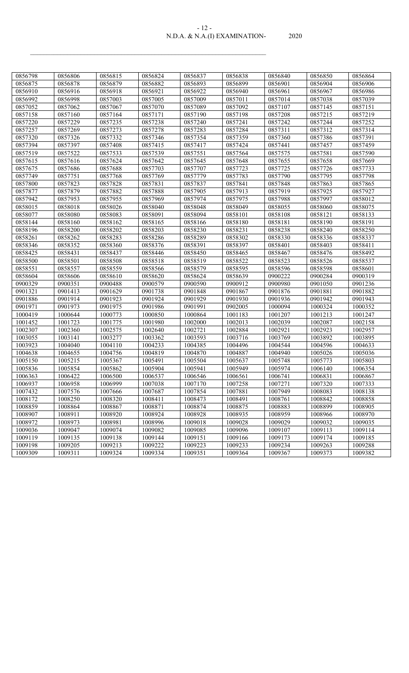| $-1/ -$                       |       |
|-------------------------------|-------|
| N.D.A. & N.A.(I) EXAMINATION- | 2020. |

| 0856798 | 0856806 | 0856815 | 0856824 | 0856837 | 0856838 | 0856840 | 0856850 | 0856864 |
|---------|---------|---------|---------|---------|---------|---------|---------|---------|
| 0856875 | 0856878 | 0856879 | 0856882 | 0856893 | 0856899 | 0856901 | 0856904 | 0856906 |
| 0856910 | 0856916 | 0856918 | 0856921 | 0856922 | 0856940 | 0856961 | 0856967 | 0856986 |
| 0856992 | 0856998 | 0857003 | 0857005 | 0857009 | 0857011 | 0857014 | 0857038 | 0857039 |
| 0857052 | 0857062 | 0857067 | 0857070 | 0857089 | 0857092 | 0857107 | 0857145 | 0857151 |
| 0857158 | 0857160 | 0857164 | 0857171 | 0857190 | 0857198 | 0857208 | 0857215 | 0857219 |
| 0857220 | 0857229 | 0857235 | 0857238 | 0857240 | 0857241 | 0857242 | 0857244 | 0857252 |
| 0857257 | 0857269 | 0857273 | 0857278 | 0857283 | 0857284 | 0857311 | 0857312 | 0857314 |
| 0857320 | 0857326 | 0857332 | 0857346 | 0857354 | 0857359 | 0857360 | 0857386 | 0857391 |
| 0857394 | 0857397 | 0857408 | 0857415 | 0857417 | 0857424 | 0857441 | 0857457 | 0857459 |
| 0857519 | 0857522 | 0857533 | 0857539 | 0857551 | 0857564 | 0857575 | 0857581 | 0857590 |
| 0857615 | 0857616 | 0857624 | 0857642 | 0857645 | 0857648 | 0857655 | 0857658 | 0857669 |
| 0857675 | 0857686 | 0857688 | 0857703 | 0857707 | 0857723 | 0857725 | 0857726 | 0857733 |
| 0857749 | 0857751 | 0857768 | 0857769 | 0857779 | 0857783 | 0857790 | 0857795 | 0857798 |
| 0857800 | 0857823 | 0857828 | 0857831 | 0857837 | 0857841 | 0857848 | 0857863 | 0857865 |
| 0857877 | 0857879 | 0857882 | 0857888 | 0857905 | 0857913 | 0857919 | 0857925 | 0857927 |
| 0857942 | 0857953 | 0857955 | 0857969 | 0857974 | 0857975 | 0857988 | 0857997 | 0858012 |
| 0858015 | 0858018 | 0858026 | 0858040 | 0858048 | 0858049 | 0858055 | 0858060 | 0858075 |
| 0858077 | 0858080 | 0858083 | 0858091 | 0858094 | 0858101 | 0858108 | 0858121 | 0858133 |
| 0858144 | 0858160 | 0858162 | 0858165 | 0858166 | 0858180 | 0858181 | 0858190 | 0858191 |
| 0858196 | 0858200 | 0858202 | 0858203 | 0858230 | 0858231 | 0858238 | 0858240 | 0858250 |
| 0858261 | 0858262 | 0858283 | 0858286 | 0858289 | 0858302 | 0858330 | 0858336 | 0858337 |
| 0858346 | 0858352 | 0858360 | 0858376 | 0858391 | 0858397 | 0858401 | 0858403 | 0858411 |
| 0858425 | 0858431 | 0858437 | 0858446 | 0858450 | 0858465 | 0858467 | 0858476 | 0858492 |
| 0858500 | 0858501 | 0858508 | 0858518 | 0858519 | 0858522 | 0858523 | 0858526 | 0858537 |
| 0858551 | 0858557 | 0858559 | 0858566 | 0858579 | 0858595 | 0858596 | 0858598 | 0858601 |
| 0858604 | 0858606 | 0858610 | 0858620 | 0858624 | 0858639 | 0900222 | 0900284 | 0900319 |
| 0900329 | 0900351 | 0900488 | 0900579 | 0900590 | 0900912 | 0900980 | 0901050 | 0901236 |
| 0901321 | 0901413 | 0901629 | 0901738 | 0901848 | 0901867 | 0901876 | 0901881 | 0901882 |
| 0901886 | 0901914 | 0901923 | 0901924 | 0901929 | 0901930 | 0901936 | 0901942 | 0901943 |
| 0901971 | 0901973 | 0901975 | 0901986 | 0901991 | 0902005 | 1000094 | 1000324 | 1000352 |
| 1000419 | 1000644 | 1000773 | 1000850 | 1000864 | 1001183 | 1001207 | 1001213 | 1001247 |
| 1001452 | 1001723 | 1001775 | 1001980 | 1002000 | 1002013 | 1002039 | 1002087 | 1002158 |
| 1002307 | 1002360 | 1002575 | 1002640 | 1002721 | 1002884 | 1002921 | 1002923 | 1002957 |
| 1003055 | 1003141 | 1003277 | 1003362 | 1003593 | 1003716 | 1003769 | 1003892 | 1003895 |
| 1003923 | 1004040 | 1004110 | 1004233 | 1004385 | 1004496 | 1004544 | 1004596 | 1004633 |
| 1004638 | 1004655 | 1004756 | 1004819 | 1004870 | 1004887 | 1004940 | 1005026 | 1005036 |
| 1005150 | 1005215 | 1005367 | 1005491 | 1005504 | 1005637 | 1005748 | 1005773 | 1005803 |
| 1005836 | 1005854 | 1005862 | 1005904 | 1005941 | 1005949 | 1005974 | 1006140 | 1006354 |
| 1006363 | 1006422 | 1006500 | 1006537 | 1006546 | 1006561 | 1006741 | 1006831 | 1006867 |
| 1006937 | 1006958 | 1006999 | 1007038 | 1007170 | 1007258 | 1007271 | 1007320 | 1007333 |
| 1007432 | 1007576 | 1007666 | 1007687 | 1007854 | 1007881 | 1007949 | 1008083 | 1008138 |
| 1008172 | 1008250 | 1008320 | 1008411 | 1008473 | 1008491 | 1008761 | 1008842 | 1008858 |
| 1008859 | 1008864 | 1008867 | 1008871 | 1008874 | 1008875 | 1008883 | 1008899 | 1008905 |
| 1008907 | 1008911 | 1008920 | 1008924 | 1008928 | 1008935 | 1008959 | 1008966 | 1008970 |
| 1008972 | 1008973 | 1008981 | 1008996 | 1009018 | 1009028 | 1009029 | 1009032 | 1009035 |
| 1009036 | 1009047 | 1009074 | 1009082 | 1009085 | 1009096 | 1009107 | 1009113 | 1009114 |
| 1009119 | 1009135 | 1009138 | 1009144 | 1009151 | 1009166 | 1009173 | 1009174 | 1009185 |
| 1009198 | 1009205 | 1009213 | 1009222 | 1009223 | 1009233 | 1009234 | 1009263 | 1009288 |
| 1009309 | 1009311 | 1009324 | 1009334 | 1009351 | 1009364 | 1009367 | 1009373 | 1009382 |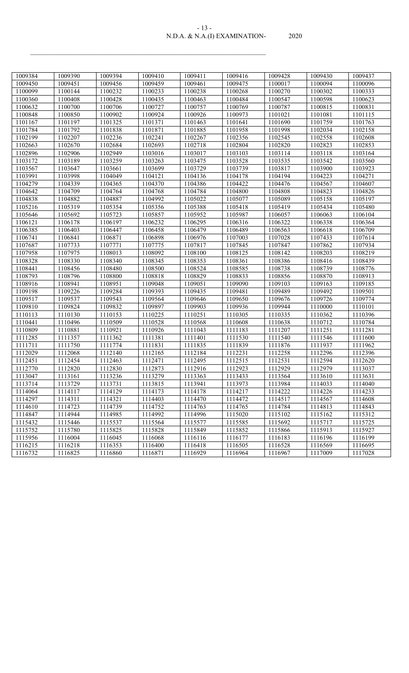| $-13-$                        |       |
|-------------------------------|-------|
| N.D.A. & N.A.(I) EXAMINATION- | 2020. |

| 1009384 | 1009390 | 1009394 | 1009410 | 1009411 | 1009416 | 1009428 | 1009430 | 1009437 |
|---------|---------|---------|---------|---------|---------|---------|---------|---------|
| 1009450 | 1009451 | 1009456 | 1009459 | 1009461 | 1009475 | 1100017 | 1100094 | 1100096 |
| 1100099 | 1100144 | 1100232 | 1100233 | 1100238 | 1100268 | 1100270 | 1100302 | 1100333 |
| 1100360 | 1100408 | 1100428 | 1100435 | 1100463 | 1100484 | 1100547 | 1100598 | 1100623 |
| 1100632 | 1100700 | 1100706 | 1100727 | 1100757 | 1100769 | 1100787 | 1100815 | 1100831 |
| 1100848 | 1100850 | 1100902 | 1100924 | 1100926 | 1100973 | 1101021 | 1101081 | 1101115 |
| 1101167 | 1101197 | 1101325 | 1101371 | 1101463 | 1101641 | 1101690 | 1101759 | 1101763 |
| 1101784 | 1101792 | 1101838 | 1101871 | 1101885 | 1101958 | 1101998 | 1102034 | 1102158 |
| 1102199 | 1102207 | 1102236 | 1102241 | 1102267 | 1102356 | 1102545 | 1102558 | 1102608 |
| 1102663 | 1102670 | 1102684 | 1102693 | 1102718 | 1102804 | 1102820 | 1102823 | 1102853 |
| 1102896 | 1102906 | 1102949 | 1103016 | 1103017 | 1103103 | 1103114 | 1103118 | 1103164 |
| 1103172 | 1103189 | 1103259 | 1103263 | 1103475 | 1103528 | 1103535 | 1103542 | 1103560 |
| 1103567 | 1103647 | 1103661 | 1103699 | 1103729 | 1103739 | 1103817 | 1103900 | 1103923 |
| 1103991 | 1103998 | 1104049 | 1104121 | 1104136 | 1104178 | 1104194 | 1104223 | 1104271 |
| 1104279 | 1104339 | 1104365 | 1104370 | 1104386 | 1104422 | 1104476 | 1104567 | 1104607 |
| 1104642 | 1104709 | 1104764 | 1104768 | 1104784 | 1104800 | 1104808 | 1104823 | 1104826 |
| 1104838 | 1104882 | 1104887 | 1104992 | 1105022 | 1105077 | 1105089 | 1105158 | 1105197 |
| 1105216 | 1105319 | 1105354 | 1105356 | 1105388 | 1105418 | 1105419 | 1105434 | 1105480 |
| 1105646 | 1105692 | 1105723 | 1105857 | 1105952 | 1105987 | 1106057 | 1106063 | 1106104 |
| 1106121 | 1106178 | 1106197 | 1106232 | 1106295 | 1106316 | 1106322 | 1106338 | 1106364 |
| 1106385 | 1106403 | 1106447 | 1106458 | 1106479 | 1106489 | 1106563 | 1106618 | 1106709 |
| 1106741 | 1106841 | 1106871 | 1106898 | 1106976 | 1107003 | 1107028 | 1107433 | 1107614 |
| 1107687 | 1107733 | 1107771 | 1107775 | 1107817 | 1107845 | 1107847 | 1107862 | 1107934 |
| 1107958 | 1107975 | 1108013 | 1108092 | 1108100 | 1108125 | 1108142 | 1108203 | 1108219 |
| 1108328 | 1108330 | 1108340 | 1108345 | 1108353 | 1108361 | 1108386 | 1108416 | 1108439 |
| 1108441 | 1108456 | 1108480 | 1108500 | 1108524 | 1108585 | 1108738 | 1108739 | 1108776 |
| 1108793 | 1108796 | 1108800 | 1108818 | 1108829 | 1108833 | 1108856 | 1108870 | 1108913 |
| 1108916 | 1108941 | 1108951 | 1109048 | 1109051 | 1109090 | 1109103 | 1109163 | 1109185 |
| 1109198 | 1109226 | 1109284 | 1109393 | 1109435 | 1109481 | 1109489 | 1109492 | 1109501 |
| 1109517 | 1109537 | 1109543 | 1109564 | 1109646 | 1109650 | 1109676 | 1109726 | 1109774 |
| 1109810 | 1109824 | 1109832 | 1109897 | 1109903 | 1109936 | 1109944 | 1110000 | 1110101 |
| 1110113 | 1110130 | 1110153 | 1110225 | 1110251 | 1110305 | 1110335 | 1110362 | 1110396 |
| 1110441 | 1110496 | 1110509 | 1110528 | 1110568 | 1110608 | 1110638 | 1110712 | 1110784 |
| 1110809 | 1110881 | 1110921 | 1110926 | 1111043 | 1111183 | 1111207 | 1111251 | 1111281 |
| 1111285 | 1111357 | 1111362 | 1111381 | 1111401 | 1111530 | 1111540 | 1111546 | 1111600 |
| 1111711 | 1111750 | 1111774 | 1111831 | 1111835 | 1111839 | 1111876 | 1111937 | 1111962 |
| 1112029 | 1112068 | 1112140 | 1112165 | 1112184 | 1112231 | 1112258 | 1112296 | 1112396 |
| 1112451 | 1112454 | 1112463 | 1112471 | 1112495 | 1112515 | 1112531 | 1112594 | 1112620 |
| 1112770 | 1112820 | 1112830 | 1112873 | 1112916 | 1112923 | 1112929 | 1112979 | 1113037 |
| 1113047 | 1113161 | 1113236 | 1113279 | 1113363 | 1113433 | 1113564 | 1113610 | 1113631 |
| 1113714 | 1113729 | 1113731 | 1113815 | 1113941 | 1113973 | 1113984 | 1114033 | 1114040 |
| 1114064 | 1114117 | 1114129 | 1114173 | 1114178 | 1114217 | 1114222 | 1114226 | 1114233 |
| 1114297 | 1114311 | 1114321 | 1114403 | 1114470 | 1114472 | 1114517 | 1114567 | 1114608 |
| 1114610 | 1114723 | 1114739 | 1114752 | 1114763 | 1114765 | 1114784 | 1114813 | 1114843 |
| 1114847 | 1114944 | 1114985 | 1114992 | 1114996 | 1115020 | 1115102 | 1115162 | 1115312 |
| 1115432 | 1115446 | 1115537 | 1115564 | 1115577 | 1115585 | 1115692 | 1115717 | 1115725 |
| 1115752 | 1115780 | 1115825 | 1115828 | 1115849 | 1115852 | 1115866 | 1115913 | 1115927 |
| 1115956 | 1116004 | 1116045 | 1116068 | 1116116 | 1116177 | 1116183 | 1116196 | 1116199 |
| 1116215 | 1116218 | 1116353 | 1116400 | 1116418 | 1116505 | 1116528 | 1116569 | 1116695 |
| 1116732 | 1116825 | 1116860 | 1116871 | 1116929 | 1116964 | 1116967 | 1117009 | 1117028 |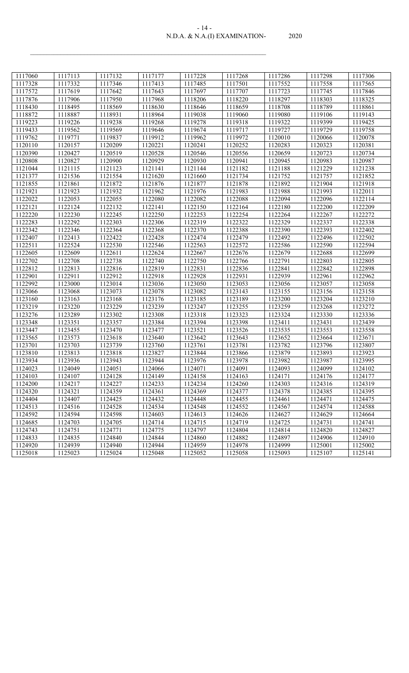| $-14-$                        |       |
|-------------------------------|-------|
| N.D.A. & N.A.(I) EXAMINATION- | 2020. |

| 1117060 | 1117113 | 1117132 | 1117177            | 1117228            | 1117268            | 1117286 | 1117298            | 1117306            |
|---------|---------|---------|--------------------|--------------------|--------------------|---------|--------------------|--------------------|
| 1117328 | 1117332 | 1117346 | 1117413            | 1117485            | 1117501            | 1117552 | 1117558            | 1117565            |
| 1117572 | 1117619 | 1117642 | 1117643            | 1117697            | 1117707            | 1117723 | 1117745            | 1117846            |
| 1117876 | 1117906 | 1117950 | 1117968            | 1118206            | 1118220            | 1118297 | 1118303            | 1118325            |
| 1118430 | 1118495 | 1118569 | 1118630            | 1118646            | 1118659            | 1118708 | 1118789            | 1118861            |
| 1118872 | 1118887 | 1118931 | 1118964            | 1119038            | 1119060            | 1119080 | 1119106            | 1119143            |
| 1119223 | 1119226 | 1119238 | 1119268            | 1119278            | 1119318            | 1119322 | 1119399            | 1119425            |
| 1119433 | 1119562 | 1119569 | 1119646            | 1119674            | 1119717            | 1119727 | 1119729            | 1119758            |
| 1119762 | 1119771 | 1119837 | 1119912            | 1119962            | 1119972            | 1120010 | 1120066            | 1120078            |
| 1120110 | 1120157 | 1120209 | 1120221            | 1120241            | 1120252            | 1120283 | 1120323            | 1120381            |
| 1120390 | 1120427 | 1120519 | 1120528            | 1120546            | 1120556            | 1120659 | 1120723            | 1120734            |
| 1120808 | 1120827 | 1120900 | 1120929            | 1120930            | 1120941            | 1120945 | 1120983            | 1120987            |
| 1121044 | 1121115 | 1121123 | 1121141            | 1121144            | 1121182            | 1121188 | 1121229            | 1121238            |
| 1121377 | 1121536 | 1121554 | 1121620            | 1121660            | 1121734            | 1121752 | 1121757            | 1121852            |
| 1121855 | 1121861 | 1121872 | 1121876            | 1121877            | 1121878            | 1121892 | 1121904            | 1121918            |
| 1121921 | 1121923 | 1121932 | 1121962            | 1121976            | 1121983            | 1121988 | 1121993            | 1122011            |
| 1122022 | 1122053 | 1122055 | 1122080            | 1122082            | 1122088            | 1122094 | 1122096            | 1122114            |
| 1122121 | 1122124 | 1122132 | 1122141            | 1122150            | 1122164            | 1122180 | 1122200            | 1122209            |
| 1122220 | 1122230 | 1122245 | 1122250            | 1122253            | 1122254            | 1122264 | 1122267            | 1122272            |
| 1122283 | 1122292 | 1122303 | 1122306            | 1122319            | 1122322            | 1122329 | 1122337            | 1122338            |
| 1122342 | 1122346 | 1122364 | 1122368            | 1122370            | 1122388            | 1122390 | 1122393            | 1122402            |
| 1122407 | 1122413 | 1122422 | 1122428            | 1122474            | 1122479            | 1122492 | 1122496            | 1122502            |
| 1122511 | 1122524 | 1122530 | 1122546            | 1122563            | 1122572            | 1122586 | 1122590            | 1122594            |
| 1122605 | 1122609 | 1122611 | 1122624            | 1122667            | 1122676            | 1122679 | 1122688            | 1122699            |
| 1122702 | 1122708 | 1122738 | 1122740            | 1122750            | 1122766            | 1122791 | 1122803            | 1122805            |
| 1122812 | 1122813 | 1122816 | 1122819            | 1122831            | 1122836            | 1122841 | 1122842            | 1122898            |
| 1122901 | 1122911 | 1122912 | 1122918            | 1122928            | 1122931            | 1122939 | 1122961            | 1122962            |
| 1122992 | 1123000 | 1123014 | 1123036            | 1123050            | 1123053            | 1123056 | 1123057            | 1123058            |
| 1123066 | 1123068 | 1123073 | 1123078            | 1123082            | 1123143            | 1123155 | 1123156            | 1123158            |
| 1123160 | 1123163 | 1123168 | 1123176            | 1123185            | 1123189            | 1123200 | 1123204            | 1123210            |
| 1123219 | 1123220 | 1123229 | 1123239            | 1123247            | 1123255            | 1123259 | 1123268            | 1123272            |
| 1123276 | 1123289 | 1123302 | 1123308            | 1123318            | 1123323            | 1123324 | 1123330            | 1123336            |
| 1123348 | 1123351 | 1123357 | 1123384            | 1123394            | 1123398            | 1123411 | 1123431            | 1123439            |
| 1123447 | 1123455 | 1123470 | 1123477            | 1123521            | 1123526            | 1123535 | 1123553            | 1123558            |
| 1123565 | 1123573 | 1123618 | 1123640            | 1123642            | 1123643            | 1123652 | 1123664            | 1123671            |
| 1123701 | 1123703 | 1123739 | 1123760            | 1123761            | 1123781            | 1123782 | 1123796            | 1123807            |
| 1123810 | 1123813 | 1123818 | 1123827            | 1123844            | 1123866            | 1123879 | 1123893            | 1123923            |
| 1123934 | 1123936 | 1123943 | 1123944            | 1123976            | 1123978            | 1123982 | 1123987            | 1123995            |
| 1124023 | 1124049 | 1124051 | 1124066            | 1124071            | 1124091            | 1124093 | 1124099            | 1124102            |
| 1124103 | 1124107 | 1124128 | 1124149            | 1124158            | 1124163            | 1124171 | 1124176            | 1124177            |
| 1124200 | 1124217 | 1124227 | 1124233            | 1124234            | 1124260            | 1124303 | 1124316            | 1124319            |
| 1124320 | 1124321 | 1124359 | 1124361            | 1124369            | 1124377            | 1124378 | 1124385            | 1124395            |
| 1124404 | 1124407 | 1124425 | 1124432            | 1124448            | 1124455            | 1124461 | 1124471            | 1124475            |
| 1124513 | 1124516 | 1124528 | 1124534            | 1124548            | 1124552            | 1124567 | 1124574            | 1124588            |
| 1124592 | 1124594 | 1124598 | 1124603            |                    |                    | 1124627 |                    |                    |
| 1124685 | 1124703 | 1124705 | 1124714            | 1124613<br>1124715 | 1124626<br>1124719 | 1124725 | 1124629<br>1124731 | 1124664<br>1124741 |
| 1124743 | 1124751 | 1124771 |                    | 1124797            | 1124804            | 1124814 | 1124820            |                    |
| 1124833 | 1124835 | 1124840 | 1124775<br>1124844 | 1124860            | 1124882            | 1124897 | 1124906            | 1124827<br>1124910 |
| 1124920 | 1124939 | 1124940 | 1124944            | 1124959            | 1124978            | 1124999 | 1125001            | 1125002            |
| 1125018 | 1125023 | 1125024 | 1125048            | 1125052            | 1125058            | 1125093 | 1125107            | 1125141            |
|         |         |         |                    |                    |                    |         |                    |                    |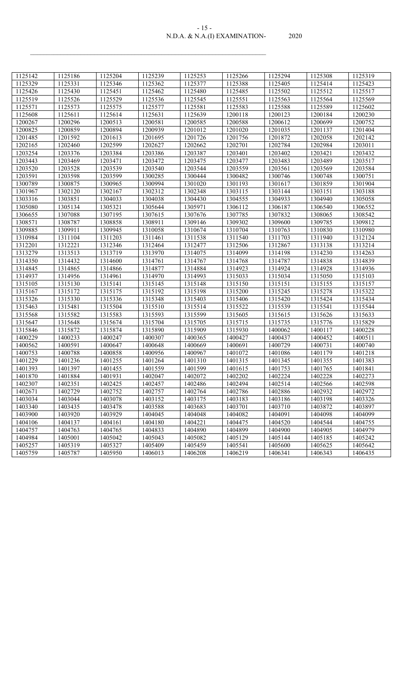| $-12-$                        |       |
|-------------------------------|-------|
| N.D.A. & N.A.(I) EXAMINATION- | 2020. |

| 1125142 | 1125186 | 1125204 | 1125239 | 1125253 | 1125266 | 1125294 | 1125308 | 1125319 |
|---------|---------|---------|---------|---------|---------|---------|---------|---------|
| 1125329 | 1125331 | 1125346 | 1125362 | 1125377 | 1125388 | 1125405 | 1125414 | 1125423 |
| 1125426 | 1125430 | 1125451 | 1125462 | 1125480 | 1125485 | 1125502 | 1125512 | 1125517 |
| 1125519 | 1125526 | 1125529 | 1125536 | 1125545 | 1125551 | 1125563 | 1125564 | 1125569 |
| 1125571 | 1125573 | 1125575 | 1125577 | 1125581 | 1125583 | 1125588 | 1125589 | 1125602 |
| 1125608 | 1125611 | 1125614 | 1125631 | 1125639 | 1200118 | 1200123 | 1200184 | 1200230 |
| 1200267 | 1200296 | 1200513 | 1200581 | 1200585 | 1200588 | 1200612 | 1200699 | 1200752 |
| 1200825 | 1200859 | 1200894 | 1200939 | 1201012 | 1201020 | 1201035 | 1201137 | 1201404 |
| 1201485 | 1201592 | 1201613 | 1201695 | 1201726 | 1201756 | 1201872 | 1202058 | 1202142 |
| 1202165 | 1202460 | 1202599 | 1202627 | 1202662 | 1202701 | 1202784 | 1202984 | 1203011 |
| 1203254 | 1203376 | 1203384 | 1203386 | 1203387 | 1203401 | 1203402 | 1203421 | 1203432 |
| 1203443 | 1203469 | 1203471 | 1203472 | 1203475 | 1203477 | 1203483 | 1203489 | 1203517 |
| 1203520 | 1203528 | 1203539 | 1203540 | 1203544 | 1203559 | 1203561 | 1203569 | 1203584 |
| 1203591 | 1203598 | 1203599 | 1300285 | 1300444 | 1300482 | 1300746 | 1300748 | 1300751 |
| 1300789 | 1300875 | 1300965 | 1300994 | 1301020 | 1301193 | 1301617 | 1301859 | 1301904 |
| 1301967 | 1302120 | 1302167 | 1302312 | 1302348 | 1303115 | 1303144 | 1303151 | 1303188 |
| 1303316 | 1303851 | 1304033 | 1304038 | 1304430 | 1304555 | 1304933 | 1304940 | 1305058 |
| 1305080 | 1305134 | 1305321 | 1305644 | 1305971 | 1306112 | 1306187 | 1306540 | 1306552 |
| 1306655 | 1307088 | 1307195 | 1307615 | 1307676 | 1307785 | 1307832 | 1308065 | 1308542 |
| 1308571 | 1308787 | 1308858 | 1308911 | 1309146 | 1309302 | 1309600 | 1309785 | 1309812 |
| 1309885 | 1309911 | 1309945 | 1310058 | 1310674 | 1310704 | 1310763 | 1310830 | 1310980 |
| 1310984 | 1311104 | 1311203 | 1311461 | 1311538 | 1311540 | 1311703 | 1311940 | 1312124 |
| 1312201 | 1312221 | 1312346 | 1312464 | 1312477 | 1312506 | 1312867 | 1313138 | 1313214 |
| 1313279 | 1313513 | 1313719 | 1313970 | 1314075 | 1314099 | 1314198 | 1314230 | 1314263 |
| 1314350 | 1314432 | 1314600 | 1314761 | 1314767 | 1314768 | 1314787 | 1314838 | 1314839 |
| 1314845 | 1314865 | 1314866 | 1314877 | 1314884 | 1314923 | 1314924 | 1314928 | 1314936 |
| 1314937 | 1314956 | 1314961 | 1314970 | 1314993 | 1315033 | 1315034 | 1315050 | 1315103 |
| 1315105 | 1315130 | 1315141 | 1315145 | 1315148 | 1315150 | 1315151 | 1315155 | 1315157 |
| 1315167 | 1315172 | 1315175 | 1315192 | 1315198 | 1315200 | 1315245 | 1315278 | 1315322 |
| 1315326 | 1315330 | 1315336 | 1315348 | 1315403 | 1315406 | 1315420 | 1315424 | 1315434 |
| 1315463 | 1315481 | 1315504 | 1315510 | 1315514 | 1315522 | 1315539 | 1315541 | 1315544 |
| 1315568 | 1315582 | 1315583 | 1315593 | 1315599 | 1315605 | 1315615 | 1315626 | 1315633 |
| 1315647 | 1315648 | 1315674 | 1315704 | 1315705 | 1315715 | 1315735 | 1315776 | 1315829 |
| 1315846 | 1315872 | 1315874 | 1315890 | 1315909 | 1315930 | 1400062 | 1400117 | 1400228 |
| 1400229 | 1400233 | 1400247 | 1400307 | 1400365 | 1400427 | 1400437 | 1400452 | 1400511 |
| 1400562 | 1400591 | 1400647 | 1400648 | 1400669 | 1400691 | 1400729 | 1400731 | 1400740 |
| 1400753 | 1400788 | 1400858 | 1400956 | 1400967 | 1401072 | 1401086 | 1401179 | 1401218 |
| 1401229 | 1401236 | 1401255 | 1401264 | 1401310 | 1401315 | 1401345 | 1401355 | 1401383 |
| 1401393 | 1401397 | 1401455 | 1401559 | 1401599 | 1401615 | 1401753 | 1401765 | 1401841 |
| 1401870 | 1401884 | 1401931 | 1402047 | 1402072 | 1402202 | 1402224 | 1402228 | 1402273 |
| 1402307 | 1402351 | 1402425 | 1402457 | 1402486 | 1402494 | 1402514 | 1402566 | 1402598 |
| 1402671 | 1402729 | 1402752 | 1402757 | 1402764 | 1402786 | 1402886 | 1402932 | 1402972 |
| 1403034 | 1403044 | 1403078 | 1403152 | 1403175 | 1403183 | 1403186 | 1403198 | 1403326 |
| 1403340 | 1403435 | 1403478 | 1403588 | 1403683 | 1403701 | 1403710 | 1403872 | 1403897 |
| 1403900 | 1403920 | 1403929 | 1404045 | 1404048 | 1404082 | 1404091 | 1404098 | 1404099 |
| 1404106 | 1404137 | 1404161 | 1404180 | 1404221 | 1404475 | 1404520 | 1404544 | 1404755 |
| 1404757 | 1404763 | 1404765 | 1404833 | 1404890 | 1404899 | 1404900 | 1404905 | 1404979 |
| 1404984 | 1405001 | 1405042 | 1405043 | 1405082 | 1405129 | 1405144 | 1405185 | 1405242 |
| 1405257 | 1405319 | 1405327 | 1405409 | 1405459 | 1405541 | 1405600 | 1405625 | 1405642 |
| 1405759 | 1405787 | 1405950 | 1406013 | 1406208 | 1406219 | 1406341 | 1406343 | 1406435 |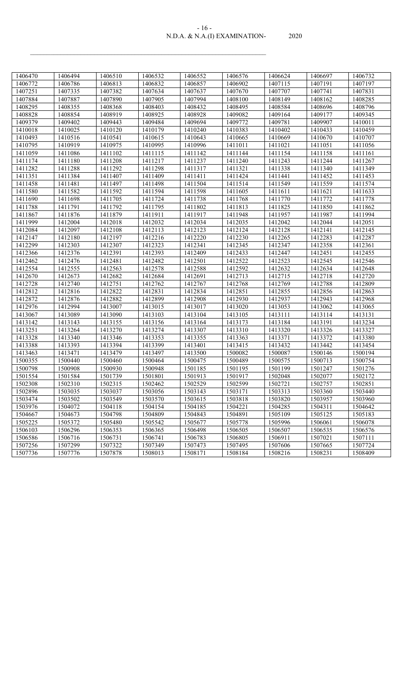#### N.D.A. & N.A.(I) EXAMINATION- 2020 - 16 -

| 1406470 | 1406494 | 1406510 | 1406532 | 1406552 | 1406576 | 1406624 | 1406697 | 1406732 |
|---------|---------|---------|---------|---------|---------|---------|---------|---------|
| 1406772 | 1406786 | 1406813 | 1406832 | 1406857 | 1406902 | 1407115 | 1407191 | 1407197 |
| 1407251 | 1407335 | 1407382 | 1407634 | 1407637 | 1407670 | 1407707 | 1407741 | 1407831 |
| 1407884 | 1407887 | 1407890 | 1407905 | 1407994 | 1408100 | 1408149 | 1408162 | 1408285 |
| 1408295 | 1408355 | 1408368 | 1408403 | 1408432 | 1408495 | 1408584 | 1408696 | 1408796 |
| 1408828 | 1408854 | 1408919 | 1408925 | 1408928 | 1409082 | 1409164 | 1409177 | 1409345 |
| 1409379 | 1409402 | 1409443 | 1409484 | 1409694 | 1409772 | 1409781 | 1409907 | 1410011 |
| 1410018 | 1410025 | 1410120 | 1410179 | 1410240 | 1410383 | 1410402 | 1410433 | 1410459 |
| 1410493 | 1410516 | 1410541 | 1410615 | 1410643 | 1410665 | 1410669 | 1410670 | 1410707 |
| 1410795 | 1410919 | 1410975 | 1410995 | 1410996 | 1411011 | 1411021 | 1411051 | 1411056 |
| 1411059 | 1411086 | 1411102 | 1411115 | 1411142 | 1411144 | 1411154 | 1411158 | 1411161 |
| 1411174 | 1411180 | 1411208 | 1411217 | 1411237 | 1411240 | 1411243 | 1411244 | 1411267 |
| 1411282 | 1411288 | 1411292 | 1411298 | 1411317 | 1411321 | 1411338 | 1411340 | 1411349 |
| 1411351 | 1411384 | 1411407 | 1411409 | 1411411 | 1411424 | 1411441 | 1411452 | 1411453 |
| 1411458 | 1411481 | 1411497 | 1411498 | 1411504 | 1411514 | 1411549 | 1411559 | 1411574 |
| 1411580 | 1411582 | 1411592 | 1411594 | 1411598 | 1411605 | 1411611 | 1411621 | 1411633 |
| 1411690 | 1411698 | 1411705 | 1411724 | 1411738 | 1411768 | 1411770 | 1411772 | 1411778 |
| 1411788 | 1411791 | 1411792 | 1411795 | 1411802 | 1411813 | 1411825 | 1411850 | 1411862 |
| 1411867 | 1411876 | 1411879 | 1411911 | 1411917 | 1411948 | 1411957 | 1411987 | 1411994 |
| 1411999 | 1412004 | 1412018 | 1412032 | 1412034 | 1412035 | 1412042 | 1412044 | 1412051 |
| 1412084 | 1412097 | 1412108 | 1412113 | 1412123 | 1412124 | 1412128 | 1412141 | 1412145 |
| 1412147 | 1412180 | 1412197 | 1412216 | 1412220 | 1412230 | 1412265 | 1412283 | 1412287 |
| 1412299 | 1412303 | 1412307 | 1412323 | 1412341 | 1412345 | 1412347 | 1412358 | 1412361 |
| 1412366 | 1412376 | 1412391 | 1412393 | 1412409 | 1412433 | 1412447 | 1412451 | 1412455 |
| 1412462 | 1412476 | 1412481 | 1412482 | 1412501 | 1412522 | 1412523 | 1412545 | 1412546 |
| 1412554 | 1412555 | 1412563 | 1412578 | 1412588 | 1412592 | 1412632 | 1412634 | 1412648 |
| 1412670 | 1412673 | 1412682 | 1412684 | 1412691 | 1412713 | 1412715 | 1412718 | 1412720 |
| 1412728 | 1412740 | 1412751 | 1412762 | 1412767 | 1412768 | 1412769 | 1412788 | 1412809 |
| 1412812 | 1412816 | 1412822 | 1412831 | 1412834 | 1412851 | 1412855 | 1412856 | 1412863 |
| 1412872 | 1412876 | 1412882 | 1412899 | 1412908 | 1412930 | 1412937 | 1412943 | 1412968 |
| 1412976 | 1412994 | 1413007 | 1413015 | 1413017 | 1413020 | 1413053 | 1413062 | 1413065 |
| 1413067 | 1413089 | 1413090 | 1413103 | 1413104 | 1413105 | 1413111 | 1413114 | 1413131 |
| 1413142 | 1413143 | 1413155 | 1413156 | 1413164 | 1413173 | 1413184 | 1413191 | 1413234 |
| 1413251 | 1413264 | 1413270 | 1413274 | 1413307 | 1413310 | 1413320 | 1413326 | 1413327 |
| 1413328 | 1413340 | 1413346 | 1413353 | 1413355 | 1413363 | 1413371 | 1413372 | 1413380 |
| 1413388 | 1413393 | 1413394 | 1413399 | 1413401 | 1413415 | 1413432 | 1413442 | 1413454 |
| 1413463 | 1413471 | 1413479 | 1413497 | 1413500 | 1500082 | 1500087 | 1500146 | 1500194 |
| 1500355 | 1500440 | 1500460 | 1500464 | 1500475 | 1500489 | 1500575 | 1500713 | 1500754 |
| 1500798 | 1500908 | 1500930 | 1500948 | 1501185 | 1501195 | 1501199 | 1501247 | 1501276 |
| 1501554 | 1501584 | 1501739 | 1501801 | 1501913 | 1501917 | 1502048 | 1502077 | 1502172 |
| 1502308 | 1502310 | 1502315 | 1502462 | 1502529 | 1502599 | 1502721 | 1502757 | 1502851 |
| 1502896 | 1503035 | 1503037 | 1503056 | 1503143 | 1503171 | 1503313 | 1503360 | 1503440 |
| 1503474 | 1503502 | 1503549 | 1503570 | 1503615 | 1503818 | 1503820 | 1503957 | 1503960 |
| 1503976 | 1504072 | 1504118 | 1504154 | 1504185 | 1504221 | 1504285 | 1504311 | 1504642 |
| 1504667 | 1504673 | 1504798 | 1504809 | 1504843 | 1504891 | 1505109 | 1505125 | 1505183 |
| 1505225 | 1505372 | 1505480 | 1505542 | 1505677 | 1505778 | 1505996 | 1506061 | 1506078 |
| 1506103 | 1506296 | 1506353 | 1506365 | 1506498 | 1506505 | 1506507 | 1506535 | 1506576 |
| 1506586 | 1506716 | 1506731 | 1506741 | 1506783 | 1506805 | 1506911 | 1507021 | 1507111 |
| 1507256 | 1507299 | 1507322 | 1507349 | 1507473 | 1507495 | 1507606 | 1507665 | 1507724 |
| 1507736 | 1507776 | 1507878 | 1508013 | 1508171 | 1508184 | 1508216 | 1508231 | 1508409 |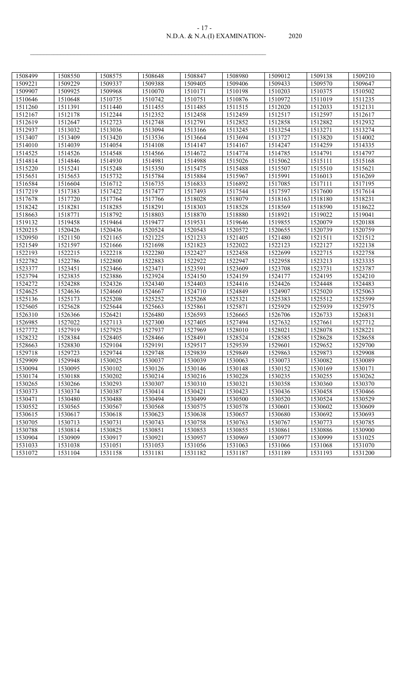| $-1/ -$                       |       |
|-------------------------------|-------|
| N.D.A. & N.A.(I) EXAMINATION- | 2020. |

| 1508499 | 1508550 | 1508575 | 1508648 | 1508847 | 1508980 | 1509012 | 1509138 | 1509210 |
|---------|---------|---------|---------|---------|---------|---------|---------|---------|
| 1509221 | 1509229 | 1509337 | 1509388 | 1509405 | 1509406 | 1509433 | 1509570 | 1509647 |
| 1509907 | 1509925 | 1509968 | 1510070 | 1510171 | 1510198 | 1510203 | 1510375 | 1510502 |
| 1510646 | 1510648 | 1510735 | 1510742 | 1510751 | 1510876 | 1510972 | 1511019 | 1511235 |
| 1511260 | 1511391 | 1511440 | 1511455 | 1511485 | 1511515 | 1512020 | 1512033 | 1512131 |
| 1512167 | 1512178 | 1512244 | 1512352 | 1512458 | 1512459 | 1512517 | 1512597 | 1512617 |
| 1512619 | 1512647 | 1512723 | 1512748 | 1512791 | 1512852 | 1512858 | 1512882 | 1512932 |
| 1512937 | 1513032 | 1513036 | 1513094 | 1513166 | 1513245 | 1513254 | 1513271 | 1513274 |
| 1513407 | 1513409 | 1513420 | 1513536 | 1513664 | 1513694 | 1513727 | 1513820 | 1514002 |
| 1514010 | 1514039 | 1514054 | 1514108 | 1514147 | 1514167 | 1514247 | 1514259 | 1514335 |
| 1514525 | 1514526 | 1514548 | 1514566 | 1514672 | 1514774 | 1514785 | 1514791 | 1514797 |
| 1514814 | 1514846 | 1514930 | 1514981 | 1514988 | 1515026 | 1515062 | 1515111 | 1515168 |
| 1515220 | 1515241 | 1515248 | 1515350 | 1515475 | 1515488 | 1515507 | 1515510 | 1515621 |
| 1515651 | 1515653 | 1515732 | 1515784 | 1515884 | 1515967 | 1515991 | 1516013 | 1516269 |
| 1516584 | 1516604 | 1516712 | 1516735 | 1516833 | 1516892 | 1517085 | 1517111 | 1517195 |
| 1517219 | 1517383 | 1517422 | 1517477 | 1517493 | 1517544 | 1517597 | 1517600 | 1517614 |
| 1517678 | 1517720 | 1517764 | 1517766 | 1518028 | 1518079 | 1518163 | 1518180 | 1518231 |
| 1518242 | 1518281 | 1518285 | 1518291 | 1518303 | 1518528 | 1518569 | 1518590 | 1518622 |
| 1518663 | 1518771 | 1518792 | 1518803 | 1518870 | 1518880 | 1518921 | 1519022 | 1519041 |
| 1519132 | 1519458 | 1519464 | 1519477 | 1519531 | 1519646 | 1519855 | 1520079 | 1520188 |
| 1520215 | 1520426 | 1520436 | 1520524 | 1520543 | 1520572 | 1520655 | 1520739 | 1520759 |
| 1520950 | 1521150 | 1521165 | 1521225 | 1521233 | 1521405 | 1521480 | 1521511 | 1521512 |
| 1521549 | 1521597 | 1521666 | 1521698 | 1521823 | 1522022 | 1522123 | 1522127 | 1522138 |
| 1522193 | 1522215 | 1522218 | 1522280 | 1522427 | 1522458 | 1522699 | 1522715 | 1522758 |
| 1522782 | 1522786 | 1522800 | 1522883 | 1522922 | 1522947 | 1522958 | 1523213 | 1523335 |
| 1523377 | 1523451 | 1523466 | 1523471 | 1523591 | 1523609 | 1523708 | 1523731 | 1523787 |
| 1523794 | 1523835 | 1523886 | 1523924 | 1524150 | 1524159 | 1524177 | 1524195 | 1524210 |
| 1524272 | 1524288 | 1524326 | 1524340 | 1524403 | 1524416 | 1524426 | 1524448 | 1524483 |
| 1524625 | 1524636 | 1524660 | 1524667 | 1524710 | 1524849 | 1524907 | 1525020 | 1525063 |
| 1525136 | 1525173 | 1525208 | 1525252 | 1525268 | 1525321 | 1525383 | 1525512 | 1525599 |
| 1525605 | 1525628 | 1525644 | 1525663 | 1525861 | 1525871 | 1525929 | 1525939 | 1525975 |
| 1526310 | 1526366 | 1526421 | 1526480 | 1526593 | 1526665 | 1526706 | 1526733 | 1526831 |
| 1526985 | 1527022 | 1527113 | 1527300 | 1527405 | 1527494 | 1527632 | 1527661 | 1527712 |
| 1527772 | 1527919 | 1527925 | 1527937 | 1527969 | 1528010 | 1528021 | 1528078 | 1528221 |
| 1528232 | 1528384 | 1528405 | 1528466 | 1528491 | 1528524 | 1528585 | 1528628 | 1528658 |
| 1528663 | 1528830 | 1529104 | 1529191 | 1529517 | 1529539 | 1529601 | 1529652 | 1529700 |
| 1529718 | 1529723 | 1529744 | 1529748 | 1529839 | 1529849 | 1529863 | 1529873 | 1529908 |
| 1529909 | 1529948 | 1530025 | 1530037 | 1530039 | 1530063 | 1530073 | 1530082 | 1530089 |
| 1530094 | 1530095 | 1530102 | 1530126 | 1530146 | 1530148 | 1530152 | 1530169 | 1530171 |
| 1530174 | 1530188 | 1530202 | 1530214 | 1530216 | 1530228 | 1530235 | 1530255 | 1530262 |
| 1530265 | 1530266 | 1530293 | 1530307 | 1530310 | 1530321 | 1530358 | 1530360 | 1530370 |
| 1530373 | 1530374 | 1530387 | 1530414 | 1530421 | 1530423 | 1530436 | 1530458 | 1530466 |
| 1530471 | 1530480 | 1530488 | 1530494 | 1530499 | 1530500 | 1530520 | 1530524 | 1530529 |
| 1530552 | 1530565 | 1530567 | 1530568 | 1530575 | 1530578 | 1530601 | 1530602 | 1530609 |
| 1530615 | 1530617 | 1530618 | 1530623 | 1530638 | 1530657 | 1530680 | 1530692 | 1530693 |
| 1530705 | 1530713 | 1530731 | 1530743 | 1530758 | 1530763 | 1530767 | 1530773 | 1530785 |
| 1530788 | 1530814 | 1530825 | 1530851 | 1530853 | 1530855 | 1530861 | 1530886 | 1530900 |
| 1530904 | 1530909 | 1530917 | 1530921 | 1530957 | 1530969 | 1530977 | 1530999 | 1531025 |
| 1531033 | 1531038 | 1531051 | 1531053 | 1531056 | 1531063 | 1531066 | 1531068 | 1531070 |
| 1531072 | 1531104 | 1531158 | 1531181 | 1531182 | 1531187 | 1531189 | 1531193 | 1531200 |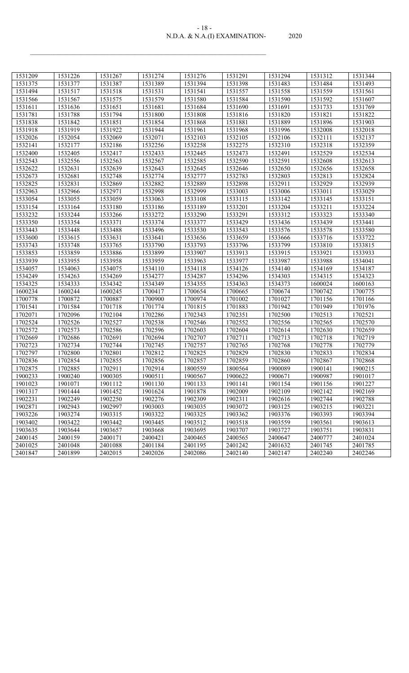| $-18-$                        |       |
|-------------------------------|-------|
| N.D.A. & N.A.(I) EXAMINATION- | 2020. |

| 1531209 | 1531226 | 1531267 | 1531274 | 1531276 | 1531291 | 1531294 | 1531312 | 1531344 |
|---------|---------|---------|---------|---------|---------|---------|---------|---------|
| 1531375 | 1531377 | 1531387 | 1531389 | 1531394 | 1531398 | 1531483 | 1531484 | 1531493 |
| 1531494 | 1531517 | 1531518 | 1531531 | 1531541 | 1531557 | 1531558 | 1531559 | 1531561 |
| 1531566 | 1531567 | 1531575 | 1531579 | 1531580 | 1531584 | 1531590 | 1531592 | 1531607 |
| 1531611 | 1531636 | 1531651 | 1531681 | 1531684 | 1531690 | 1531691 | 1531733 | 1531769 |
| 1531781 | 1531788 | 1531794 | 1531800 | 1531808 | 1531816 | 1531820 | 1531821 | 1531822 |
| 1531838 | 1531842 | 1531851 | 1531854 | 1531868 | 1531881 | 1531889 | 1531896 | 1531903 |
| 1531918 | 1531919 | 1531922 | 1531944 | 1531961 | 1531968 | 1531996 | 1532008 | 1532018 |
| 1532026 | 1532054 | 1532069 | 1532071 | 1532103 | 1532105 | 1532106 | 1532111 | 1532137 |
| 1532141 | 1532177 | 1532186 | 1532256 | 1532258 | 1532275 | 1532310 | 1532318 | 1532359 |
| 1532400 | 1532405 | 1532417 | 1532433 | 1532445 | 1532473 | 1532491 | 1532529 | 1532534 |
| 1532543 | 1532556 | 1532563 | 1532567 | 1532585 | 1532590 | 1532591 | 1532608 | 1532613 |
| 1532622 | 1532631 | 1532639 | 1532643 | 1532645 | 1532646 | 1532650 | 1532656 | 1532658 |
| 1532673 | 1532681 | 1532748 | 1532774 | 1532777 | 1532783 | 1532803 | 1532813 | 1532824 |
| 1532825 | 1532831 | 1532869 | 1532882 | 1532889 | 1532898 | 1532911 | 1532929 | 1532939 |
| 1532963 | 1532966 | 1532971 | 1532998 | 1532999 | 1533003 | 1533006 | 1533011 | 1533029 |
| 1533054 | 1533055 | 1533059 | 1533063 | 1533108 | 1533115 | 1533142 | 1533145 | 1533151 |
| 1533154 | 1533164 | 1533180 | 1533186 | 1533189 | 1533201 | 1533204 | 1533211 | 1533224 |
| 1533232 | 1533244 | 1533266 | 1533272 | 1533290 | 1533291 | 1533312 | 1533323 | 1533340 |
| 1533350 | 1533354 | 1533371 | 1533374 | 1533377 | 1533429 | 1533436 | 1533439 | 1533441 |
| 1533443 | 1533448 | 1533488 | 1533496 | 1533530 | 1533543 | 1533576 | 1533578 | 1533580 |
| 1533600 | 1533615 | 1533631 | 1533641 | 1533656 | 1533659 | 1533666 | 1533716 | 1533722 |
| 1533743 | 1533748 | 1533765 | 1533790 | 1533793 | 1533796 | 1533799 | 1533810 | 1533815 |
| 1533853 | 1533859 | 1533886 | 1533899 | 1533907 | 1533913 | 1533915 | 1533921 | 1533933 |
| 1533939 | 1533955 | 1533958 | 1533959 | 1533963 | 1533977 | 1533987 | 1533988 | 1534041 |
| 1534057 | 1534063 | 1534075 | 1534110 | 1534118 | 1534126 | 1534140 | 1534169 | 1534187 |
| 1534249 | 1534263 | 1534269 | 1534277 | 1534287 | 1534296 | 1534303 | 1534315 | 1534323 |
| 1534325 | 1534333 | 1534342 | 1534349 | 1534355 | 1534363 | 1534373 | 1600024 | 1600163 |
| 1600234 | 1600244 | 1600245 | 1700417 | 1700654 | 1700665 | 1700674 | 1700742 | 1700775 |
| 1700778 | 1700872 | 1700887 | 1700900 | 1700974 | 1701002 | 1701027 | 1701156 | 1701166 |
| 1701541 | 1701584 | 1701718 | 1701774 | 1701815 | 1701883 | 1701942 | 1701949 | 1701976 |
| 1702071 | 1702096 | 1702104 | 1702286 | 1702343 | 1702351 | 1702500 | 1702513 | 1702521 |
| 1702524 | 1702526 | 1702527 | 1702538 | 1702546 | 1702552 | 1702556 | 1702565 | 1702570 |
| 1702572 | 1702573 | 1702586 | 1702596 | 1702603 | 1702604 | 1702614 | 1702630 | 1702659 |
| 1702669 | 1702686 | 1702691 | 1702694 | 1702707 | 1702711 | 1702713 | 1702718 | 1702719 |
| 1702723 | 1702734 | 1702744 | 1702745 | 1702757 | 1702765 | 1702768 | 1702778 | 1702779 |
| 1702797 | 1702800 | 1702801 | 1702812 | 1702825 | 1702829 | 1702830 | 1702833 | 1702834 |
| 1702836 | 1702854 | 1702855 | 1702856 | 1702857 | 1702859 | 1702860 | 1702867 | 1702868 |
| 1702875 | 1702885 | 1702911 | 1702914 | 1800559 | 1800564 | 1900089 | 1900141 | 1900215 |
| 1900233 | 1900240 | 1900305 | 1900511 | 1900567 | 1900622 | 1900671 | 1900987 | 1901017 |
| 1901023 | 1901071 | 1901112 | 1901130 | 1901133 | 1901141 | 1901154 | 1901156 | 1901227 |
| 1901317 | 1901444 | 1901452 | 1901624 | 1901878 | 1902009 | 1902109 | 1902142 | 1902169 |
| 1902231 | 1902249 | 1902250 | 1902276 | 1902309 | 1902311 | 1902616 | 1902744 | 1902788 |
| 1902871 | 1902943 | 1902997 | 1903003 | 1903035 | 1903072 | 1903125 | 1903215 | 1903221 |
| 1903226 | 1903274 | 1903315 | 1903322 | 1903325 | 1903362 | 1903376 | 1903393 | 1903394 |
| 1903402 | 1903422 | 1903442 | 1903445 | 1903512 | 1903518 | 1903559 | 1903561 | 1903613 |
| 1903635 | 1903644 | 1903657 | 1903668 | 1903695 | 1903707 | 1903727 | 1903751 | 1903831 |
| 2400145 | 2400159 | 2400171 | 2400421 | 2400465 | 2400565 | 2400647 | 2400777 | 2401024 |
| 2401025 | 2401048 | 2401088 | 2401184 | 2401195 | 2401242 | 2401632 | 2401745 | 2401785 |
| 2401847 | 2401899 | 2402015 | 2402026 | 2402086 | 2402140 | 2402147 | 2402240 | 2402246 |
|         |         |         |         |         |         |         |         |         |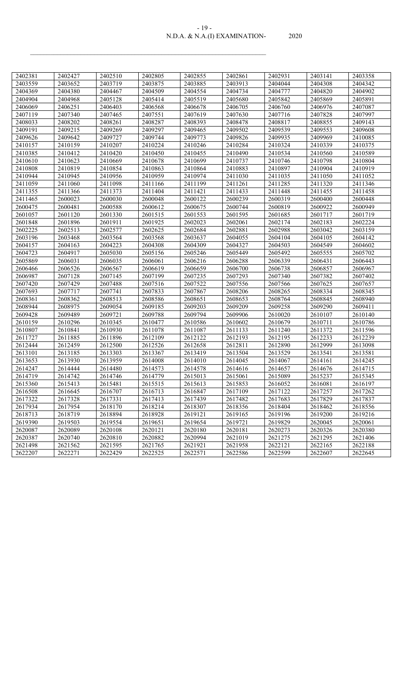## N.D.A. & N.A.(I) EXAMINATION- 2020 - 19 -

| 2402381 | 2402427 | 2402510 | 2402805 | 2402855 | 2402861 | 2402931 | 2403141 | 2403358 |
|---------|---------|---------|---------|---------|---------|---------|---------|---------|
| 2403559 | 2403652 | 2403719 | 2403875 | 2403885 | 2403913 | 2404044 | 2404308 | 2404342 |
| 2404369 | 2404380 | 2404467 | 2404509 | 2404554 | 2404734 | 2404777 | 2404820 | 2404902 |
| 2404904 | 2404968 | 2405128 | 2405414 | 2405519 | 2405680 | 2405842 | 2405869 | 2405891 |
| 2406069 | 2406251 | 2406403 | 2406568 | 2406678 | 2406705 | 2406760 | 2406976 | 2407087 |
| 2407119 | 2407340 | 2407465 | 2407551 | 2407619 | 2407630 | 2407716 | 2407828 | 2407997 |
| 2408033 | 2408202 | 2408261 | 2408287 | 2408393 | 2408478 | 2408817 | 2408855 | 2409143 |
| 2409191 | 2409215 | 2409269 | 2409297 | 2409465 | 2409502 | 2409539 | 2409553 | 2409608 |
| 2409626 | 2409642 | 2409727 | 2409744 | 2409773 | 2409826 | 2409935 | 2409969 | 2410085 |
| 2410157 | 2410159 | 2410207 | 2410224 | 2410246 | 2410284 | 2410324 | 2410339 | 2410375 |
| 2410385 | 2410412 | 2410420 | 2410450 | 2410455 | 2410490 | 2410534 | 2410560 | 2410589 |
| 2410610 | 2410623 | 2410669 | 2410678 | 2410699 | 2410737 | 2410746 | 2410798 | 2410804 |
| 2410808 | 2410819 | 2410854 | 2410863 | 2410864 | 2410883 | 2410897 | 2410904 | 2410919 |
| 2410944 | 2410945 | 2410956 | 2410959 | 2410974 | 2411030 | 2411035 | 2411050 | 2411052 |
| 2411059 | 2411060 | 2411098 | 2411166 | 2411199 | 2411261 | 2411285 | 2411320 | 2411346 |
| 2411355 | 2411366 | 2411373 | 2411404 | 2411421 | 2411433 | 2411448 | 2411455 | 2411458 |
| 2411465 | 2600023 | 2600030 | 2600048 | 2600122 | 2600239 | 2600319 | 2600400 | 2600448 |
| 2600475 | 2600481 | 2600588 | 2600612 | 2600675 | 2600744 | 2600819 | 2600922 | 2600949 |
| 2601057 | 2601120 | 2601330 | 2601515 | 2601553 | 2601595 | 2601685 | 2601717 | 2601719 |
| 2601848 | 2601896 | 2601911 | 2601925 | 2602023 | 2602061 | 2602174 | 2602183 | 2602224 |
| 2602225 | 2602513 | 2602577 | 2602625 | 2602684 | 2602881 | 2602988 | 2603042 | 2603159 |
| 2603196 | 2603468 | 2603564 | 2603568 | 2603637 | 2604055 | 2604104 | 2604105 | 2604142 |
| 2604157 | 2604163 | 2604223 | 2604308 | 2604309 | 2604327 | 2604503 | 2604549 | 2604602 |
| 2604723 | 2604917 | 2605030 | 2605156 | 2605246 | 2605449 | 2605492 | 2605555 | 2605702 |
| 2605869 | 2606031 | 2606035 | 2606061 | 2606216 | 2606288 | 2606339 | 2606431 | 2606443 |
| 2606466 | 2606526 | 2606567 | 2606619 | 2606659 | 2606700 | 2606738 | 2606857 | 2606967 |
| 2606987 | 2607128 | 2607145 | 2607199 | 2607235 | 2607293 | 2607340 | 2607382 | 2607402 |
| 2607420 | 2607429 | 2607488 | 2607516 | 2607522 | 2607556 | 2607566 | 2607625 | 2607657 |
| 2607693 | 2607717 | 2607741 | 2607833 | 2607867 | 2608206 | 2608265 | 2608334 | 2608345 |
| 2608361 | 2608362 | 2608513 | 2608586 | 2608651 | 2608653 | 2608764 | 2608845 | 2608940 |
| 2608944 | 2608975 | 2609054 | 2609185 | 2609203 | 2609209 | 2609258 | 2609290 | 2609411 |
| 2609428 | 2609489 | 2609721 | 2609788 | 2609794 | 2609906 | 2610020 | 2610107 | 2610140 |
| 2610159 | 2610296 | 2610345 | 2610477 | 2610586 | 2610602 | 2610679 | 2610711 | 2610786 |
| 2610807 | 2610841 | 2610930 | 2611078 | 2611087 | 2611133 | 2611240 | 2611372 | 2611596 |
| 2611727 | 2611885 | 2611896 | 2612109 | 2612122 | 2612193 | 2612195 | 2612233 | 2612239 |
| 2612444 | 2612459 | 2612500 | 2612526 | 2612658 | 2612811 | 2612890 | 2612999 | 2613098 |
| 2613101 | 2613185 | 2613303 | 2613367 | 2613419 | 2613504 | 2613529 | 2613541 | 2613581 |
| 2613653 | 2613930 | 2613959 | 2614008 | 2614010 | 2614045 | 2614067 | 2614161 | 2614245 |
| 2614247 | 2614444 | 2614480 | 2614573 | 2614578 | 2614616 | 2614657 | 2614676 | 2614715 |
| 2614719 | 2614742 | 2614746 | 2614779 | 2615013 | 2615061 | 2615089 | 2615237 | 2615345 |
| 2615360 | 2615413 | 2615481 | 2615515 | 2615613 | 2615853 | 2616052 | 2616081 | 2616197 |
| 2616508 | 2616645 | 2616707 | 2616713 | 2616847 | 2617109 | 2617122 | 2617257 | 2617262 |
| 2617322 | 2617328 | 2617331 | 2617413 | 2617439 | 2617482 | 2617683 | 2617829 | 2617837 |
| 2617934 | 2617954 | 2618170 | 2618214 | 2618307 | 2618356 | 2618404 | 2618462 | 2618556 |
| 2618713 | 2618719 | 2618894 | 2618928 | 2619121 | 2619165 | 2619196 | 2619200 | 2619216 |
| 2619390 | 2619503 | 2619554 | 2619651 | 2619654 | 2619721 | 2619829 | 2620045 | 2620061 |
| 2620087 | 2620089 | 2620108 | 2620121 | 2620180 | 2620181 | 2620273 | 2620326 | 2620380 |
| 2620387 | 2620740 | 2620810 | 2620882 | 2620994 | 2621019 | 2621275 | 2621295 | 2621406 |
| 2621498 | 2621562 | 2621595 | 2621765 | 2621921 | 2621958 | 2622121 | 2622165 | 2622188 |
| 2622207 | 2622271 | 2622429 | 2622525 | 2622571 | 2622586 | 2622599 | 2622607 | 2622645 |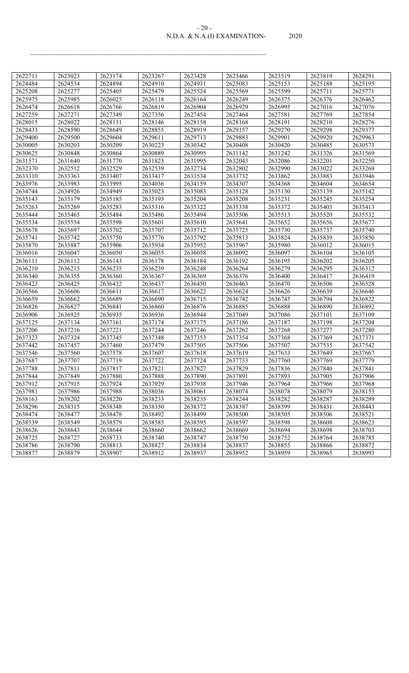### N.D.A. & N.A.(I) EXAMINATION- 2020 - 20 -

| 2622711 | 2623023 | 2623174 | 2623267 | 2623428 | 2623466 | 2623519 | 2623819 | 2624291 |
|---------|---------|---------|---------|---------|---------|---------|---------|---------|
| 2624484 | 2624534 | 2624894 | 2624910 | 2624931 | 2625083 | 2625153 | 2625188 | 2625195 |
| 2625208 | 2625277 | 2625405 | 2625479 | 2625524 | 2625569 | 2625599 | 2625711 | 2625771 |
| 2625975 | 2625985 | 2626025 | 2626118 | 2626164 | 2626249 | 2626375 | 2626376 | 2626462 |
| 2626474 | 2626618 | 2626766 | 2626819 | 2626904 | 2626929 | 2626995 | 2627016 | 2627076 |
| 2627259 | 2627271 | 2627349 | 2627356 | 2627454 | 2627464 | 2627581 | 2627769 | 2627854 |
| 2628015 | 2628022 | 2628131 | 2628146 | 2628158 | 2628168 | 2628191 | 2628210 | 2628276 |
| 2628433 | 2628590 | 2628649 | 2628855 | 2628919 | 2629157 | 2629270 | 2629298 | 2629377 |
| 2629400 | 2629500 | 2629604 | 2629611 | 2629713 | 2629883 | 2629901 | 2629920 | 2629963 |
| 2630005 | 2630203 | 2630209 | 2630223 | 2630342 | 2630408 | 2630420 | 2630485 | 2630573 |
| 2630625 | 2630848 | 2630864 | 2630889 | 2630995 | 2631142 | 2631242 | 2631326 | 2631569 |
| 2631571 | 2631640 | 2631770 | 2631823 | 2631995 | 2632043 | 2632086 | 2632201 | 2632250 |
| 2632370 | 2632512 | 2632529 | 2632539 | 2632734 | 2632802 | 2632990 | 2633022 | 2633269 |
| 2633310 | 2633363 | 2633407 | 2633417 | 2633534 | 2633732 | 2633862 | 2633883 | 2633946 |
| 2633976 | 2633983 | 2633995 | 2634036 | 2634159 | 2634307 | 2634368 | 2634604 | 2634654 |
| 2634744 | 2634926 | 2634949 | 2635023 | 2635083 | 2635128 | 2635130 | 2635139 | 2635142 |
| 2635143 | 2635179 | 2635185 | 2635193 | 2635204 | 2635208 | 2635231 | 2635245 | 2635254 |
| 2635263 | 2635269 | 2635283 | 2635316 | 2635322 | 2635338 | 2635372 | 2635403 | 2635413 |
| 2635444 | 2635465 | 2635484 | 2635486 | 2635494 | 2635506 | 2635513 | 2635520 | 2635532 |
| 2635534 | 2635554 | 2635598 | 2635601 | 2635610 | 2635641 | 2635652 | 2635656 | 2635677 |
| 2635678 | 2635697 | 2635702 | 2635707 | 2635712 | 2635725 | 2635730 | 2635737 | 2635740 |
| 2635741 | 2635742 | 2635750 | 2635776 | 2635792 | 2635813 | 2635824 | 2635839 | 2635850 |
| 2635870 | 2635887 | 2635906 | 2635934 | 2635952 | 2635967 | 2635980 | 2636012 | 2636015 |
| 2636016 | 2636047 | 2636050 | 2636055 | 2636058 | 2636092 | 2636097 | 2636104 | 2636105 |
| 2636111 | 2636112 | 2636143 | 2636178 | 2636184 | 2636192 | 2636195 | 2636202 | 2636205 |
| 2636210 | 2636215 | 2636235 | 2636239 | 2636248 | 2636264 | 2636279 | 2636295 | 2636312 |
| 2636340 | 2636355 | 2636360 | 2636367 | 2636369 | 2636376 | 2636400 | 2636417 | 2636419 |
| 2636423 | 2636425 | 2636432 | 2636437 | 2636450 | 2636463 | 2636470 | 2636506 | 2636528 |
| 2636566 | 2636606 | 2636611 | 2636617 | 2636622 | 2636624 | 2636626 | 2636639 | 2636646 |
| 2636659 | 2636662 | 2636689 | 2636690 | 2636715 | 2636742 | 2636745 | 2636794 | 2636822 |
| 2636826 | 2636827 | 2636841 | 2636860 | 2636876 | 2636885 | 2636888 | 2636890 | 2636892 |
| 2636906 | 2636925 | 2636935 | 2636936 | 2636944 | 2637049 | 2637086 | 2637101 | 2637109 |
| 2637125 | 2637134 | 2637161 | 2637174 | 2637175 | 2637186 | 2637187 | 2637198 | 2637204 |
| 2637206 | 2637216 | 2637221 | 2637244 | 2637246 | 2637262 | 2637268 | 2637277 | 2637280 |
| 2637323 | 2637324 | 2637345 | 2637348 | 2637353 | 2637354 | 2637368 | 2637369 | 2637371 |
| 2637442 | 2637457 | 2637460 | 2637479 | 2637505 | 2637506 | 2637507 | 2637535 | 2637542 |
| 2637546 | 2637560 | 2637578 | 2637607 | 2637618 | 2637619 | 2637633 | 2637649 | 2637667 |
| 2637687 | 2637707 | 2637719 | 2637722 | 2637724 | 2637733 | 2637760 | 2637769 | 2637779 |
| 2637788 | 2637811 | 2637817 | 2637821 | 2637827 | 2637829 | 2637836 | 2637840 | 2637841 |
| 2637844 | 2637849 | 2637880 | 2637888 | 2637890 | 2637891 | 2637893 | 2637905 | 2637906 |
| 2637912 | 2637915 | 2637924 | 2637929 | 2637938 | 2637946 | 2637964 | 2637966 | 2637968 |
| 2637981 | 2637986 | 2637988 | 2638036 | 2638061 | 2638074 | 2638078 | 2638079 | 2638153 |
| 2638163 | 2638202 | 2638220 | 2638233 | 2638235 | 2638244 | 2638282 | 2638287 | 2638289 |
| 2638296 | 2638315 | 2638348 | 2638350 | 2638372 | 2638387 | 2638399 | 2638431 | 2638443 |
| 2638474 | 2638477 | 2638478 | 2638492 | 2638499 | 2638500 | 2638505 | 2638506 | 2638521 |
| 2638539 | 2638549 | 2638579 | 2638585 | 2638595 | 2638597 | 2638598 | 2638608 | 2638623 |
| 2638626 | 2638643 | 2638644 | 2638660 | 2638662 | 2638669 | 2638694 | 2638698 | 2638703 |
| 2638725 | 2638727 | 2638733 | 2638740 | 2638747 | 2638750 | 2638752 | 2638764 | 2638785 |
| 2638786 | 2638790 | 2638813 | 2638827 | 2638834 | 2638837 | 2638855 | 2638866 | 2638872 |
| 2638877 | 2638879 | 2638907 | 2638912 | 2638937 | 2638952 | 2638959 | 2638965 | 2638993 |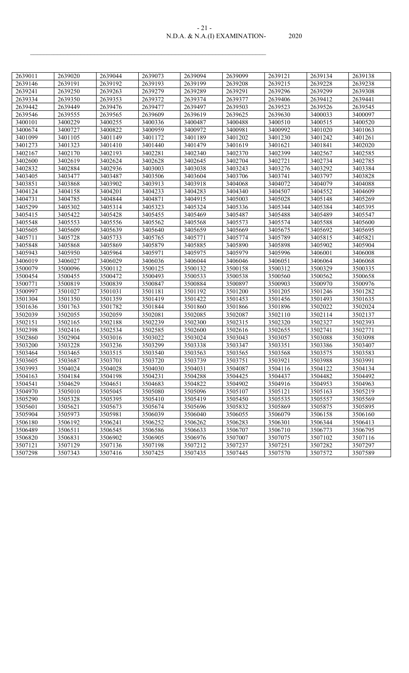#### N.D.A. & N.A.(I) EXAMINATION- 2020 - 21 -

| 2639011 | 2639020 | 2639044 | 2639073 | 2639094 | 2639099 | 2639121 | 2639134 | 2639138 |
|---------|---------|---------|---------|---------|---------|---------|---------|---------|
| 2639146 | 2639191 | 2639192 | 2639193 | 2639199 | 2639208 | 2639215 | 2639228 | 2639238 |
| 2639241 | 2639250 | 2639263 | 2639279 | 2639289 | 2639291 | 2639296 | 2639299 | 2639308 |
| 2639334 | 2639350 | 2639353 | 2639372 | 2639374 | 2639377 | 2639406 | 2639412 | 2639441 |
| 2639442 | 2639449 | 2639476 | 2639477 | 2639497 | 2639503 | 2639523 | 2639526 | 2639545 |
| 2639546 | 2639555 | 2639565 | 2639609 | 2639619 | 2639625 | 2639630 | 3400033 | 3400097 |
| 3400101 | 3400229 | 3400255 | 3400336 | 3400487 | 3400488 | 3400510 | 3400515 | 3400520 |
| 3400674 | 3400727 | 3400822 | 3400959 | 3400972 | 3400981 | 3400992 | 3401020 | 3401063 |
| 3401099 | 3401105 | 3401149 | 3401172 | 3401189 | 3401202 | 3401230 | 3401242 | 3401261 |
| 3401273 | 3401323 | 3401410 | 3401440 | 3401479 | 3401619 | 3401621 | 3401841 | 3402020 |
| 3402167 | 3402170 | 3402193 | 3402281 | 3402340 | 3402370 | 3402399 | 3402567 | 3402585 |
| 3402600 | 3402619 | 3402624 | 3402628 | 3402645 | 3402704 | 3402721 | 3402734 | 3402785 |
| 3402832 | 3402884 | 3402936 | 3403003 | 3403038 | 3403243 | 3403276 | 3403292 | 3403384 |
| 3403405 | 3403477 | 3403487 | 3403506 | 3403604 | 3403706 | 3403741 | 3403797 | 3403828 |
| 3403851 | 3403868 | 3403902 | 3403913 | 3403918 | 3404068 | 3404072 | 3404079 | 3404088 |
| 3404124 | 3404158 | 3404201 | 3404233 | 3404283 | 3404340 | 3404507 | 3404552 | 3404609 |
| 3404731 | 3404785 | 3404844 | 3404871 | 3404915 | 3405003 | 3405028 | 3405148 | 3405269 |
| 3405299 | 3405302 | 3405314 | 3405323 | 3405324 | 3405336 | 3405344 | 3405384 | 3405395 |
| 3405415 | 3405422 | 3405428 | 3405455 | 3405469 | 3405487 | 3405488 | 3405489 | 3405547 |
| 3405548 | 3405553 | 3405556 | 3405562 | 3405568 | 3405573 | 3405574 | 3405588 | 3405600 |
| 3405605 | 3405609 | 3405639 | 3405640 | 3405659 | 3405669 | 3405675 | 3405692 | 3405695 |
| 3405711 | 3405728 | 3405733 | 3405765 | 3405771 | 3405774 | 3405789 | 3405815 | 3405821 |
| 3405848 | 3405868 | 3405869 | 3405879 | 3405885 | 3405890 | 3405898 | 3405902 | 3405904 |
| 3405943 | 3405950 | 3405964 | 3405971 | 3405975 | 3405979 | 3405996 | 3406001 | 3406008 |
| 3406019 | 3406027 | 3406029 | 3406036 | 3406044 | 3406046 | 3406051 | 3406064 | 3406068 |
| 3500079 | 3500096 | 3500112 | 3500125 | 3500132 | 3500158 | 3500312 | 3500329 | 3500335 |
| 3500454 | 3500455 | 3500472 | 3500493 | 3500533 | 3500538 | 3500560 | 3500562 | 3500658 |
| 3500771 | 3500819 | 3500839 | 3500847 | 3500884 | 3500897 | 3500903 | 3500970 | 3500976 |
| 3500997 | 3501027 | 3501031 | 3501181 | 3501192 | 3501200 | 3501205 | 3501246 | 3501282 |
| 3501304 | 3501350 | 3501359 | 3501419 | 3501422 | 3501453 | 3501456 | 3501493 | 3501635 |
| 3501636 | 3501763 | 3501782 | 3501844 | 3501860 | 3501866 | 3501896 | 3502022 | 3502024 |
| 3502039 | 3502055 | 3502059 | 3502081 | 3502085 | 3502087 | 3502110 | 3502114 | 3502137 |
| 3502151 | 3502165 | 3502188 | 3502239 | 3502300 | 3502315 | 3502320 | 3502327 | 3502393 |
| 3502398 | 3502416 | 3502534 | 3502585 | 3502600 | 3502616 | 3502655 | 3502741 | 3502771 |
| 3502860 | 3502904 | 3503016 | 3503022 | 3503024 | 3503043 | 3503057 | 3503088 | 3503098 |
| 3503200 | 3503228 | 3503236 | 3503299 | 3503338 | 3503347 | 3503351 | 3503386 | 3503407 |
| 3503464 | 3503465 | 3503515 | 3503540 | 3503563 | 3503565 | 3503568 | 3503575 | 3503583 |
| 3503605 | 3503687 | 3503701 | 3503720 | 3503739 | 3503751 | 3503921 | 3503988 | 3503991 |
| 3503993 | 3504024 | 3504028 | 3504030 | 3504031 | 3504087 | 3504116 | 3504122 | 3504134 |
| 3504163 | 3504184 | 3504198 | 3504231 | 3504288 | 3504425 | 3504437 | 3504482 | 3504492 |
| 3504541 | 3504629 | 3504651 | 3504683 | 3504822 | 3504902 | 3504916 | 3504953 | 3504963 |
| 3504970 | 3505010 | 3505045 | 3505080 | 3505096 | 3505107 | 3505121 | 3505163 | 3505219 |
| 3505290 | 3505328 | 3505395 | 3505410 | 3505419 | 3505450 | 3505535 | 3505557 | 3505569 |
| 3505601 | 3505621 | 3505673 | 3505674 | 3505696 | 3505832 | 3505869 | 3505875 | 3505895 |
| 3505904 | 3505973 | 3505981 | 3506039 | 3506040 | 3506055 | 3506079 | 3506158 | 3506160 |
| 3506180 | 3506192 | 3506241 | 3506252 | 3506262 | 3506283 | 3506301 | 3506344 | 3506413 |
| 3506489 | 3506511 | 3506545 | 3506586 | 3506633 | 3506707 | 3506710 | 3506773 | 3506795 |
| 3506820 | 3506831 | 3506902 | 3506905 | 3506976 | 3507007 | 3507075 | 3507102 | 3507116 |
| 3507121 | 3507129 | 3507136 | 3507198 | 3507212 | 3507237 | 3507251 | 3507282 | 3507297 |
| 3507298 | 3507343 | 3507416 | 3507425 | 3507435 | 3507445 | 3507570 | 3507572 | 3507589 |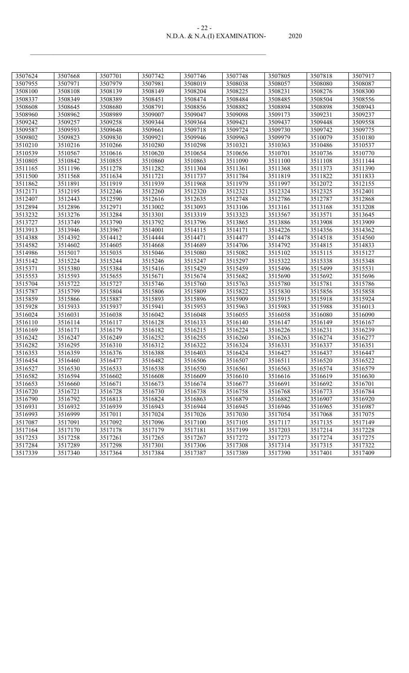| - 22 -                        |       |
|-------------------------------|-------|
| N.D.A. & N.A.(I) EXAMINATION- | 2020. |

| 3507624 | 3507668 | 3507701 | 3507742 | 3507746 | 3507748 | 3507805 | 3507818 | 3507917 |
|---------|---------|---------|---------|---------|---------|---------|---------|---------|
| 3507955 | 3507971 | 3507979 | 3507981 | 3508019 | 3508038 | 3508057 | 3508080 | 3508087 |
| 3508100 | 3508108 | 3508139 | 3508149 | 3508204 | 3508225 | 3508231 | 3508276 | 3508300 |
| 3508337 | 3508349 | 3508389 | 3508451 | 3508474 | 3508484 | 3508485 | 3508504 | 3508556 |
| 3508608 | 3508645 | 3508680 | 3508791 | 3508856 | 3508882 | 3508894 | 3508898 | 3508943 |
| 3508960 | 3508962 | 3508989 | 3509007 | 3509047 | 3509098 | 3509173 | 3509231 | 3509237 |
| 3509242 | 3509257 | 3509258 | 3509344 | 3509364 | 3509421 | 3509437 | 3509448 | 3509558 |
| 3509587 | 3509593 | 3509648 | 3509661 | 3509718 | 3509724 | 3509730 | 3509742 | 3509775 |
| 3509802 | 3509823 | 3509830 | 3509921 | 3509946 | 3509963 | 3509979 | 3510079 | 3510180 |
| 3510210 | 3510216 | 3510266 | 3510280 | 3510298 | 3510321 | 3510363 | 3510486 | 3510537 |
| 3510539 | 3510567 | 3510616 | 3510620 | 3510654 | 3510656 | 3510701 | 3510736 | 3510770 |
| 3510805 | 3510842 | 3510855 | 3510860 | 3510863 | 3511090 | 3511100 | 3511108 | 3511144 |
| 3511165 | 3511196 | 3511278 | 3511282 | 3511304 | 3511361 | 3511368 | 3511373 | 3511390 |
| 3511500 | 3511568 | 3511634 | 3511721 | 3511737 | 3511784 | 3511819 | 3511822 | 3511833 |
| 3511862 | 3511891 | 3511919 | 3511939 | 3511968 | 3511979 | 3511997 | 3512072 | 3512155 |
| 3512171 | 3512195 | 3512246 | 3512260 | 3512320 | 3512321 | 3512324 | 3512325 | 3512401 |
| 3512407 | 3512443 | 3512590 | 3512616 | 3512635 | 3512748 | 3512786 | 3512787 | 3512868 |
| 3512894 | 3512896 | 3512971 | 3513002 | 3513093 | 3513106 | 3513161 | 3513168 | 3513208 |
| 3513232 | 3513276 | 3513284 | 3513301 | 3513319 | 3513323 | 3513567 | 3513571 | 3513645 |
| 3513727 | 3513749 | 3513790 | 3513792 | 3513796 | 3513865 | 3513886 | 3513908 | 3513909 |
| 3513913 | 3513946 | 3513967 | 3514001 | 3514115 | 3514171 | 3514226 | 3514356 | 3514362 |
| 3514388 | 3514392 | 3514412 | 3514444 | 3514471 | 3514477 | 3514478 | 3514518 | 3514560 |
| 3514582 | 3514602 | 3514605 | 3514668 | 3514689 | 3514706 | 3514792 | 3514815 | 3514833 |
| 3514986 | 3515017 | 3515035 | 3515046 | 3515080 | 3515082 | 3515102 | 3515115 | 3515127 |
| 3515142 | 3515224 | 3515244 | 3515246 | 3515247 | 3515297 | 3515322 | 3515338 | 3515348 |
| 3515371 | 3515380 | 3515384 | 3515416 | 3515429 | 3515459 | 3515496 | 3515499 | 3515531 |
| 3515553 | 3515593 | 3515655 | 3515671 | 3515674 | 3515682 | 3515690 | 3515692 | 3515696 |
| 3515704 | 3515722 | 3515727 | 3515746 | 3515760 | 3515763 | 3515780 | 3515781 | 3515786 |
| 3515787 | 3515799 | 3515804 | 3515806 | 3515809 | 3515822 | 3515830 | 3515856 | 3515858 |
| 3515859 | 3515866 | 3515887 | 3515893 | 3515896 | 3515909 | 3515915 | 3515918 | 3515924 |
| 3515928 | 3515933 | 3515937 | 3515941 | 3515953 | 3515963 | 3515983 | 3515988 | 3516013 |
| 3516024 | 3516031 | 3516038 | 3516042 | 3516048 | 3516055 | 3516058 | 3516080 | 3516090 |
| 3516110 | 3516114 | 3516117 | 3516128 | 3516133 | 3516140 | 3516147 | 3516149 | 3516167 |
| 3516169 | 3516171 | 3516179 | 3516182 | 3516215 | 3516224 | 3516226 | 3516231 | 3516239 |
| 3516242 | 3516247 | 3516249 | 3516252 | 3516255 | 3516260 | 3516263 | 3516274 | 3516277 |
| 3516282 | 3516295 | 3516310 | 3516312 | 3516322 | 3516324 | 3516331 | 3516337 | 3516351 |
| 3516353 | 3516359 | 3516376 | 3516388 | 3516403 | 3516424 | 3516427 | 3516437 | 3516447 |
| 3516454 | 3516460 | 3516477 | 3516482 | 3516506 | 3516507 | 3516511 | 3516520 | 3516522 |
| 3516527 | 3516530 | 3516533 | 3516538 | 3516550 | 3516561 | 3516563 | 3516574 | 3516579 |
| 3516582 | 3516594 | 3516602 | 3516608 | 3516609 | 3516610 | 3516616 | 3516619 | 3516630 |
| 3516653 | 3516660 | 3516671 | 3516673 | 3516674 | 3516677 | 3516691 | 3516692 | 3516701 |
| 3516720 | 3516721 | 3516728 | 3516730 | 3516738 | 3516758 | 3516768 | 3516773 | 3516784 |
| 3516790 | 3516792 | 3516813 | 3516824 | 3516863 | 3516879 | 3516882 | 3516907 | 3516920 |
| 3516931 | 3516932 | 3516939 | 3516943 | 3516944 | 3516945 | 3516946 | 3516965 | 3516987 |
| 3516993 | 3516999 | 3517011 | 3517024 | 3517026 | 3517030 | 3517054 | 3517068 | 3517075 |
| 3517087 | 3517091 | 3517092 | 3517096 | 3517100 | 3517105 | 3517117 | 3517135 | 3517149 |
| 3517164 | 3517170 | 3517178 | 3517179 | 3517181 | 3517199 | 3517203 | 3517214 | 3517228 |
| 3517253 | 3517258 | 3517261 | 3517265 | 3517267 | 3517272 | 3517273 | 3517274 | 3517275 |
| 3517284 | 3517289 | 3517298 | 3517301 | 3517306 | 3517308 | 3517314 | 3517315 | 3517322 |
| 3517339 | 3517340 | 3517364 | 3517384 | 3517387 | 3517389 | 3517390 | 3517401 | 3517409 |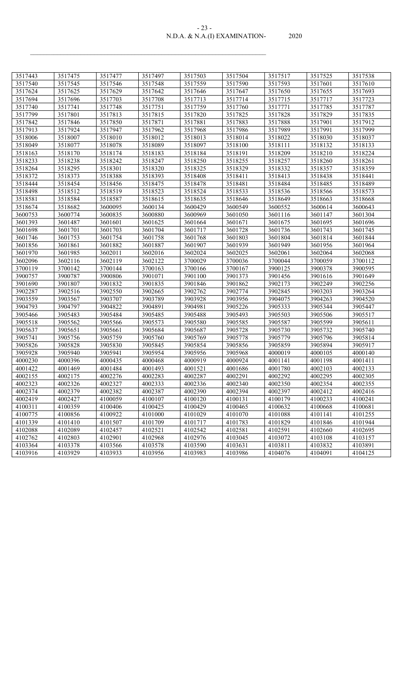| $-2.5 -$                      |       |
|-------------------------------|-------|
| N.D.A. & N.A.(I) EXAMINATION- | 2020. |

| 3517443 | 3517475 | 3517477 | 3517497 | 3517503 | 3517504 | 3517517 | 3517525 | 3517538 |
|---------|---------|---------|---------|---------|---------|---------|---------|---------|
| 3517540 | 3517545 | 3517546 | 3517548 | 3517559 | 3517590 | 3517593 | 3517601 | 3517610 |
| 3517624 | 3517625 | 3517629 | 3517642 | 3517646 | 3517647 | 3517650 | 3517655 | 3517693 |
| 3517694 | 3517696 | 3517703 | 3517708 | 3517713 | 3517714 | 3517715 | 3517717 | 3517723 |
| 3517740 | 3517741 | 3517748 | 3517751 | 3517759 | 3517760 | 3517771 | 3517785 | 3517787 |
| 3517799 | 3517801 | 3517813 | 3517815 | 3517820 | 3517825 | 3517828 | 3517829 | 3517835 |
| 3517842 | 3517846 | 3517850 | 3517871 | 3517881 | 3517883 | 3517888 | 3517901 | 3517912 |
| 3517913 | 3517924 | 3517947 | 3517962 | 3517968 | 3517986 | 3517989 | 3517991 | 3517999 |
| 3518006 | 3518007 | 3518010 | 3518012 | 3518013 | 3518014 | 3518022 | 3518030 | 3518037 |
| 3518049 | 3518077 | 3518078 | 3518089 | 3518097 | 3518100 | 3518111 | 3518132 | 3518133 |
| 3518163 | 3518170 | 3518174 | 3518183 | 3518184 | 3518191 | 3518209 | 3518210 | 3518224 |
| 3518233 | 3518238 | 3518242 | 3518247 | 3518250 | 3518255 | 3518257 | 3518260 | 3518261 |
| 3518264 | 3518295 | 3518301 | 3518320 | 3518325 | 3518329 | 3518332 | 3518357 | 3518359 |
| 3518372 | 3518373 | 3518388 | 3518393 | 3518408 | 3518411 | 3518413 | 3518438 | 3518441 |
| 3518444 | 3518454 | 3518456 | 3518475 | 3518478 | 3518481 | 3518484 | 3518485 | 3518489 |
| 3518498 | 3518512 | 3518519 | 3518523 | 3518524 | 3518533 | 3518536 | 3518566 | 3518573 |
| 3518581 | 3518584 | 3518587 | 3518615 | 3518635 | 3518646 | 3518649 | 3518663 | 3518668 |
| 3518674 | 3518682 | 3600095 | 3600134 | 3600429 | 3600549 | 3600552 | 3600614 | 3600643 |
| 3600753 | 3600774 | 3600835 | 3600880 | 3600969 | 3601050 | 3601116 | 3601147 | 3601304 |
| 3601393 | 3601487 | 3601601 | 3601625 | 3601664 | 3601671 | 3601675 | 3601695 | 3601696 |
| 3601698 | 3601701 | 3601703 | 3601704 | 3601717 | 3601728 | 3601736 | 3601743 | 3601745 |
| 3601746 | 3601753 | 3601754 | 3601758 | 3601768 | 3601803 | 3601804 | 3601814 | 3601844 |
| 3601856 | 3601861 | 3601882 | 3601887 | 3601907 | 3601939 | 3601949 | 3601956 | 3601964 |
| 3601970 | 3601985 | 3602011 | 3602016 | 3602024 | 3602025 | 3602061 | 3602064 | 3602068 |
| 3602096 | 3602116 | 3602119 | 3602122 | 3700029 | 3700036 | 3700044 | 3700059 | 3700112 |
| 3700119 | 3700142 | 3700144 | 3700163 | 3700166 | 3700167 | 3900125 | 3900378 | 3900595 |
| 3900757 | 3900787 | 3900806 | 3901071 | 3901100 | 3901373 | 3901456 | 3901616 | 3901649 |
| 3901690 | 3901807 | 3901832 | 3901835 | 3901846 | 3901862 | 3902173 | 3902249 | 3902256 |
| 3902287 | 3902516 | 3902550 | 3902665 | 3902762 | 3902774 | 3902845 | 3903203 | 3903264 |
| 3903559 | 3903567 | 3903707 | 3903789 | 3903928 | 3903956 | 3904075 | 3904263 | 3904520 |
| 3904793 | 3904797 | 3904822 | 3904891 | 3904981 | 3905226 | 3905333 | 3905344 | 3905447 |
| 3905466 | 3905483 | 3905484 | 3905485 | 3905488 | 3905493 | 3905503 | 3905506 | 3905517 |
| 3905518 | 3905562 | 3905566 | 3905573 | 3905580 | 3905585 | 3905587 | 3905599 | 3905611 |
| 3905637 | 3905651 | 3905661 | 3905684 | 3905687 | 3905728 | 3905730 | 3905732 | 3905740 |
| 3905741 | 3905756 | 3905759 | 3905760 | 3905769 | 3905778 | 3905779 | 3905796 | 3905814 |
| 3905826 | 3905828 | 3905830 | 3905845 | 3905854 | 3905856 | 3905859 | 3905894 | 3905917 |
| 3905928 | 3905940 | 3905941 | 3905954 | 3905956 | 3905968 | 4000019 | 4000105 | 4000140 |
| 4000230 | 4000396 | 4000435 | 4000468 | 4000919 | 4000924 | 4001141 | 4001198 | 4001411 |
| 4001422 | 4001469 | 4001484 | 4001493 | 4001521 | 4001686 | 4001780 | 4002103 | 4002133 |
| 4002155 | 4002175 | 4002276 | 4002283 | 4002287 | 4002291 | 4002292 | 4002295 | 4002305 |
| 4002323 | 4002326 | 4002327 | 4002333 | 4002336 | 4002340 | 4002350 | 4002354 | 4002355 |
| 4002374 | 4002379 | 4002382 | 4002387 | 4002390 | 4002394 | 4002397 | 4002412 | 4002416 |
| 4002419 | 4002427 | 4100059 | 4100107 | 4100120 | 4100131 | 4100179 | 4100233 | 4100241 |
| 4100311 | 4100359 | 4100406 | 4100425 | 4100429 | 4100465 | 4100632 | 4100668 | 4100681 |
| 4100775 | 4100856 | 4100922 | 4101000 | 4101029 | 4101070 | 4101088 | 4101141 | 4101255 |
| 4101339 | 4101410 | 4101507 | 4101709 | 4101717 | 4101783 | 4101829 | 4101846 | 4101944 |
| 4102088 | 4102089 | 4102457 | 4102521 | 4102542 | 4102581 | 4102591 | 4102660 | 4102695 |
| 4102762 | 4102803 | 4102901 | 4102968 | 4102976 | 4103045 | 4103072 | 4103108 | 4103157 |
| 4103364 | 4103378 | 4103566 | 4103578 | 4103590 | 4103631 | 4103811 | 4103832 | 4103891 |
| 4103916 | 4103929 | 4103933 | 4103956 | 4103983 | 4103986 | 4104076 | 4104091 | 4104125 |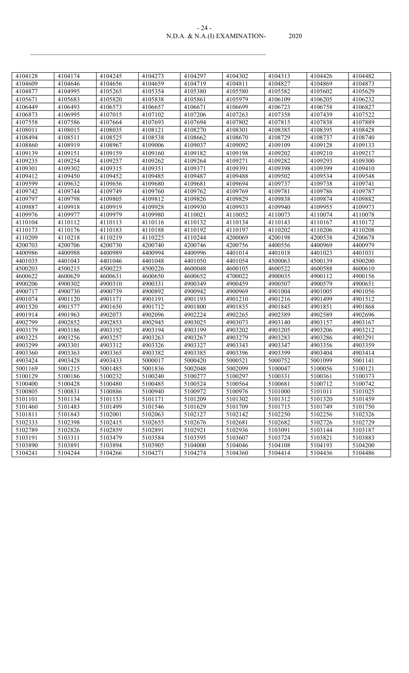| $-24-$                        |       |
|-------------------------------|-------|
| N.D.A. & N.A.(I) EXAMINATION- | 2020. |

| 4104128 | 4104174 | 4104245 | 4104273 | 4104297 | 4104302 | 4104313 | 4104426 | 4104482 |
|---------|---------|---------|---------|---------|---------|---------|---------|---------|
| 4104609 | 4104646 | 4104656 | 4104659 | 4104719 | 4104811 | 4104827 | 4104869 | 4104873 |
| 4104877 | 4104995 | 4105265 | 4105354 | 4105380 | 4105580 | 4105582 | 4105602 | 4105629 |
| 4105671 | 4105683 | 4105820 | 4105838 | 4105861 | 4105979 | 4106109 | 4106205 | 4106232 |
| 4106449 | 4106493 | 4106573 | 4106657 | 4106671 | 4106699 | 4106723 | 4106758 | 4106827 |
| 4106873 | 4106995 | 4107015 | 4107102 | 4107206 | 4107263 | 4107358 | 4107439 | 4107522 |
| 4107558 | 4107586 | 4107664 | 4107693 | 4107694 | 4107802 | 4107815 | 4107838 | 4107889 |
| 4108011 | 4108015 | 4108035 | 4108121 | 4108270 | 4108301 | 4108385 | 4108395 | 4108428 |
| 4108494 | 4108511 | 4108525 | 4108538 | 4108662 | 4108670 | 4108729 | 4108737 | 4108740 |
| 4108860 | 4108919 | 4108967 | 4109006 | 4109037 | 4109092 | 4109109 | 4109128 | 4109133 |
| 4109139 | 4109151 | 4109159 | 4109160 | 4109182 | 4109198 | 4109202 | 4109210 | 4109217 |
| 4109235 | 4109254 | 4109257 | 4109262 | 4109264 | 4109271 | 4109282 | 4109293 | 4109300 |
| 4109301 | 4109302 | 4109315 | 4109351 | 4109371 | 4109391 | 4109398 | 4109399 | 4109410 |
| 4109412 | 4109450 | 4109452 | 4109485 | 4109487 | 4109488 | 4109502 | 4109534 | 4109548 |
| 4109599 | 4109632 | 4109656 | 4109680 | 4109681 | 4109694 | 4109737 | 4109738 | 4109741 |
| 4109742 | 4109744 | 4109749 | 4109760 | 4109762 | 4109769 | 4109781 | 4109786 | 4109787 |
| 4109797 | 4109798 | 4109805 | 4109812 | 4109826 | 4109829 | 4109838 | 4109874 | 4109882 |
| 4109887 | 4109918 | 4109919 | 4109928 | 4109930 | 4109933 | 4109940 | 4109955 | 4109973 |
| 4109976 | 4109977 | 4109979 | 4109980 | 4110021 | 4110052 | 4110073 | 4110074 | 4110078 |
| 4110104 | 4110112 | 4110113 | 4110116 | 4110132 | 4110134 | 4110143 | 4110167 | 4110172 |
| 4110173 | 4110176 | 4110183 | 4110188 | 4110192 | 4110197 | 4110202 | 4110206 | 4110208 |
| 4110209 | 4110218 | 4110219 | 4110225 | 4110244 | 4200069 | 4200198 | 4200538 | 4200678 |
| 4200703 | 4200706 | 4200730 | 4200740 | 4200746 | 4200756 | 4400556 | 4400969 | 4400979 |
| 4400986 | 4400988 | 4400989 | 4400994 | 4400996 | 4401014 | 4401018 | 4401023 | 4401031 |
| 4401035 | 4401043 | 4401046 | 4401048 | 4401050 | 4401054 | 4500063 | 4500139 | 4500200 |
| 4500203 | 4500215 | 4500225 | 4500226 | 4600048 | 4600105 | 4600522 | 4600588 | 4600610 |
| 4600622 | 4600629 | 4600631 | 4600650 | 4600652 | 4700022 | 4900035 | 4900112 | 4900156 |
| 4900206 | 4900302 | 4900310 | 4900331 | 4900349 | 4900459 | 4900507 | 4900579 | 4900651 |
| 4900717 | 4900730 | 4900739 | 4900892 | 4900942 | 4900969 | 4901004 | 4901005 | 4901056 |
| 4901074 | 4901120 | 4901171 | 4901191 | 4901193 | 4901210 | 4901216 | 4901499 | 4901512 |
| 4901520 | 4901577 | 4901650 | 4901712 | 4901800 | 4901835 | 4901845 | 4901851 | 4901868 |
| 4901914 | 4901963 | 4902073 | 4902096 | 4902224 | 4902265 | 4902389 | 4902589 | 4902696 |
| 4902799 | 4902852 | 4902853 | 4902945 | 4903025 | 4903073 | 4903140 | 4903157 | 4903167 |
| 4903179 | 4903186 | 4903192 | 4903194 | 4903199 | 4903202 | 4903205 | 4903206 | 4903212 |
| 4903225 | 4903256 | 4903257 | 4903263 | 4903267 | 4903279 | 4903283 | 4903286 | 4903291 |
| 4903299 | 4903301 | 4903312 | 4903326 | 4903327 | 4903343 | 4903347 | 4903356 | 4903359 |
| 4903360 | 4903363 | 4903365 | 4903382 | 4903385 | 4903396 | 4903399 | 4903404 | 4903414 |
| 4903424 | 4903428 | 4903433 | 5000017 | 5000420 | 5000521 | 5000752 | 5001099 | 5001141 |
| 5001169 | 5001215 | 5001485 | 5001836 | 5002048 | 5002099 | 5100047 | 5100056 | 5100121 |
| 5100129 | 5100186 | 5100232 | 5100240 | 5100277 | 5100297 | 5100331 | 5100361 | 5100373 |
| 5100400 | 5100428 | 5100480 | 5100485 | 5100524 | 5100564 | 5100681 | 5100712 | 5100742 |
| 5100805 | 5100831 | 5100886 | 5100940 | 5100972 | 5100976 | 5101000 | 5101011 | 5101025 |
| 5101101 | 5101134 | 5101153 | 5101171 | 5101209 | 5101302 | 5101312 | 5101320 | 5101459 |
| 5101460 | 5101483 | 5101499 | 5101546 | 5101629 | 5101709 | 5101715 | 5101749 | 5101750 |
| 5101811 | 5101843 | 5102001 | 5102063 | 5102127 | 5102142 | 5102250 | 5102256 | 5102326 |
| 5102333 | 5102398 | 5102415 | 5102655 | 5102676 | 5102681 | 5102682 | 5102726 | 5102729 |
| 5102789 | 5102826 | 5102859 | 5102891 | 5102921 | 5102936 | 5103091 | 5103144 | 5103187 |
| 5103191 | 5103311 | 5103479 | 5103584 | 5103595 | 5103607 | 5103724 | 5103821 | 5103883 |
| 5103890 | 5103891 | 5103894 | 5103905 | 5104000 | 5104046 | 5104108 | 5104193 | 5104200 |
| 5104241 | 5104244 | 5104266 | 5104271 | 5104274 | 5104360 | 5104414 | 5104436 | 5104486 |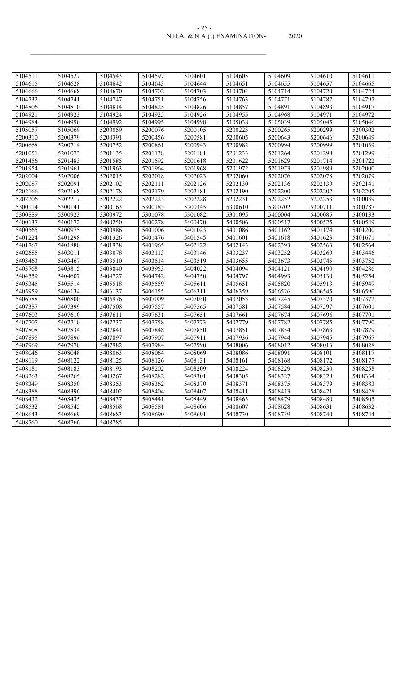| $-25-$                        |       |
|-------------------------------|-------|
| N.D.A. & N.A.(I) EXAMINATION- | 2020. |

| 5104511 | 5104527 | 5104543 | 5104597 | 5104601 | 5104605 | 5104609 | 5104610 | 5104611 |
|---------|---------|---------|---------|---------|---------|---------|---------|---------|
| 5104615 | 5104628 | 5104642 | 5104643 | 5104644 | 5104651 | 5104655 | 5104657 | 5104665 |
| 5104666 | 5104668 | 5104670 | 5104702 | 5104703 | 5104704 | 5104714 | 5104720 | 5104724 |
| 5104732 | 5104741 | 5104747 | 5104751 | 5104756 | 5104763 | 5104771 | 5104787 | 5104797 |
| 5104806 | 5104810 | 5104814 | 5104825 | 5104826 | 5104857 | 5104891 | 5104893 | 5104917 |
| 5104921 | 5104923 | 5104924 | 5104925 | 5104926 | 5104955 | 5104968 | 5104971 | 5104972 |
| 5104984 | 5104990 | 5104992 | 5104995 | 5104998 | 5105038 | 5105039 | 5105045 | 5105046 |
| 5105057 | 5105069 | 5200059 | 5200076 | 5200105 | 5200223 | 5200265 | 5200299 | 5200302 |
| 5200310 | 5200379 | 5200391 | 5200456 | 5200581 | 5200605 | 5200643 | 5200646 | 5200649 |
| 5200668 | 5200714 | 5200752 | 5200861 | 5200943 | 5200982 | 5200994 | 5200999 | 5201039 |
| 5201051 | 5201073 | 5201135 | 5201138 | 5201181 | 5201233 | 5201264 | 5201298 | 5201299 |
| 5201456 | 5201483 | 5201585 | 5201592 | 5201618 | 5201622 | 5201629 | 5201714 | 5201722 |
| 5201954 | 5201961 | 5201963 | 5201964 | 5201968 | 5201972 | 5201973 | 5201989 | 5202000 |
| 5202004 | 5202006 | 5202015 | 5202018 | 5202023 | 5202060 | 5202076 | 5202078 | 5202079 |
| 5202087 | 5202091 | 5202102 | 5202111 | 5202126 | 5202130 | 5202136 | 5202139 | 5202141 |
| 5202166 | 5202168 | 5202178 | 5202179 | 5202181 | 5202190 | 5202200 | 5202202 | 5202205 |
| 5202206 | 5202217 | 5202222 | 5202223 | 5202228 | 5202231 | 5202252 | 5202253 | 5300039 |
| 5300114 | 5300141 | 5300163 | 5300183 | 5300345 | 5300610 | 5300702 | 5300711 | 5300787 |
| 5300889 | 5300923 | 5300972 | 5301078 | 5301082 | 5301095 | 5400004 | 5400085 | 5400133 |
| 5400137 | 5400172 | 5400250 | 5400278 | 5400470 | 5400506 | 5400517 | 5400525 | 5400549 |
| 5400565 | 5400975 | 5400986 | 5401006 | 5401023 | 5401086 | 5401162 | 5401174 | 5401200 |
| 5401224 | 5401298 | 5401326 | 5401476 | 5401545 | 5401601 | 5401618 | 5401623 | 5401671 |
| 5401767 | 5401880 | 5401938 | 5401965 | 5402122 | 5402143 | 5402393 | 5402563 | 5402564 |
| 5402685 | 5403011 | 5403078 | 5403113 | 5403146 | 5403237 | 5403252 | 5403269 | 5403446 |
| 5403463 | 5403467 | 5403510 | 5403514 | 5403519 | 5403655 | 5403673 | 5403745 | 5403752 |
| 5403768 | 5403815 | 5403840 | 5403953 | 5404022 | 5404094 | 5404121 | 5404190 | 5404286 |
| 5404559 | 5404607 | 5404727 | 5404742 | 5404750 | 5404797 | 5404993 | 5405130 | 5405254 |
| 5405345 | 5405514 | 5405518 | 5405559 | 5405611 | 5405651 | 5405820 | 5405913 | 5405949 |
| 5405959 | 5406134 | 5406137 | 5406155 | 5406311 | 5406359 | 5406526 | 5406545 | 5406590 |
| 5406788 | 5406800 | 5406976 | 5407009 | 5407030 | 5407053 | 5407245 | 5407370 | 5407372 |
| 5407387 | 5407399 | 5407508 | 5407557 | 5407565 | 5407581 | 5407584 | 5407597 | 5407601 |
| 5407603 | 5407610 | 5407611 | 5407631 | 5407651 | 5407661 | 5407674 | 5407696 | 5407701 |
| 5407707 | 5407710 | 5407737 | 5407758 | 5407773 | 5407779 | 5407782 | 5407785 | 5407790 |
| 5407808 | 5407834 | 5407841 | 5407848 | 5407850 | 5407851 | 5407854 | 5407863 | 5407879 |
| 5407895 | 5407896 | 5407897 | 5407907 | 5407911 | 5407936 | 5407944 | 5407945 | 5407967 |
| 5407969 | 5407970 | 5407982 | 5407984 | 5407990 | 5408006 | 5408012 | 5408013 | 5408028 |
| 5408046 | 5408048 | 5408063 | 5408064 | 5408069 | 5408086 | 5408091 | 5408101 | 5408117 |
| 5408119 | 5408122 | 5408125 | 5408126 | 5408131 | 5408161 | 5408168 | 5408172 | 5408177 |
| 5408181 | 5408183 | 5408193 | 5408202 | 5408209 | 5408224 | 5408229 | 5408230 | 5408258 |
| 5408263 | 5408265 | 5408267 | 5408282 | 5408301 | 5408305 | 5408327 | 5408328 | 5408334 |
| 5408349 | 5408350 | 5408353 | 5408362 | 5408370 | 5408371 | 5408375 | 5408379 | 5408383 |
| 5408388 | 5408396 | 5408402 | 5408404 | 5408407 | 5408411 | 5408413 | 5408421 | 5408428 |
| 5408432 | 5408435 | 5408437 | 5408441 | 5408449 | 5408463 | 5408479 | 5408480 | 5408505 |
| 5408532 | 5408545 | 5408568 | 5408581 | 5408606 | 5408607 | 5408628 | 5408631 | 5408632 |
| 5408643 | 5408669 | 5408683 | 5408690 | 5408691 | 5408730 | 5408739 | 5408740 | 5408744 |
| 5408760 | 5408766 | 5408785 |         |         |         |         |         |         |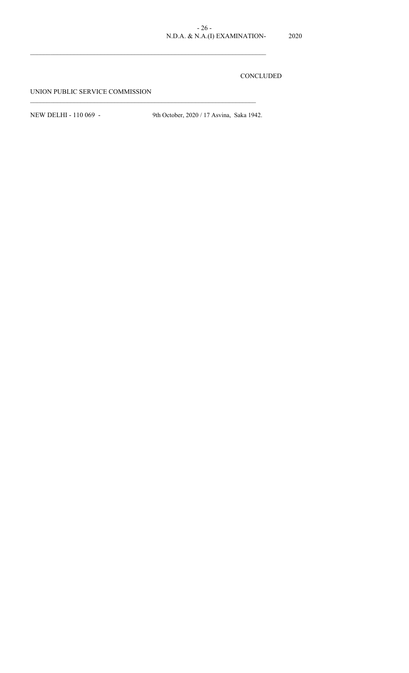## CONCLUDED

UNION PUBLIC SERVICE COMMISSION

 $\mathcal{L}_\text{max}$ 

 $\mathcal{L}_\text{max} = \mathcal{L}_\text{max} = \mathcal{L}_\text{max} = \mathcal{L}_\text{max} = \mathcal{L}_\text{max} = \mathcal{L}_\text{max} = \mathcal{L}_\text{max} = \mathcal{L}_\text{max} = \mathcal{L}_\text{max} = \mathcal{L}_\text{max} = \mathcal{L}_\text{max} = \mathcal{L}_\text{max} = \mathcal{L}_\text{max} = \mathcal{L}_\text{max} = \mathcal{L}_\text{max} = \mathcal{L}_\text{max} = \mathcal{L}_\text{max} = \mathcal{L}_\text{max} = \mathcal{$ 

NEW DELHI - 110 069 - 9th October, 2020 / 17 Asvina, Saka 1942.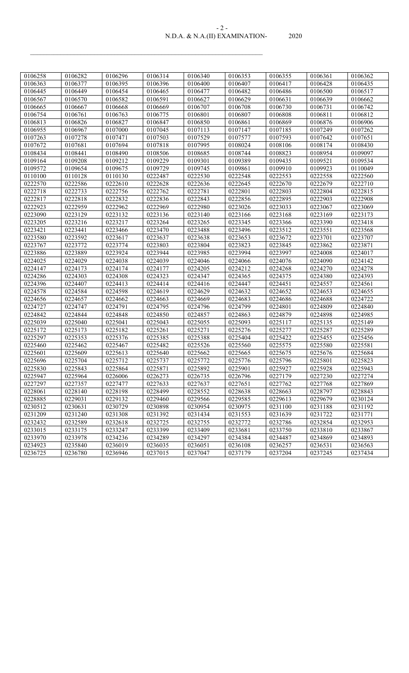#### N.D.A. & N.A.(II) EXAMINATION- 2020 - 2 -

| 0106258 | 0106282 | 0106296            | 0106314 | 0106340 | 0106353 | 0106355 | 0106361 | 0106362            |
|---------|---------|--------------------|---------|---------|---------|---------|---------|--------------------|
| 0106363 | 0106377 | 0106395            | 0106396 | 0106400 | 0106407 | 0106417 | 0106428 | 0106435            |
| 0106445 | 0106449 | 0106454            | 0106465 | 0106477 | 0106482 | 0106486 | 0106500 | 0106517            |
| 0106567 | 0106570 | 0106582            | 0106591 | 0106627 | 0106629 | 0106631 | 0106639 | 0106662            |
| 0106665 | 0106667 | 0106668            | 0106669 | 0106707 | 0106708 | 0106730 | 0106731 | 0106742            |
| 0106754 | 0106761 | 0106763            | 0106775 | 0106801 | 0106807 | 0106808 | 0106811 | 0106812            |
| 0106813 | 0106826 | 0106827            | 0106847 | 0106850 | 0106861 | 0106869 | 0106876 | 0106906            |
| 0106955 | 0106967 | 0107000            | 0107045 | 0107113 | 0107147 | 0107185 | 0107249 | 0107262            |
| 0107263 | 0107278 | 0107471            | 0107503 | 0107529 | 0107577 | 0107593 | 0107642 | 0107651            |
| 0107672 | 0107681 | 0107694            | 0107818 | 0107995 | 0108024 | 0108106 | 0108174 | 0108430            |
| 0108434 | 0108441 | 0108490            | 0108506 | 0108685 | 0108744 | 0108823 | 0108954 | 0109097            |
| 0109164 | 0109208 | 0109212            | 0109229 | 0109301 | 0109389 | 0109435 | 0109521 | 0109534            |
| 0109572 | 0109654 | 0109675            | 0109729 | 0109745 | 0109861 | 0109910 | 0109923 | 0110049            |
| 0110100 | 0110128 | 0110130            | 0222487 | 0222530 | 0222548 | 0222553 | 0222558 | 0222560            |
| 0222570 | 0222586 | 0222610            | 0222628 | 0222636 | 0222645 | 0222670 | 0222679 | 0222710            |
| 0222718 | 0222733 | 0222756            | 0222762 | 0222781 | 0222801 | 0222803 | 0222804 | 0222815            |
| 0222817 | 0222818 | 0222832            | 0222836 | 0222843 | 0222856 | 0222895 | 0222903 | 0222908            |
| 0222923 | 0222959 | 0222962            | 0222969 | 0222980 | 0223026 | 0223033 | 0223067 | 0223069            |
| 0223090 | 0223129 | 0223132            | 0223136 | 0223140 | 0223166 | 0223168 | 0223169 | 0223173            |
| 0223205 | 0223216 | 0223217            | 0223264 | 0223265 | 0223345 | 0223366 | 0223390 | 0223418            |
| 0223421 | 0223441 | 0223466            | 0223470 | 0223488 | 0223496 | 0223512 | 0223551 | 0223568            |
| 0223580 | 0223592 | 0223617            | 0223637 | 0223638 | 0223653 | 0223672 | 0223701 | 0223707            |
| 0223767 | 0223772 | 0223774            | 0223803 | 0223804 | 0223823 | 0223845 | 0223862 | 0223871            |
| 0223886 | 0223889 | 0223924            | 0223944 | 0223985 | 0223994 | 0223997 | 0224008 | 0224017            |
| 0224025 | 0224029 | 0224038            | 0224039 | 0224046 | 0224066 | 0224076 | 0224090 | 0224142            |
| 0224147 | 0224173 | 0224174            | 0224177 | 0224205 | 0224212 | 0224268 | 0224270 | 0224278            |
| 0224286 | 0224303 | 0224308            | 0224323 | 0224347 | 0224365 | 0224375 | 0224380 | 0224393            |
| 0224396 | 0224407 | 0224413            | 0224414 | 0224416 | 0224447 | 0224451 | 0224557 | 0224561            |
| 0224578 | 0224584 | 0224598            | 0224619 | 0224629 | 0224632 | 0224652 | 0224653 | 0224655            |
| 0224656 | 0224657 | 0224662            | 0224663 | 0224669 | 0224683 | 0224686 | 0224688 | 0224722            |
| 0224727 | 0224747 | 0224791            | 0224795 | 0224796 | 0224799 | 0224801 | 0224809 | 0224840            |
| 0224842 | 0224844 | 0224848            | 0224850 | 0224857 | 0224863 | 0224879 | 0224898 | 0224985            |
| 0225039 | 0225040 | 0225041            | 0225043 | 0225055 | 0225093 | 0225117 | 0225135 | 0225149            |
| 0225172 | 0225173 | 0225182            | 0225261 | 0225271 | 0225276 | 0225277 | 0225287 | 0225289            |
| 0225297 | 0225353 | 0225376            | 0225385 | 0225388 | 0225404 | 0225422 | 0225455 | 0225456            |
| 0225460 | 0225462 | 0225467            | 0225482 | 0225526 | 0225560 | 0225575 | 0225580 | 0225581            |
| 0225601 | 0225609 | 0225613            | 0225640 | 0225662 | 0225665 | 0225675 | 0225676 | 0225684            |
| 0225696 | 0225704 | 0225712            | 0225737 | 0225772 | 0225776 | 0225796 | 0225801 | 0225823            |
| 0225830 | 0225843 | 0225864            | 0225871 | 0225892 | 0225901 | 0225927 | 0225928 | 0225943            |
| 0225947 | 0225964 | 0226006            | 0226273 | 0226735 | 0226796 | 0227179 | 0227230 | 0227274            |
| 0227297 | 0227357 | 0227477            | 0227633 | 0227637 | 0227651 | 0227762 | 0227768 | 0227869            |
| 0228061 | 0228140 | 0228198            | 0228499 | 0228552 | 0228638 | 0228663 | 0228797 | 0228843            |
| 0228885 | 0229031 | 0229132            | 0229460 | 0229566 | 0229585 | 0229613 | 0229679 | 0230124            |
| 0230512 | 0230631 | 0230729            | 0230898 | 0230954 | 0230975 | 0231100 | 0231188 | 0231192            |
| 0231209 | 0231240 | 0231308            | 0231392 | 0231434 | 0231553 | 0231639 | 0231722 | 0231771            |
| 0232432 | 0232589 | 0232618            | 0232725 | 0232755 | 0232772 | 0232786 | 0232854 | 0232953            |
| 0233015 | 0233175 |                    | 0233399 | 0233409 | 0233681 | 0233750 | 0233810 |                    |
| 0233970 | 0233978 | 0233247<br>0234236 | 0234289 | 0234297 | 0234384 | 0234487 | 0234869 | 0233867<br>0234893 |
|         |         |                    |         |         |         |         |         |                    |
| 0234923 | 0235840 | 0236019            | 0236035 | 0236051 | 0236108 | 0236257 | 0236531 | 0236563            |
| 0236725 | 0236780 | 0236946            | 0237015 | 0237047 | 0237179 | 0237204 | 0237245 | 0237434            |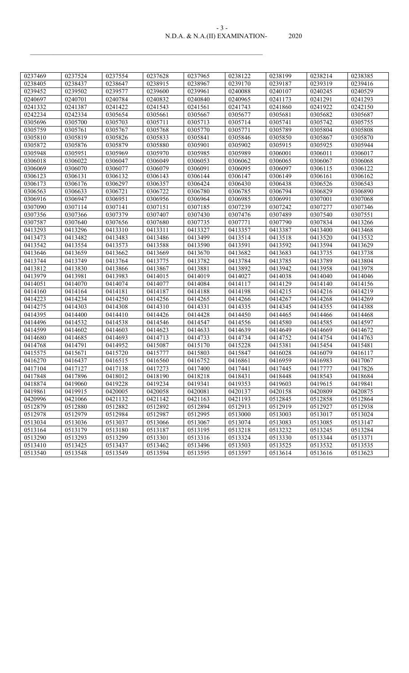#### N.D.A. & N.A.(II) EXAMINATION- 2020 - 3 -

| 0237469 | 0237524 | 0237554 | 0237628 | 0237965 | 0238122              | 0238199 | 0238214 | 0238385 |
|---------|---------|---------|---------|---------|----------------------|---------|---------|---------|
| 0238405 | 0238437 | 0238647 | 0238915 | 0238967 | 0239170              | 0239187 | 0239319 | 0239416 |
| 0239452 | 0239502 | 0239577 | 0239600 | 0239961 | 0240088              | 0240107 | 0240245 | 0240529 |
| 0240697 | 0240701 | 0240784 | 0240832 | 0240840 | 0240965              | 0241173 | 0241291 | 0241293 |
| 0241332 | 0241387 | 0241422 | 0241543 | 0241561 | $\overline{02}41743$ | 0241860 | 0241922 | 0242150 |
| 0242234 | 0242334 | 0305654 | 0305661 | 0305667 | 0305677              | 0305681 | 0305682 | 0305687 |
| 0305696 | 0305700 | 0305703 | 0305711 | 0305713 | 0305714              | 0305741 | 0305742 | 0305755 |
| 0305759 | 0305761 | 0305767 | 0305768 | 0305770 | 0305771              | 0305789 | 0305804 | 0305808 |
| 0305810 | 0305819 | 0305826 | 0305833 | 0305841 | 0305846              | 0305850 | 0305867 | 0305870 |
| 0305872 | 0305876 | 0305879 | 0305880 | 0305901 | 0305902              | 0305915 | 0305925 | 0305944 |
| 0305948 | 0305951 | 0305969 | 0305970 | 0305985 | 0305989              | 0306001 | 0306011 | 0306017 |
| 0306018 | 0306022 | 0306047 | 0306049 | 0306053 | 0306062              | 0306065 | 0306067 | 0306068 |
| 0306069 | 0306070 | 0306077 | 0306079 | 0306091 | 0306095              | 0306097 | 0306115 | 0306122 |
| 0306123 | 0306131 | 0306132 | 0306143 | 0306144 | 0306147              | 0306149 | 0306161 | 0306162 |
| 0306173 | 0306176 | 0306297 | 0306357 | 0306424 | 0306430              | 0306438 | 0306526 | 0306543 |
| 0306563 | 0306633 | 0306721 | 0306722 | 0306780 | 0306785              | 0306794 | 0306829 | 0306890 |
| 0306916 | 0306947 | 0306951 | 0306956 | 0306964 | 0306985              | 0306991 | 0307001 | 0307068 |
| 0307090 | 0307114 | 0307141 | 0307151 | 0307185 | 0307239              | 0307242 | 0307277 | 0307346 |
| 0307356 | 0307366 | 0307379 | 0307407 | 0307430 | 0307476              | 0307489 | 0307540 | 0307551 |
| 0307587 | 0307640 | 0307656 | 0307680 | 0307735 | 0307771              | 0307790 | 0307834 | 0413266 |
| 0413293 | 0413296 | 0413310 | 0413311 | 0413327 | 0413357              | 0413387 | 0413400 | 0413468 |
| 0413473 | 0413482 | 0413483 | 0413486 | 0413499 | 0413514              | 0413518 | 0413520 | 0413532 |
| 0413542 | 0413554 | 0413573 | 0413588 | 0413590 | 0413591              | 0413592 | 0413594 | 0413629 |
| 0413646 | 0413659 | 0413662 | 0413669 | 0413670 | 0413682              | 0413683 | 0413735 | 0413738 |
| 0413744 | 0413749 | 0413764 | 0413775 | 0413782 | 0413784              | 0413785 | 0413789 | 0413804 |
| 0413812 | 0413830 | 0413866 | 0413867 | 0413881 | 0413892              | 0413942 | 0413958 | 0413978 |
| 0413979 | 0413981 | 0413983 | 0414015 | 0414019 | 0414027              | 0414038 | 0414040 | 0414046 |
| 0414051 | 0414070 | 0414074 | 0414077 | 0414084 | 0414117              | 0414129 | 0414140 | 0414156 |
| 0414160 | 0414164 | 0414181 | 0414187 | 0414188 | 0414198              | 0414215 | 0414216 | 0414219 |
| 0414223 | 0414234 | 0414250 | 0414256 | 0414265 | 0414266              | 0414267 | 0414268 | 0414269 |
| 0414275 | 0414303 | 0414308 | 0414310 | 0414331 | 0414335              | 0414345 | 0414355 | 0414388 |
| 0414395 | 0414400 | 0414410 | 0414426 | 0414428 | 0414450              | 0414465 | 0414466 | 0414468 |
| 0414496 | 0414532 | 0414538 | 0414546 | 0414547 | 0414556              | 0414580 | 0414585 | 0414597 |
| 0414599 | 0414602 | 0414603 | 0414623 | 0414633 | 0414639              | 0414649 | 0414669 | 0414672 |
| 0414680 | 0414685 | 0414693 | 0414713 | 0414733 | 0414734              | 0414752 | 0414754 | 0414763 |
| 0414768 | 0414791 | 0414952 | 0415087 | 0415170 | 0415228              | 0415381 | 0415454 | 0415481 |
| 0415575 | 0415671 | 0415720 | 0415777 | 0415803 | 0415847              | 0416028 | 0416079 | 0416117 |
| 0416270 | 0416437 | 0416515 | 0416560 | 0416752 | 0416861              | 0416959 | 0416983 | 0417067 |
| 0417104 | 0417127 | 0417138 | 0417273 | 0417400 | 0417441              | 0417445 | 0417777 | 0417826 |
| 0417848 | 0417896 | 0418012 | 0418190 | 0418218 | 0418431              | 0418448 | 0418543 | 0418684 |
| 0418874 | 0419060 | 0419228 | 0419234 | 0419341 | 0419353              | 0419603 | 0419615 | 0419841 |
| 0419861 | 0419915 | 0420005 | 0420058 | 0420081 | 0420137              | 0420158 | 0420809 | 0420875 |
| 0420996 | 0421066 | 0421132 | 0421142 | 0421163 | 0421193              | 0512845 | 0512858 | 0512864 |
| 0512879 | 0512880 | 0512882 | 0512892 | 0512894 | 0512913              | 0512919 | 0512927 | 0512938 |
| 0512978 | 0512979 | 0512984 | 0512987 | 0512995 | 0513000              | 0513003 | 0513017 | 0513024 |
| 0513034 | 0513036 | 0513037 | 0513066 | 0513067 | 0513074              | 0513083 | 0513085 | 0513147 |
| 0513164 | 0513179 | 0513180 | 0513187 | 0513195 | 0513218              | 0513232 | 0513245 | 0513284 |
| 0513290 | 0513293 | 0513299 | 0513301 | 0513316 | 0513324              | 0513330 | 0513344 | 0513371 |
| 0513410 | 0513425 | 0513437 | 0513462 | 0513496 | 0513503              | 0513525 | 0513532 | 0513535 |
| 0513540 | 0513548 | 0513549 | 0513594 | 0513595 | 0513597              | 0513614 | 0513616 | 0513623 |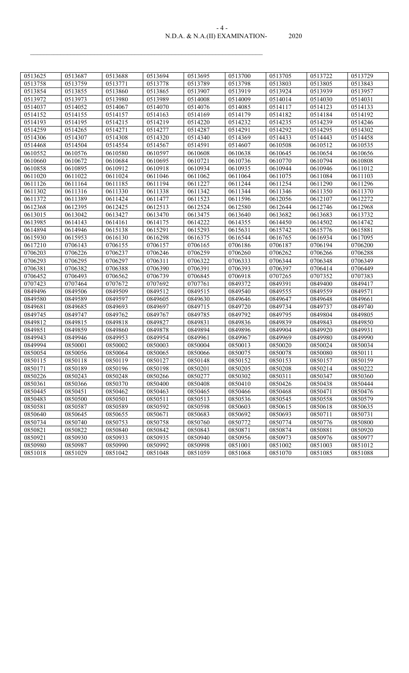#### N.D.A. & N.A.(II) EXAMINATION- 2020 - 4 -

| 0513625 | 0513687 | 0513688 | 0513694 | 0513695 | 0513700 | 0513705 | 0513722 | 0513729 |
|---------|---------|---------|---------|---------|---------|---------|---------|---------|
| 0513758 | 0513759 | 0513771 | 0513778 | 0513789 | 0513798 | 0513803 | 0513805 | 0513843 |
| 0513854 | 0513855 | 0513860 | 0513865 | 0513907 | 0513919 | 0513924 | 0513939 | 0513957 |
| 0513972 | 0513973 | 0513980 | 0513989 | 0514008 | 0514009 | 0514014 | 0514030 | 0514031 |
| 0514037 | 0514052 | 0514067 | 0514070 | 0514076 | 0514085 | 0514117 | 0514123 | 0514133 |
| 0514152 | 0514155 | 0514157 | 0514163 | 0514169 | 0514179 | 0514182 | 0514184 | 0514192 |
| 0514193 | 0514195 | 0514215 | 0514219 | 0514220 | 0514232 | 0514235 | 0514239 | 0514246 |
| 0514259 | 0514265 | 0514271 | 0514277 | 0514287 | 0514291 | 0514292 | 0514295 | 0514302 |
| 0514306 | 0514307 | 0514308 | 0514320 | 0514340 | 0514369 | 0514433 | 0514443 | 0514458 |
| 0514468 | 0514504 | 0514554 | 0514567 | 0514591 | 0514607 | 0610508 | 0610512 | 0610535 |
| 0610552 | 0610576 | 0610580 | 0610597 | 0610608 | 0610638 | 0610645 | 0610654 | 0610656 |
| 0610660 | 0610672 | 0610684 | 0610695 | 0610721 | 0610736 | 0610770 | 0610794 | 0610808 |
| 0610858 | 0610895 | 0610912 | 0610918 | 0610934 | 0610935 | 0610944 | 0610946 | 0611012 |
| 0611020 | 0611022 | 0611024 | 0611046 | 0611062 | 0611064 | 0611075 | 0611084 | 0611103 |
| 0611126 | 0611164 | 0611185 | 0611194 | 0611227 | 0611244 | 0611254 | 0611290 | 0611296 |
| 0611302 | 0611316 | 0611330 | 0611338 | 0611342 | 0611344 | 0611346 | 0611350 | 0611370 |
| 0611372 | 0611389 | 0611424 | 0611477 | 0611523 | 0611596 | 0612056 | 0612107 | 0612272 |
| 0612368 | 0612395 | 0612425 | 0612513 | 0612524 | 0612580 | 0612644 | 0612746 | 0612968 |
| 0613015 | 0613042 | 0613427 | 0613470 | 0613475 | 0613640 | 0613682 | 0613683 | 0613732 |
| 0613985 | 0614143 | 0614161 | 0614175 | 0614222 | 0614355 | 0614450 | 0614502 | 0614742 |
| 0614894 | 0614946 | 0615138 | 0615291 | 0615293 | 0615631 | 0615742 | 0615776 | 0615881 |
| 0615930 | 0615953 | 0616130 | 0616298 | 0616375 | 0616544 | 0616765 | 0616934 | 0617095 |
| 0617210 | 0706143 | 0706155 | 0706157 | 0706165 | 0706186 | 0706187 | 0706194 | 0706200 |
| 0706203 | 0706226 | 0706237 | 0706246 | 0706259 | 0706260 | 0706262 | 0706266 | 0706288 |
| 0706293 | 0706295 | 0706297 | 0706311 | 0706322 | 0706333 | 0706344 | 0706348 | 0706349 |
| 0706381 | 0706382 | 0706388 | 0706390 | 0706391 | 0706393 | 0706397 | 0706414 | 0706449 |
| 0706452 | 0706493 | 0706562 | 0706739 | 0706845 | 0706918 | 0707265 | 0707352 | 0707383 |
| 0707423 | 0707464 | 0707672 | 0707692 | 0707761 | 0849372 | 0849391 | 0849400 | 0849417 |
| 0849496 | 0849506 | 0849509 | 0849512 | 0849515 | 0849540 | 0849555 | 0849559 | 0849571 |
| 0849580 | 0849589 | 0849597 | 0849605 | 0849630 | 0849646 | 0849647 | 0849648 | 0849661 |
| 0849681 | 0849685 | 0849693 | 0849697 | 0849715 | 0849720 | 0849734 | 0849737 | 0849740 |
| 0849745 | 0849747 | 0849762 | 0849767 | 0849785 | 0849792 | 0849795 | 0849804 | 0849805 |
| 0849812 | 0849815 | 0849818 | 0849827 | 0849831 | 0849836 | 0849839 | 0849843 | 0849850 |
| 0849851 | 0849859 | 0849860 | 0849878 | 0849894 | 0849896 | 0849904 | 0849920 | 0849931 |
| 0849943 | 0849946 | 0849953 | 0849954 | 0849961 | 0849967 | 0849969 | 0849980 | 0849990 |
| 0849994 | 0850001 | 0850002 | 0850003 | 0850004 | 0850013 | 0850020 | 0850024 | 0850034 |
| 0850054 | 0850056 | 0850064 | 0850065 | 0850066 | 0850075 | 0850078 | 0850080 | 0850111 |
| 0850115 | 0850118 | 0850119 | 0850127 | 0850148 | 0850152 | 0850153 | 0850157 | 0850159 |
| 0850171 | 0850189 | 0850196 | 0850198 | 0850201 | 0850205 | 0850208 | 0850214 | 0850222 |
| 0850226 | 0850243 | 0850248 | 0850266 | 0850277 | 0850302 | 0850311 | 0850347 | 0850360 |
| 0850361 | 0850366 | 0850370 | 0850400 | 0850408 | 0850410 | 0850426 | 0850438 | 0850444 |
| 0850445 | 0850451 | 0850462 | 0850463 | 0850465 | 0850466 | 0850468 | 0850471 | 0850476 |
| 0850483 | 0850500 | 0850501 | 0850511 | 0850513 | 0850536 | 0850545 | 0850558 | 0850579 |
| 0850581 | 0850587 | 0850589 | 0850592 | 0850598 | 0850603 | 0850615 | 0850618 | 0850635 |
| 0850640 | 0850645 | 0850655 | 0850671 | 0850683 | 0850692 | 0850693 | 0850711 | 0850731 |
| 0850734 | 0850740 | 0850753 | 0850758 | 0850760 | 0850772 | 0850774 | 0850776 | 0850800 |
| 0850821 | 0850822 | 0850840 | 0850842 | 0850843 | 0850871 | 0850874 | 0850881 | 0850920 |
| 0850921 | 0850930 | 0850933 | 0850935 | 0850940 | 0850956 | 0850973 | 0850976 | 0850977 |
| 0850980 | 0850987 | 0850990 | 0850992 | 0850998 | 0851001 | 0851002 | 0851003 | 0851012 |
| 0851018 | 0851029 | 0851042 | 0851048 | 0851059 | 0851068 | 0851070 | 0851085 | 0851088 |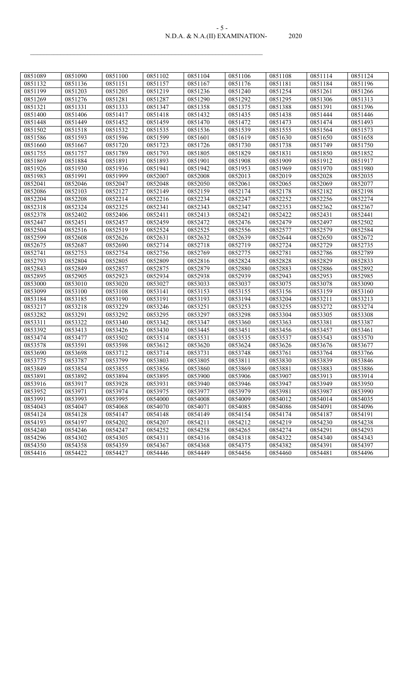#### N.D.A. & N.A.(II) EXAMINATION- 2020 - 5 -

| 0851089 | 0851090 | 0851100 | 0851102 | 0851104 | 0851106 | 0851108 | 0851114 | 0851124 |
|---------|---------|---------|---------|---------|---------|---------|---------|---------|
| 0851132 | 0851136 | 0851151 | 0851157 | 0851167 | 0851176 | 0851181 | 0851184 | 0851196 |
| 0851199 | 0851203 | 0851205 | 0851219 | 0851236 | 0851240 | 0851254 | 0851261 | 0851266 |
| 0851269 | 0851276 | 0851281 | 0851287 | 0851290 | 0851292 | 0851295 | 0851306 | 0851313 |
| 0851321 | 0851331 | 0851333 | 0851347 | 0851358 | 0851375 | 0851388 | 0851391 | 0851396 |
| 0851400 | 0851406 | 0851417 | 0851418 | 0851432 | 0851435 | 0851438 | 0851444 | 0851446 |
| 0851448 | 0851449 | 0851452 | 0851459 | 0851470 | 0851472 | 0851473 | 0851474 | 0851493 |
| 0851502 | 0851518 | 0851532 | 0851535 | 0851536 | 0851539 | 0851555 | 0851564 | 0851573 |
| 0851586 | 0851593 | 0851596 | 0851599 | 0851601 | 0851619 | 0851630 | 0851650 | 0851658 |
| 0851660 | 0851667 | 0851720 | 0851723 | 0851726 | 0851730 | 0851738 | 0851749 | 0851750 |
| 0851755 | 0851757 | 0851789 | 0851793 | 0851805 | 0851829 | 0851831 | 0851850 | 0851852 |
| 0851869 | 0851884 | 0851891 | 0851893 | 0851901 | 0851908 | 0851909 | 0851912 | 0851917 |
| 0851926 | 0851930 | 0851936 | 0851941 | 0851942 | 0851953 | 0851969 | 0851970 | 0851980 |
| 0851983 | 0851991 | 0851999 | 0852007 | 0852008 | 0852013 | 0852019 | 0852028 | 0852035 |
| 0852041 | 0852046 | 0852047 | 0852048 | 0852050 | 0852061 | 0852065 | 0852069 | 0852077 |
| 0852086 | 0852103 | 0852127 | 0852149 | 0852159 | 0852174 | 0852178 | 0852182 | 0852198 |
| 0852204 | 0852208 | 0852214 | 0852216 | 0852234 | 0852247 | 0852252 | 0852256 | 0852274 |
| 0852318 | 0852324 | 0852325 | 0852341 | 0852343 | 0852347 | 0852353 | 0852362 | 0852367 |
| 0852378 | 0852402 | 0852406 | 0852411 | 0852413 | 0852421 | 0852422 | 0852431 | 0852441 |
| 0852447 | 0852451 | 0852457 | 0852459 | 0852472 | 0852476 | 0852479 | 0852497 | 0852502 |
| 0852504 | 0852516 | 0852519 | 0852524 | 0852525 | 0852556 | 0852577 | 0852579 | 0852584 |
| 0852599 | 0852608 | 0852626 | 0852631 | 0852632 | 0852639 | 0852644 | 0852650 | 0852672 |
| 0852675 | 0852687 | 0852690 | 0852714 | 0852718 | 0852719 | 0852724 | 0852729 | 0852735 |
| 0852741 | 0852753 | 0852754 | 0852756 | 0852769 | 0852775 | 0852781 | 0852786 | 0852789 |
| 0852793 | 0852804 | 0852805 | 0852809 | 0852816 | 0852824 | 0852828 | 0852829 | 0852833 |
| 0852843 | 0852849 | 0852857 | 0852875 | 0852879 | 0852880 | 0852883 | 0852886 | 0852892 |
| 0852895 | 0852905 | 0852923 | 0852934 | 0852938 | 0852939 | 0852943 | 0852953 | 0852985 |
| 0853000 | 0853010 | 0853020 | 0853027 | 0853033 | 0853037 | 0853075 | 0853078 | 0853090 |
| 0853099 | 0853100 | 0853108 | 0853141 | 0853153 | 0853155 | 0853156 | 0853159 | 0853160 |
| 0853184 | 0853185 | 0853190 | 0853191 | 0853193 | 0853194 | 0853204 | 0853211 | 0853213 |
| 0853217 | 0853218 | 0853229 | 0853246 | 0853251 | 0853253 | 0853255 | 0853272 | 0853274 |
| 0853282 | 0853291 | 0853292 | 0853295 | 0853297 | 0853298 | 0853304 | 0853305 | 0853308 |
| 0853311 | 0853322 | 0853340 | 0853342 | 0853347 | 0853360 | 0853363 | 0853381 | 0853387 |
| 0853392 | 0853413 | 0853426 | 0853430 | 0853445 | 0853451 | 0853456 | 0853457 | 0853461 |
| 0853474 | 0853477 | 0853502 | 0853514 | 0853531 | 0853535 | 0853537 | 0853543 | 0853570 |
| 0853578 | 0853591 | 0853598 | 0853612 | 0853620 | 0853624 | 0853626 | 0853676 | 0853677 |
| 0853690 | 0853698 | 0853712 | 0853714 | 0853731 | 0853748 | 0853761 | 0853764 | 0853766 |
| 0853775 | 0853787 | 0853799 | 0853803 | 0853805 | 0853811 | 0853830 | 0853839 | 0853846 |
| 0853849 | 0853854 | 0853855 | 0853856 | 0853860 | 0853869 | 0853881 | 0853883 | 0853886 |
| 0853891 | 0853892 | 0853894 | 0853895 | 0853900 | 0853906 | 0853907 | 0853913 | 0853914 |
| 0853916 | 0853917 | 0853928 | 0853931 | 0853940 | 0853946 | 0853947 | 0853949 | 0853950 |
| 0853952 | 0853971 | 0853974 | 0853975 | 0853977 | 0853979 | 0853981 | 0853987 | 0853990 |
| 0853991 | 0853993 | 0853995 | 0854000 | 0854008 | 0854009 | 0854012 | 0854014 | 0854035 |
| 0854043 | 0854047 | 0854068 | 0854070 | 0854071 | 0854085 | 0854086 | 0854091 | 0854096 |
| 0854124 | 0854128 | 0854147 | 0854148 | 0854149 | 0854154 | 0854174 | 0854187 | 0854191 |
| 0854193 | 0854197 | 0854202 | 0854207 | 0854211 | 0854212 | 0854219 | 0854230 | 0854238 |
| 0854240 | 0854246 | 0854247 | 0854252 | 0854258 | 0854265 | 0854274 | 0854291 | 0854293 |
| 0854296 | 0854302 | 0854305 | 0854311 | 0854316 | 0854318 | 0854322 | 0854340 | 0854343 |
| 0854350 | 0854358 | 0854359 | 0854367 | 0854368 | 0854375 | 0854382 | 0854391 | 0854397 |
| 0854416 | 0854422 | 0854427 | 0854446 | 0854449 | 0854456 | 0854460 | 0854481 | 0854496 |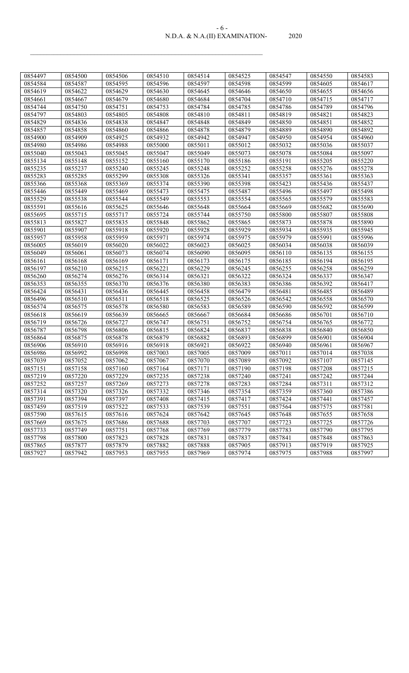#### N.D.A. & N.A.(II) EXAMINATION- 2020 - 6 -

| 0854497 | 0854500 | 0854506 | 0854510 | 0854514 | 0854525 | 0854547 | 0854550 | 0854583 |
|---------|---------|---------|---------|---------|---------|---------|---------|---------|
| 0854584 | 0854587 | 0854595 | 0854596 | 0854597 | 0854598 | 0854599 | 0854605 | 0854617 |
| 0854619 | 0854622 | 0854629 | 0854630 | 0854645 | 0854646 | 0854650 | 0854655 | 0854656 |
| 0854661 | 0854667 | 0854679 | 0854680 | 0854684 | 0854704 | 0854710 | 0854715 | 0854717 |
| 0854744 | 0854750 | 0854751 | 0854753 | 0854784 | 0854785 | 0854786 | 0854789 | 0854796 |
| 0854797 | 0854803 | 0854805 | 0854808 | 0854810 | 0854811 | 0854819 | 0854821 | 0854823 |
| 0854829 | 0854836 | 0854838 | 0854847 | 0854848 | 0854849 | 0854850 | 0854851 | 0854852 |
| 0854857 | 0854858 | 0854860 | 0854866 | 0854878 | 0854879 | 0854889 | 0854890 | 0854892 |
| 0854900 | 0854909 | 0854925 | 0854932 | 0854942 | 0854947 | 0854950 | 0854954 | 0854960 |
| 0854980 | 0854986 | 0854988 | 0855000 | 0855011 | 0855012 | 0855032 | 0855036 | 0855037 |
| 0855040 | 0855043 | 0855045 | 0855047 | 0855049 | 0855073 | 0855078 | 0855084 | 0855097 |
| 0855134 | 0855148 | 0855152 | 0855160 | 0855170 | 0855186 | 0855191 | 0855205 | 0855220 |
| 0855235 | 0855237 | 0855240 | 0855245 | 0855248 | 0855252 | 0855258 | 0855276 | 0855278 |
| 0855283 | 0855285 | 0855299 | 0855308 | 0855326 | 0855341 | 0855357 | 0855361 | 0855363 |
| 0855366 | 0855368 | 0855369 | 0855374 | 0855390 | 0855398 | 0855423 | 0855436 | 0855437 |
| 0855446 | 0855449 | 0855469 | 0855473 | 0855475 | 0855487 | 0855496 | 0855497 | 0855498 |
| 0855529 | 0855538 | 0855544 | 0855549 | 0855553 | 0855554 | 0855565 | 0855579 | 0855583 |
| 0855591 | 0855616 | 0855625 | 0855646 | 0855648 | 0855664 | 0855669 | 0855682 | 0855690 |
| 0855695 | 0855715 | 0855717 | 0855724 | 0855744 | 0855750 | 0855800 | 0855807 | 0855808 |
| 0855813 | 0855827 | 0855835 | 0855848 | 0855862 | 0855865 | 0855873 | 0855878 | 0855890 |
| 0855901 | 0855907 | 0855918 | 0855920 | 0855928 | 0855929 | 0855934 | 0855935 | 0855945 |
| 0855957 | 0855958 | 0855959 | 0855971 | 0855974 | 0855975 | 0855979 | 0855991 | 0855996 |
| 0856005 | 0856019 | 0856020 | 0856022 | 0856023 | 0856025 | 0856034 | 0856038 | 0856039 |
| 0856049 | 0856061 | 0856073 | 0856074 | 0856090 | 0856095 | 0856110 | 0856135 | 0856155 |
| 0856161 | 0856168 | 0856169 | 0856171 | 0856173 | 0856175 | 0856185 | 0856194 | 0856195 |
| 0856197 | 0856210 | 0856215 | 0856221 | 0856229 | 0856245 | 0856255 | 0856258 | 0856259 |
| 0856260 | 0856274 | 0856276 | 0856314 | 0856321 | 0856322 | 0856324 | 0856337 | 0856347 |
| 0856353 | 0856355 | 0856370 | 0856376 | 0856380 | 0856383 | 0856386 | 0856392 | 0856417 |
| 0856424 | 0856431 | 0856436 | 0856445 | 0856458 | 0856479 | 0856481 | 0856485 | 0856489 |
| 0856496 | 0856510 | 0856511 | 0856518 | 0856525 | 0856526 | 0856542 | 0856558 | 0856570 |
| 0856574 | 0856575 | 0856578 | 0856580 | 0856583 | 0856589 | 0856590 | 0856592 | 0856599 |
| 0856618 | 0856619 | 0856639 | 0856665 | 0856667 | 0856684 | 0856686 | 0856701 | 0856710 |
| 0856719 | 0856726 | 0856727 | 0856747 | 0856751 | 0856752 | 0856754 | 0856765 | 0856772 |
| 0856787 | 0856798 | 0856806 | 0856815 | 0856824 | 0856837 | 0856838 | 0856840 | 0856850 |
| 0856864 | 0856875 | 0856878 | 0856879 | 0856882 | 0856893 | 0856899 | 0856901 | 0856904 |
| 0856906 | 0856910 | 0856916 | 0856918 | 0856921 | 0856922 | 0856940 | 0856961 | 0856967 |
| 0856986 | 0856992 | 0856998 | 0857003 | 0857005 | 0857009 | 0857011 | 0857014 | 0857038 |
| 0857039 | 0857052 | 0857062 | 0857067 | 0857070 | 0857089 | 0857092 | 0857107 | 0857145 |
| 0857151 | 0857158 | 0857160 | 0857164 | 0857171 | 0857190 | 0857198 | 0857208 | 0857215 |
| 0857219 | 0857220 | 0857229 | 0857235 | 0857238 | 0857240 | 0857241 | 0857242 | 0857244 |
| 0857252 | 0857257 | 0857269 | 0857273 | 0857278 | 0857283 | 0857284 | 0857311 | 0857312 |
| 0857314 | 0857320 | 0857326 | 0857332 | 0857346 | 0857354 | 0857359 | 0857360 | 0857386 |
| 0857391 | 0857394 | 0857397 | 0857408 | 0857415 | 0857417 | 0857424 | 0857441 | 0857457 |
| 0857459 | 0857519 | 0857522 | 0857533 | 0857539 | 0857551 | 0857564 | 0857575 | 0857581 |
| 0857590 | 0857615 | 0857616 | 0857624 | 0857642 | 0857645 | 0857648 | 0857655 | 0857658 |
| 0857669 | 0857675 | 0857686 | 0857688 | 0857703 | 0857707 | 0857723 | 0857725 | 0857726 |
| 0857733 | 0857749 | 0857751 | 0857768 | 0857769 | 0857779 | 0857783 | 0857790 | 0857795 |
| 0857798 | 0857800 | 0857823 | 0857828 | 0857831 | 0857837 | 0857841 | 0857848 | 0857863 |
| 0857865 | 0857877 | 0857879 | 0857882 | 0857888 | 0857905 | 0857913 | 0857919 | 0857925 |
| 0857927 | 0857942 | 0857953 | 0857955 | 0857969 | 0857974 | 0857975 | 0857988 | 0857997 |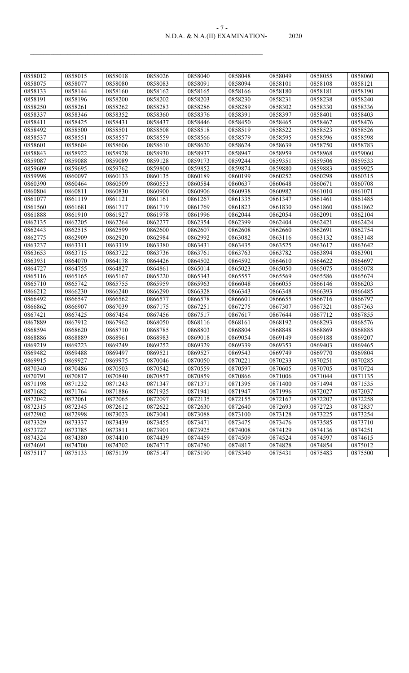#### N.D.A. & N.A.(II) EXAMINATION- 2020 - 7 -

| 0858012 | 0858015 | 0858018 | 0858026 | 0858040 | 0858048 | 0858049 | 0858055 | 0858060 |
|---------|---------|---------|---------|---------|---------|---------|---------|---------|
| 0858075 | 0858077 | 0858080 | 0858083 | 0858091 | 0858094 | 0858101 | 0858108 | 0858121 |
| 0858133 | 0858144 | 0858160 | 0858162 | 0858165 | 0858166 | 0858180 | 0858181 | 0858190 |
| 0858191 | 0858196 | 0858200 | 0858202 | 0858203 | 0858230 | 0858231 | 0858238 | 0858240 |
| 0858250 | 0858261 | 0858262 | 0858283 | 0858286 | 0858289 | 0858302 | 0858330 | 0858336 |
| 0858337 | 0858346 | 0858352 | 0858360 | 0858376 | 0858391 | 0858397 | 0858401 | 0858403 |
| 0858411 | 0858425 | 0858431 | 0858437 | 0858446 | 0858450 | 0858465 | 0858467 | 0858476 |
| 0858492 | 0858500 | 0858501 | 0858508 | 0858518 | 0858519 | 0858522 | 0858523 | 0858526 |
| 0858537 | 0858551 | 0858557 | 0858559 | 0858566 | 0858579 | 0858595 | 0858596 | 0858598 |
| 0858601 | 0858604 | 0858606 | 0858610 | 0858620 | 0858624 | 0858639 | 0858750 | 0858783 |
| 0858843 | 0858922 | 0858928 | 0858930 | 0858937 | 0858947 | 0858959 | 0858968 | 0859060 |
| 0859087 | 0859088 | 0859089 | 0859128 | 0859173 | 0859244 | 0859351 | 0859506 | 0859533 |
| 0859609 | 0859695 | 0859762 | 0859800 | 0859852 | 0859874 | 0859880 | 0859883 | 0859925 |
| 0859998 | 0860097 | 0860133 | 0860135 | 0860189 | 0860199 | 0860252 | 0860298 | 0860315 |
| 0860390 | 0860464 | 0860509 | 0860553 | 0860584 | 0860637 | 0860648 | 0860671 | 0860708 |
| 0860804 | 0860811 | 0860830 | 0860900 | 0860906 | 0860938 | 0860982 | 0861010 | 0861071 |
| 0861077 | 0861119 | 0861121 | 0861161 | 0861267 | 0861335 | 0861347 | 0861461 | 0861485 |
| 0861560 | 0861681 | 0861717 | 0861719 | 0861769 | 0861823 | 0861830 | 0861860 | 0861862 |
| 0861888 | 0861910 | 0861927 | 0861978 | 0861996 | 0862044 | 0862054 | 0862091 | 0862104 |
| 0862135 | 0862205 | 0862264 | 0862277 | 0862354 | 0862399 | 0862404 | 0862421 | 0862424 |
| 0862443 | 0862515 | 0862599 | 0862600 | 0862607 | 0862608 | 0862660 | 0862691 | 0862754 |
| 0862775 | 0862909 | 0862920 | 0862984 | 0862992 | 0863082 | 0863116 | 0863132 | 0863148 |
| 0863237 | 0863311 | 0863319 | 0863380 | 0863431 | 0863435 | 0863525 | 0863617 | 0863642 |
| 0863653 | 0863715 | 0863722 | 0863736 | 0863761 | 0863763 | 0863782 | 0863894 | 0863901 |
| 0863931 | 0864070 | 0864178 | 0864426 | 0864502 | 0864592 | 0864610 | 0864622 | 0864697 |
| 0864727 | 0864755 | 0864827 | 0864861 | 0865014 | 0865023 | 0865050 | 0865075 | 0865078 |
| 0865116 | 0865165 | 0865167 | 0865220 | 0865343 | 0865557 | 0865569 | 0865586 | 0865674 |
| 0865710 | 0865742 | 0865755 | 0865959 | 0865963 | 0866048 | 0866055 | 0866146 | 0866203 |
| 0866212 | 0866230 | 0866240 | 0866290 | 0866328 | 0866343 | 0866348 | 0866393 | 0866485 |
| 0866492 | 0866547 | 0866562 | 0866577 | 0866578 | 0866601 | 0866655 | 0866716 | 0866797 |
| 0866862 | 0866907 | 0867039 | 0867175 | 0867251 | 0867275 | 0867307 | 0867321 | 0867363 |
| 0867421 | 0867425 | 0867454 | 0867456 | 0867517 | 0867617 | 0867644 | 0867712 | 0867855 |
| 0867889 | 0867912 | 0867962 | 0868050 | 0868116 | 0868161 | 0868192 | 0868293 | 0868576 |
| 0868594 | 0868620 | 0868710 | 0868785 | 0868803 | 0868804 | 0868848 | 0868869 | 0868885 |
| 0868886 | 0868889 | 0868961 | 0868983 | 0869018 | 0869054 | 0869149 | 0869188 | 0869207 |
| 0869219 | 0869223 | 0869249 | 0869252 | 0869329 | 0869339 | 0869353 | 0869403 | 0869465 |
| 0869482 | 0869488 | 0869497 | 0869521 | 0869527 | 0869543 | 0869749 | 0869770 | 0869804 |
| 0869915 | 0869927 | 0869975 | 0870046 | 0870050 | 0870221 | 0870233 | 0870251 | 0870285 |
| 0870340 | 0870486 | 0870503 | 0870542 | 0870559 | 0870597 | 0870605 | 0870705 | 0870724 |
| 0870791 | 0870817 | 0870840 | 0870857 | 0870859 | 0870866 | 0871006 | 0871044 | 0871135 |
| 0871198 | 0871232 | 0871243 | 0871347 | 0871371 | 0871395 | 0871400 | 0871494 | 0871535 |
| 0871682 | 0871764 | 0871886 | 0871925 | 0871941 | 0871947 | 0871996 | 0872027 | 0872037 |
| 0872042 | 0872061 | 0872065 | 0872097 | 0872135 | 0872155 | 0872167 | 0872207 | 0872258 |
| 0872315 | 0872345 | 0872612 | 0872622 | 0872630 | 0872640 | 0872693 | 0872723 | 0872837 |
| 0872902 | 0872998 | 0873023 | 0873041 | 0873088 | 0873100 | 0873128 | 0873225 | 0873254 |
| 0873329 | 0873337 | 0873439 | 0873455 | 0873471 | 0873475 | 0873476 | 0873585 | 0873710 |
| 0873727 | 0873785 | 0873811 | 0873901 | 0873925 | 0874008 | 0874129 | 0874136 | 0874251 |
| 0874324 | 0874380 | 0874410 | 0874439 | 0874459 | 0874509 | 0874524 | 0874597 | 0874615 |
| 0874691 | 0874700 | 0874702 | 0874717 | 0874780 | 0874817 | 0874828 | 0874854 | 0875012 |
| 0875117 | 0875133 | 0875139 | 0875147 | 0875190 | 0875340 | 0875431 | 0875483 | 0875500 |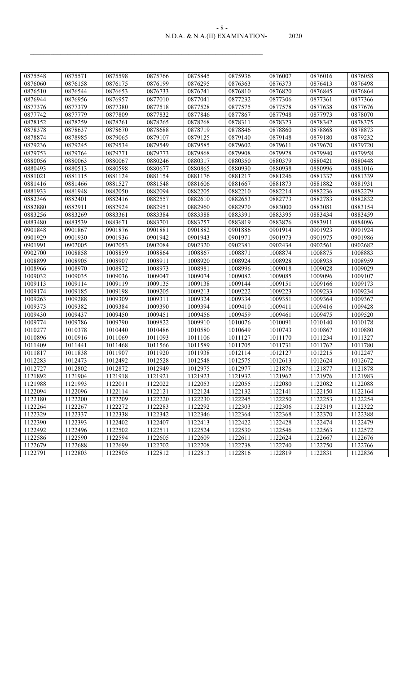#### N.D.A. & N.A.(II) EXAMINATION- 2020 - 8 -

| 0875548 | 0875571 | 0875598 | 0875766 | 0875845 | 0875936 | 0876007 | 0876016 | 0876058 |
|---------|---------|---------|---------|---------|---------|---------|---------|---------|
| 0876060 | 0876158 | 0876175 | 0876199 | 0876295 | 0876363 | 0876373 | 0876413 | 0876498 |
| 0876510 | 0876544 | 0876653 | 0876733 | 0876741 | 0876810 | 0876820 | 0876845 | 0876864 |
| 0876944 | 0876956 | 0876957 | 0877010 | 0877041 | 0877232 | 0877306 | 0877361 | 0877366 |
| 0877376 | 0877379 | 0877380 | 0877518 | 0877528 | 0877575 | 0877578 | 0877638 | 0877676 |
| 0877742 | 0877779 | 0877809 | 0877832 | 0877846 | 0877867 | 0877948 | 0877973 | 0878070 |
| 0878152 | 0878259 | 0878261 | 0878265 | 0878268 | 0878311 | 0878323 | 0878342 | 0878375 |
| 0878378 | 0878637 | 0878670 | 0878688 | 0878719 | 0878846 | 0878860 | 0878868 | 0878873 |
| 0878874 | 0878985 | 0879065 | 0879107 | 0879125 | 0879140 | 0879148 | 0879180 | 0879232 |
| 0879236 | 0879245 | 0879534 | 0879549 | 0879585 | 0879602 | 0879611 | 0879670 | 0879720 |
| 0879753 | 0879764 | 0879771 | 0879773 | 0879868 | 0879908 | 0879928 | 0879940 | 0879958 |
| 0880056 | 0880063 | 0880067 | 0880246 | 0880317 | 0880350 | 0880379 | 0880421 | 0880448 |
| 0880493 | 0880513 | 0880598 | 0880677 | 0880865 | 0880930 | 0880938 | 0880996 | 0881016 |
| 0881021 | 0881115 | 0881124 | 0881154 | 0881176 | 0881217 | 0881246 | 0881337 | 0881339 |
| 0881416 | 0881466 | 0881527 | 0881548 | 0881606 | 0881667 | 0881873 | 0881882 | 0881931 |
| 0881933 | 0881948 | 0882050 | 0882094 | 0882205 | 0882210 | 0882214 | 0882236 | 0882279 |
| 0882346 | 0882401 | 0882416 | 0882557 | 0882610 | 0882653 | 0882773 | 0882783 | 0882832 |
| 0882880 | 0882911 | 0882924 | 0882951 | 0882960 | 0882970 | 0883000 | 0883081 | 0883154 |
| 0883256 | 0883269 | 0883361 | 0883384 | 0883388 | 0883391 | 0883395 | 0883434 | 0883459 |
| 0883480 | 0883539 | 0883671 | 0883701 | 0883757 | 0883819 | 0883876 | 0883911 | 0884096 |
| 0901848 | 0901867 | 0901876 | 0901881 | 0901882 | 0901886 | 0901914 | 0901923 | 0901924 |
| 0901929 | 0901930 | 0901936 | 0901942 | 0901943 | 0901971 | 0901973 | 0901975 | 0901986 |
| 0901991 | 0902005 | 0902053 | 0902084 | 0902320 | 0902381 | 0902434 | 0902561 | 0902682 |
| 0902700 | 1008858 | 1008859 | 1008864 | 1008867 | 1008871 | 1008874 | 1008875 | 1008883 |
| 1008899 | 1008905 | 1008907 | 1008911 | 1008920 | 1008924 | 1008928 | 1008935 | 1008959 |
| 1008966 | 1008970 | 1008972 | 1008973 | 1008981 | 1008996 | 1009018 | 1009028 | 1009029 |
| 1009032 | 1009035 | 1009036 | 1009047 | 1009074 | 1009082 | 1009085 | 1009096 | 1009107 |
| 1009113 | 1009114 | 1009119 | 1009135 | 1009138 | 1009144 | 1009151 | 1009166 | 1009173 |
| 1009174 | 1009185 | 1009198 | 1009205 | 1009213 | 1009222 | 1009223 | 1009233 | 1009234 |
| 1009263 | 1009288 | 1009309 | 1009311 | 1009324 | 1009334 | 1009351 | 1009364 | 1009367 |
| 1009373 | 1009382 | 1009384 | 1009390 | 1009394 | 1009410 | 1009411 | 1009416 | 1009428 |
| 1009430 | 1009437 | 1009450 | 1009451 | 1009456 | 1009459 | 1009461 | 1009475 | 1009520 |
| 1009774 | 1009786 | 1009790 | 1009822 | 1009910 | 1010076 | 1010091 | 1010140 | 1010178 |
| 1010277 | 1010378 | 1010440 | 1010486 | 1010580 | 1010649 | 1010743 | 1010867 | 1010880 |
| 1010896 | 1010916 | 1011069 | 1011093 | 1011106 | 1011127 | 1011170 | 1011234 | 1011327 |
| 1011409 | 1011441 | 1011468 | 1011566 | 1011589 | 1011705 | 1011731 | 1011762 | 1011780 |
| 1011817 | 1011838 | 1011907 | 1011920 | 1011938 | 1012114 | 1012127 | 1012215 | 1012247 |
| 1012283 | 1012473 | 1012492 | 1012528 | 1012548 | 1012575 | 1012613 | 1012624 | 1012672 |
| 1012727 | 1012802 | 1012872 | 1012949 | 1012975 | 1012977 | 1121876 | 1121877 | 1121878 |
| 1121892 | 1121904 | 1121918 | 1121921 | 1121923 | 1121932 | 1121962 | 1121976 | 1121983 |
| 1121988 | 1121993 | 1122011 | 1122022 | 1122053 | 1122055 | 1122080 | 1122082 | 1122088 |
| 1122094 | 1122096 | 1122114 | 1122121 | 1122124 | 1122132 | 1122141 | 1122150 | 1122164 |
| 1122180 | 1122200 | 1122209 | 1122220 | 1122230 | 1122245 | 1122250 | 1122253 | 1122254 |
| 1122264 | 1122267 | 1122272 | 1122283 | 1122292 | 1122303 | 1122306 | 1122319 | 1122322 |
| 1122329 | 1122337 | 1122338 | 1122342 | 1122346 | 1122364 | 1122368 | 1122370 | 1122388 |
| 1122390 | 1122393 | 1122402 | 1122407 | 1122413 | 1122422 | 1122428 | 1122474 | 1122479 |
| 1122492 | 1122496 | 1122502 | 1122511 | 1122524 | 1122530 | 1122546 | 1122563 | 1122572 |
| 1122586 | 1122590 | 1122594 | 1122605 | 1122609 | 1122611 | 1122624 | 1122667 | 1122676 |
| 1122679 | 1122688 | 1122699 | 1122702 | 1122708 | 1122738 | 1122740 | 1122750 | 1122766 |
| 1122791 | 1122803 | 1122805 | 1122812 | 1122813 | 1122816 | 1122819 | 1122831 | 1122836 |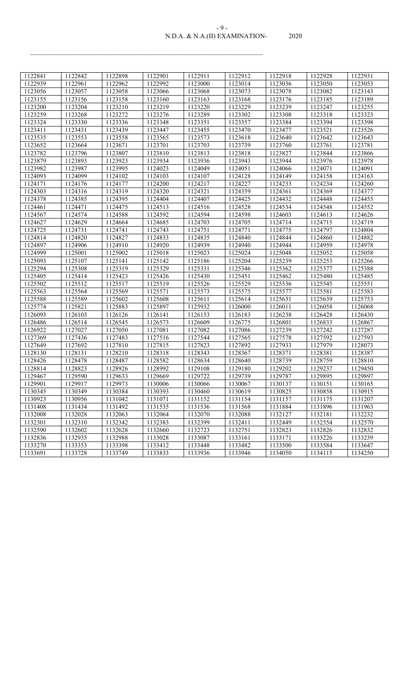## N.D.A. & N.A.(II) EXAMINATION- 2020 - 9 -

| 1122841 | 1122842 | 1122898 | 1122901 | 1122911 | 1122912 | 1122918 | 1122928 | 1122931 |
|---------|---------|---------|---------|---------|---------|---------|---------|---------|
| 1122939 | 1122961 | 1122962 | 1122992 | 1123000 | 1123014 | 1123036 | 1123050 | 1123053 |
| 1123056 | 1123057 | 1123058 | 1123066 | 1123068 | 1123073 | 1123078 | 1123082 | 1123143 |
| 1123155 | 1123156 | 1123158 | 1123160 | 1123163 | 1123168 | 1123176 | 1123185 | 1123189 |
| 1123200 | 1123204 | 1123210 | 1123219 | 1123220 | 1123229 | 1123239 | 1123247 | 1123255 |
| 1123259 | 1123268 | 1123272 | 1123276 | 1123289 | 1123302 | 1123308 | 1123318 | 1123323 |
| 1123324 | 1123330 | 1123336 | 1123348 | 1123351 | 1123357 | 1123384 | 1123394 | 1123398 |
| 1123411 | 1123431 | 1123439 | 1123447 | 1123455 | 1123470 | 1123477 | 1123521 | 1123526 |
| 1123535 | 1123553 | 1123558 | 1123565 | 1123573 | 1123618 | 1123640 | 1123642 | 1123643 |
| 1123652 | 1123664 | 1123671 | 1123701 | 1123703 | 1123739 | 1123760 | 1123761 | 1123781 |
| 1123782 | 1123796 | 1123807 | 1123810 | 1123813 | 1123818 | 1123827 | 1123844 | 1123866 |
| 1123879 | 1123893 | 1123923 | 1123934 | 1123936 | 1123943 | 1123944 | 1123976 | 1123978 |
| 1123982 | 1123987 | 1123995 | 1124023 | 1124049 | 1124051 | 1124066 | 1124071 | 1124091 |
| 1124093 | 1124099 | 1124102 | 1124103 | 1124107 | 1124128 | 1124149 | 1124158 | 1124163 |
| 1124171 | 1124176 | 1124177 | 1124200 | 1124217 | 1124227 | 1124233 | 1124234 | 1124260 |
| 1124303 | 1124316 | 1124319 | 1124320 | 1124321 | 1124359 | 1124361 | 1124369 | 1124377 |
| 1124378 | 1124385 | 1124395 | 1124404 | 1124407 | 1124425 | 1124432 | 1124448 | 1124455 |
| 1124461 | 1124471 | 1124475 | 1124513 | 1124516 | 1124528 | 1124534 | 1124548 | 1124552 |
| 1124567 | 1124574 | 1124588 | 1124592 | 1124594 | 1124598 | 1124603 | 1124613 | 1124626 |
| 1124627 | 1124629 | 1124664 | 1124685 | 1124703 | 1124705 | 1124714 | 1124715 | 1124719 |
| 1124725 | 1124731 | 1124741 | 1124743 | 1124751 | 1124771 | 1124775 | 1124797 | 1124804 |
| 1124814 | 1124820 | 1124827 | 1124833 | 1124835 | 1124840 | 1124844 | 1124860 | 1124882 |
| 1124897 | 1124906 | 1124910 | 1124920 | 1124939 | 1124940 | 1124944 | 1124959 | 1124978 |
| 1124999 | 1125001 | 1125002 | 1125018 | 1125023 | 1125024 | 1125048 | 1125052 | 1125058 |
| 1125093 | 1125107 | 1125141 | 1125142 | 1125186 | 1125204 | 1125239 | 1125253 | 1125266 |
| 1125294 | 1125308 | 1125319 | 1125329 | 1125331 | 1125346 | 1125362 | 1125377 | 1125388 |
| 1125405 | 1125414 | 1125423 | 1125426 | 1125430 | 1125451 | 1125462 | 1125480 | 1125485 |
| 1125502 | 1125512 | 1125517 | 1125519 | 1125526 | 1125529 | 1125536 | 1125545 | 1125551 |
| 1125563 | 1125564 | 1125569 | 1125571 | 1125573 | 1125575 | 1125577 | 1125581 | 1125583 |
| 1125588 | 1125589 | 1125602 | 1125608 | 1125611 | 1125614 | 1125631 | 1125639 | 1125753 |
| 1125774 | 1125821 | 1125883 | 1125897 | 1125932 | 1126000 | 1126011 | 1126058 | 1126068 |
| 1126093 | 1126103 | 1126126 | 1126141 | 1126153 | 1126183 | 1126238 | 1126428 | 1126430 |
| 1126486 | 1126514 | 1126545 | 1126573 | 1126609 | 1126775 | 1126801 | 1126833 | 1126867 |
| 1126922 | 1127027 | 1127050 | 1127081 | 1127082 | 1127086 | 1127239 | 1127242 | 1127287 |
| 1127369 | 1127436 | 1127483 | 1127516 | 1127544 | 1127565 | 1127578 | 1127592 | 1127593 |
| 1127649 | 1127692 | 1127810 | 1127815 | 1127823 | 1127892 | 1127933 | 1127979 | 1128073 |
| 1128130 | 1128131 | 1128210 | 1128318 | 1128343 | 1128367 | 1128371 | 1128381 | 1128387 |
| 1128426 | 1128478 | 1128487 | 1128582 | 1128634 | 1128640 | 1128739 | 1128759 | 1128810 |
| 1128814 | 1128823 | 1128926 | 1128992 | 1129108 | 1129180 | 1129202 | 1129237 | 1129450 |
| 1129467 | 1129590 | 1129633 | 1129669 | 1129722 | 1129739 | 1129787 | 1129895 | 1129897 |
| 1129901 | 1129917 | 1129973 | 1130006 | 1130066 | 1130067 | 1130137 | 1130151 | 1130165 |
| 1130345 | 1130349 | 1130384 | 1130393 | 1130460 | 1130619 | 1130825 | 1130858 | 1130915 |
| 1130923 | 1130956 | 1131042 | 1131071 | 1131152 | 1131154 | 1131157 | 1131175 | 1131207 |
| 1131408 | 1131434 | 1131492 | 1131535 | 1131536 | 1131568 | 1131884 | 1131896 | 1131963 |
| 1132008 | 1132028 | 1132063 | 1132064 | 1132070 | 1132088 | 1132127 | 1132181 | 1132232 |
| 1132301 | 1132310 | 1132342 | 1132383 | 1132399 | 1132411 | 1132449 | 1132554 | 1132570 |
| 1132590 | 1132602 | 1132628 | 1132660 | 1132723 | 1132751 | 1132823 | 1132826 | 1132832 |
| 1132836 | 1132935 | 1132988 | 1133028 | 1133087 | 1133161 | 1133171 | 1133226 | 1133239 |
| 1133270 | 1133353 | 1133398 | 1133412 | 1133448 | 1133482 | 1133500 | 1133584 | 1133647 |
| 1133691 | 1133728 | 1133749 | 1133833 | 1133936 | 1133946 | 1134050 | 1134115 | 1134250 |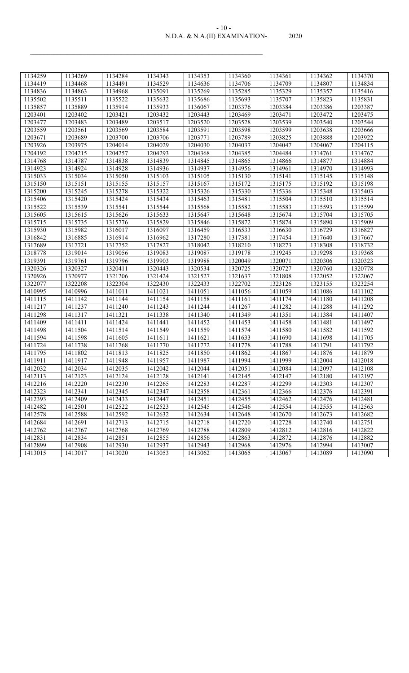| $-10-$                         |      |
|--------------------------------|------|
| N.D.A. & N.A.(II) EXAMINATION- | 2020 |

| 1134259 | 1134269 | 1134284 | 1134343 | 1134353 | 1134360 | 1134361 | 1134362 | 1134370 |
|---------|---------|---------|---------|---------|---------|---------|---------|---------|
| 1134419 | 1134468 | 1134491 | 1134529 | 1134636 | 1134706 | 1134709 | 1134807 | 1134834 |
| 1134836 | 1134863 | 1134968 | 1135091 | 1135269 | 1135285 | 1135329 | 1135357 | 1135416 |
| 1135502 | 1135511 | 1135522 | 1135632 | 1135686 | 1135693 | 1135707 | 1135823 | 1135831 |
| 1135857 | 1135889 | 1135914 | 1135933 | 1136067 | 1203376 | 1203384 | 1203386 | 1203387 |
| 1203401 | 1203402 | 1203421 | 1203432 | 1203443 | 1203469 | 1203471 | 1203472 | 1203475 |
| 1203477 | 1203483 | 1203489 | 1203517 | 1203520 | 1203528 | 1203539 | 1203540 | 1203544 |
| 1203559 | 1203561 | 1203569 | 1203584 | 1203591 | 1203598 | 1203599 | 1203638 | 1203666 |
| 1203671 | 1203689 | 1203700 | 1203706 | 1203771 | 1203789 | 1203825 | 1203888 | 1203922 |
| 1203926 | 1203975 | 1204014 | 1204029 | 1204030 | 1204037 | 1204047 | 1204067 | 1204115 |
| 1204192 | 1204215 | 1204257 | 1204293 | 1204368 | 1204385 | 1204484 | 1314761 | 1314767 |
| 1314768 | 1314787 | 1314838 | 1314839 | 1314845 | 1314865 | 1314866 | 1314877 | 1314884 |
| 1314923 | 1314924 | 1314928 | 1314936 | 1314937 | 1314956 | 1314961 | 1314970 | 1314993 |
| 1315033 | 1315034 | 1315050 | 1315103 | 1315105 | 1315130 | 1315141 | 1315145 | 1315148 |
| 1315150 | 1315151 | 1315155 | 1315157 | 1315167 | 1315172 | 1315175 | 1315192 | 1315198 |
| 1315200 | 1315245 | 1315278 | 1315322 | 1315326 | 1315330 | 1315336 | 1315348 | 1315403 |
| 1315406 | 1315420 | 1315424 | 1315434 | 1315463 | 1315481 | 1315504 | 1315510 | 1315514 |
| 1315522 | 1315539 | 1315541 | 1315544 | 1315568 | 1315582 | 1315583 | 1315593 | 1315599 |
| 1315605 | 1315615 | 1315626 | 1315633 | 1315647 | 1315648 | 1315674 | 1315704 | 1315705 |
| 1315715 | 1315735 | 1315776 | 1315829 | 1315846 | 1315872 | 1315874 | 1315890 | 1315909 |
| 1315930 | 1315982 | 1316017 | 1316097 | 1316459 | 1316533 | 1316630 | 1316729 | 1316827 |
| 1316842 | 1316885 | 1316914 | 1316962 | 1317280 | 1317381 | 1317454 | 1317640 | 1317667 |
| 1317689 | 1317721 | 1317752 | 1317827 | 1318042 | 1318210 | 1318273 | 1318308 | 1318732 |
| 1318778 | 1319014 | 1319056 | 1319083 | 1319087 | 1319178 | 1319245 | 1319298 | 1319368 |
| 1319391 | 1319761 | 1319796 | 1319903 | 1319988 | 1320049 | 1320071 | 1320306 | 1320323 |
| 1320326 | 1320327 | 1320411 | 1320443 | 1320534 | 1320725 | 1320727 | 1320760 | 1320778 |
| 1320926 | 1320977 | 1321206 | 1321424 | 1321527 | 1321637 | 1321808 | 1322052 | 1322067 |
| 1322077 | 1322208 | 1322304 | 1322430 | 1322433 | 1322702 | 1323126 | 1323155 | 1323254 |
| 1410995 | 1410996 | 1411011 | 1411021 | 1411051 | 1411056 | 1411059 | 1411086 | 1411102 |
| 1411115 | 1411142 | 1411144 | 1411154 | 1411158 | 1411161 | 1411174 | 1411180 | 1411208 |
| 1411217 | 1411237 | 1411240 | 1411243 | 1411244 | 1411267 | 1411282 | 1411288 | 1411292 |
| 1411298 | 1411317 | 1411321 | 1411338 | 1411340 | 1411349 | 1411351 | 1411384 | 1411407 |
| 1411409 | 1411411 | 1411424 | 1411441 | 1411452 | 1411453 | 1411458 | 1411481 | 1411497 |
| 1411498 | 1411504 | 1411514 | 1411549 | 1411559 | 1411574 | 1411580 | 1411582 | 1411592 |
| 1411594 | 1411598 | 1411605 | 1411611 | 1411621 | 1411633 | 1411690 | 1411698 | 1411705 |
| 1411724 | 1411738 | 1411768 | 1411770 | 1411772 | 1411778 | 1411788 | 1411791 | 1411792 |
| 1411795 | 1411802 | 1411813 | 1411825 | 1411850 | 1411862 | 1411867 | 1411876 | 1411879 |
| 1411911 | 1411917 | 1411948 | 1411957 | 1411987 | 1411994 | 1411999 | 1412004 | 1412018 |
| 1412032 | 1412034 | 1412035 | 1412042 | 1412044 | 1412051 | 1412084 | 1412097 | 1412108 |
| 1412113 | 1412123 | 1412124 | 1412128 | 1412141 | 1412145 | 1412147 | 1412180 | 1412197 |
| 1412216 | 1412220 | 1412230 | 1412265 | 1412283 | 1412287 | 1412299 | 1412303 | 1412307 |
| 1412323 | 1412341 | 1412345 | 1412347 | 1412358 | 1412361 | 1412366 | 1412376 | 1412391 |
| 1412393 | 1412409 | 1412433 | 1412447 | 1412451 | 1412455 | 1412462 | 1412476 | 1412481 |
| 1412482 | 1412501 | 1412522 | 1412523 | 1412545 | 1412546 | 1412554 | 1412555 | 1412563 |
| 1412578 | 1412588 | 1412592 | 1412632 | 1412634 | 1412648 | 1412670 | 1412673 | 1412682 |
| 1412684 | 1412691 | 1412713 | 1412715 | 1412718 | 1412720 | 1412728 | 1412740 | 1412751 |
| 1412762 | 1412767 | 1412768 | 1412769 | 1412788 | 1412809 | 1412812 | 1412816 | 1412822 |
| 1412831 | 1412834 | 1412851 | 1412855 | 1412856 | 1412863 | 1412872 | 1412876 | 1412882 |
| 1412899 | 1412908 | 1412930 | 1412937 | 1412943 | 1412968 | 1412976 | 1412994 | 1413007 |
| 1413015 | 1413017 | 1413020 | 1413053 | 1413062 | 1413065 | 1413067 | 1413089 | 1413090 |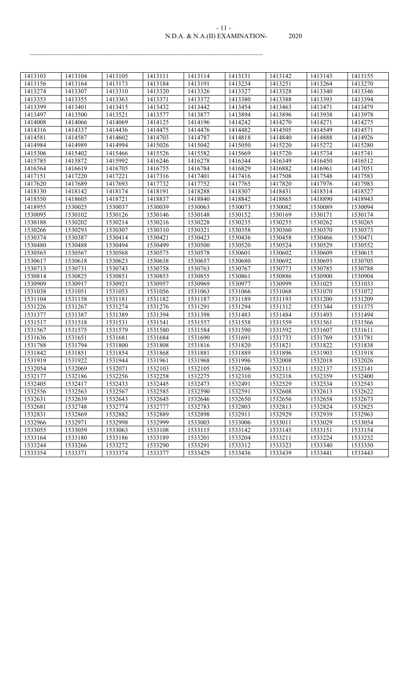| $-11-$                         |      |
|--------------------------------|------|
| N.D.A. & N.A.(II) EXAMINATION- | 2020 |

| 1413103 | 1413104 | 1413105 | 1413111 | 1413114 | 1413131 | 1413142 | 1413143 | 1413155 |
|---------|---------|---------|---------|---------|---------|---------|---------|---------|
| 1413156 | 1413164 | 1413173 | 1413184 | 1413191 | 1413234 | 1413251 | 1413264 | 1413270 |
| 1413274 | 1413307 | 1413310 | 1413320 | 1413326 | 1413327 | 1413328 | 1413340 | 1413346 |
| 1413353 | 1413355 | 1413363 | 1413371 | 1413372 | 1413380 | 1413388 | 1413393 | 1413394 |
| 1413399 | 1413401 | 1413415 | 1413432 | 1413442 | 1413454 | 1413463 | 1413471 | 1413479 |
| 1413497 | 1413500 | 1413521 | 1413577 | 1413877 | 1413894 | 1413896 | 1413938 | 1413978 |
| 1414008 | 1414066 | 1414069 | 1414125 | 1414196 | 1414242 | 1414270 | 1414271 | 1414275 |
| 1414316 | 1414337 | 1414436 | 1414475 | 1414476 | 1414482 | 1414505 | 1414549 | 1414571 |
| 1414581 | 1414587 | 1414602 | 1414703 | 1414787 | 1414818 | 1414840 | 1414888 | 1414926 |
| 1414984 | 1414989 | 1414994 | 1415026 | 1415042 | 1415050 | 1415220 | 1415272 | 1415280 |
| 1415306 | 1415402 | 1415466 | 1415526 | 1415582 | 1415669 | 1415720 | 1415734 | 1415741 |
| 1415785 | 1415872 | 1415992 | 1416246 | 1416278 | 1416344 | 1416349 | 1416450 | 1416512 |
| 1416564 | 1416619 | 1416705 | 1416755 | 1416784 | 1416829 | 1416882 | 1416961 | 1417051 |
| 1417151 | 1417220 | 1417221 | 1417316 | 1417401 | 1417416 | 1417508 | 1417548 | 1417583 |
| 1417620 | 1417689 | 1417693 | 1417732 | 1417752 | 1417765 | 1417820 | 1417976 | 1417983 |
| 1418130 | 1418142 | 1418174 | 1418191 | 1418288 | 1418307 | 1418431 | 1418514 | 1418527 |
| 1418550 | 1418605 | 1418721 | 1418837 | 1418840 | 1418842 | 1418865 | 1418890 | 1418943 |
| 1418955 | 1530025 | 1530037 | 1530039 | 1530063 | 1530073 | 1530082 | 1530089 | 1530094 |
| 1530095 | 1530102 | 1530126 | 1530146 | 1530148 | 1530152 | 1530169 | 1530171 | 1530174 |
| 1530188 | 1530202 | 1530214 | 1530216 | 1530228 | 1530235 | 1530255 | 1530262 | 1530265 |
| 1530266 | 1530293 | 1530307 | 1530310 | 1530321 | 1530358 | 1530360 | 1530370 | 1530373 |
| 1530374 | 1530387 | 1530414 | 1530421 | 1530423 | 1530436 | 1530458 | 1530466 | 1530471 |
| 1530480 | 1530488 | 1530494 | 1530499 | 1530500 | 1530520 | 1530524 | 1530529 | 1530552 |
| 1530565 | 1530567 | 1530568 | 1530575 | 1530578 | 1530601 | 1530602 | 1530609 | 1530615 |
| 1530617 | 1530618 | 1530623 | 1530638 | 1530657 | 1530680 | 1530692 | 1530693 | 1530705 |
| 1530713 | 1530731 | 1530743 | 1530758 | 1530763 | 1530767 | 1530773 | 1530785 | 1530788 |
| 1530814 | 1530825 | 1530851 | 1530853 | 1530855 | 1530861 | 1530886 | 1530900 | 1530904 |
| 1530909 | 1530917 | 1530921 | 1530957 | 1530969 | 1530977 | 1530999 | 1531025 | 1531033 |
| 1531038 | 1531051 | 1531053 | 1531056 | 1531063 | 1531066 | 1531068 | 1531070 | 1531072 |
| 1531104 | 1531158 | 1531181 | 1531182 | 1531187 | 1531189 | 1531193 | 1531200 | 1531209 |
| 1531226 | 1531267 | 1531274 | 1531276 | 1531291 | 1531294 | 1531312 | 1531344 | 1531375 |
| 1531377 | 1531387 | 1531389 | 1531394 | 1531398 | 1531483 | 1531484 | 1531493 | 1531494 |
| 1531517 | 1531518 | 1531531 | 1531541 | 1531557 | 1531558 | 1531559 | 1531561 | 1531566 |
| 1531567 | 1531575 | 1531579 | 1531580 | 1531584 | 1531590 | 1531592 | 1531607 | 1531611 |
| 1531636 | 1531651 | 1531681 | 1531684 | 1531690 | 1531691 | 1531733 | 1531769 | 1531781 |
| 1531788 | 1531794 | 1531800 | 1531808 | 1531816 | 1531820 | 1531821 | 1531822 | 1531838 |
| 1531842 | 1531851 | 1531854 | 1531868 | 1531881 | 1531889 | 1531896 | 1531903 | 1531918 |
| 1531919 | 1531922 | 1531944 | 1531961 | 1531968 | 1531996 | 1532008 | 1532018 | 1532026 |
| 1532054 | 1532069 | 1532071 | 1532103 | 1532105 | 1532106 | 1532111 | 1532137 | 1532141 |
| 1532177 | 1532186 | 1532256 | 1532258 | 1532275 | 1532310 | 1532318 | 1532359 | 1532400 |
| 1532405 | 1532417 | 1532433 | 1532445 | 1532473 | 1532491 | 1532529 | 1532534 | 1532543 |
| 1532556 | 1532563 | 1532567 | 1532585 | 1532590 | 1532591 | 1532608 | 1532613 | 1532622 |
| 1532631 | 1532639 | 1532643 | 1532645 | 1532646 | 1532650 | 1532656 | 1532658 | 1532673 |
| 1532681 | 1532748 | 1532774 | 1532777 | 1532783 | 1532803 | 1532813 | 1532824 | 1532825 |
| 1532831 | 1532869 | 1532882 | 1532889 | 1532898 | 1532911 | 1532929 | 1532939 | 1532963 |
| 1532966 | 1532971 | 1532998 | 1532999 | 1533003 | 1533006 | 1533011 | 1533029 | 1533054 |
| 1533055 | 1533059 | 1533063 | 1533108 | 1533115 | 1533142 | 1533145 | 1533151 | 1533154 |
| 1533164 | 1533180 | 1533186 | 1533189 | 1533201 | 1533204 | 1533211 | 1533224 | 1533232 |
| 1533244 | 1533266 | 1533272 | 1533290 | 1533291 | 1533312 | 1533323 | 1533340 | 1533350 |
| 1533354 | 1533371 | 1533374 | 1533377 | 1533429 | 1533436 | 1533439 | 1533441 | 1533443 |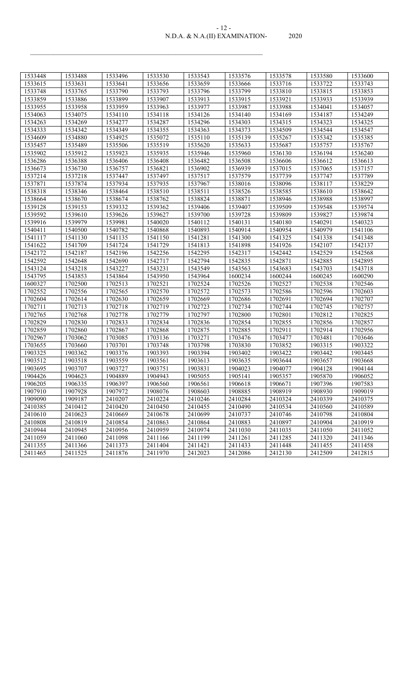#### N.D.A. & N.A.(II) EXAMINATION- 2020 - 12 -

| 1533448 | 1533488 | 1533496 | 1533530 | 1533543 | 1533576 | 1533578 | 1533580 | 1533600 |
|---------|---------|---------|---------|---------|---------|---------|---------|---------|
| 1533615 | 1533631 | 1533641 | 1533656 | 1533659 | 1533666 | 1533716 | 1533722 | 1533743 |
| 1533748 | 1533765 | 1533790 | 1533793 | 1533796 | 1533799 | 1533810 | 1533815 | 1533853 |
| 1533859 | 1533886 | 1533899 | 1533907 | 1533913 | 1533915 | 1533921 | 1533933 | 1533939 |
| 1533955 | 1533958 | 1533959 | 1533963 | 1533977 | 1533987 | 1533988 | 1534041 | 1534057 |
| 1534063 | 1534075 | 1534110 | 1534118 | 1534126 | 1534140 | 1534169 | 1534187 | 1534249 |
| 1534263 | 1534269 | 1534277 | 1534287 | 1534296 | 1534303 | 1534315 | 1534323 | 1534325 |
| 1534333 | 1534342 | 1534349 | 1534355 | 1534363 | 1534373 | 1534509 | 1534544 | 1534547 |
| 1534609 | 1534880 | 1534925 | 1535072 | 1535110 | 1535139 | 1535267 | 1535342 | 1535385 |
| 1535457 | 1535489 | 1535506 | 1535519 | 1535620 | 1535633 | 1535687 | 1535757 | 1535767 |
| 1535902 | 1535912 | 1535923 | 1535935 | 1535946 | 1535960 | 1536130 | 1536194 | 1536240 |
| 1536286 | 1536388 | 1536406 | 1536408 | 1536482 | 1536508 | 1536606 | 1536612 | 1536613 |
| 1536673 | 1536730 | 1536757 | 1536821 | 1536902 | 1536939 | 1537015 | 1537065 | 1537157 |
| 1537214 | 1537218 | 1537447 | 1537497 | 1537517 | 1537579 | 1537739 | 1537747 | 1537789 |
| 1537871 | 1537874 | 1537934 | 1537935 | 1537967 | 1538016 | 1538096 | 1538117 | 1538229 |
| 1538318 | 1538346 | 1538464 | 1538510 | 1538511 | 1538526 | 1538585 | 1538610 | 1538642 |
| 1538664 | 1538670 | 1538674 | 1538762 | 1538824 | 1538871 | 1538946 | 1538988 | 1538997 |
| 1539128 | 1539153 | 1539332 | 1539362 | 1539406 | 1539407 | 1539509 | 1539548 | 1539574 |
| 1539592 | 1539610 | 1539626 | 1539627 | 1539700 | 1539728 | 1539809 | 1539827 | 1539874 |
| 1539916 | 1539979 | 1539981 | 1540020 | 1540112 | 1540131 | 1540180 | 1540291 | 1540323 |
| 1540411 | 1540500 | 1540782 | 1540868 | 1540893 | 1540914 | 1540954 | 1540979 | 1541106 |
| 1541117 | 1541130 | 1541135 | 1541150 | 1541281 | 1541300 | 1541325 | 1541338 | 1541348 |
| 1541622 | 1541709 | 1541724 | 1541729 | 1541813 | 1541898 | 1541926 | 1542107 | 1542137 |
| 1542172 | 1542187 | 1542196 | 1542256 | 1542295 | 1542317 | 1542442 | 1542529 | 1542568 |
| 1542592 | 1542648 | 1542690 | 1542717 | 1542794 | 1542835 | 1542871 | 1542885 | 1542895 |
| 1543124 | 1543218 | 1543227 | 1543231 | 1543549 | 1543563 | 1543683 | 1543703 | 1543718 |
| 1543795 | 1543853 | 1543864 | 1543950 | 1543964 | 1600234 | 1600244 | 1600245 | 1600290 |
| 1600327 | 1702500 | 1702513 | 1702521 | 1702524 | 1702526 | 1702527 | 1702538 | 1702546 |
| 1702552 | 1702556 | 1702565 | 1702570 | 1702572 | 1702573 | 1702586 | 1702596 | 1702603 |
| 1702604 | 1702614 | 1702630 | 1702659 | 1702669 | 1702686 | 1702691 | 1702694 | 1702707 |
| 1702711 | 1702713 | 1702718 | 1702719 | 1702723 | 1702734 | 1702744 | 1702745 | 1702757 |
| 1702765 | 1702768 | 1702778 | 1702779 | 1702797 | 1702800 | 1702801 | 1702812 | 1702825 |
| 1702829 | 1702830 | 1702833 | 1702834 | 1702836 | 1702854 | 1702855 | 1702856 | 1702857 |
| 1702859 | 1702860 | 1702867 | 1702868 | 1702875 | 1702885 | 1702911 | 1702914 | 1702956 |
| 1702967 | 1703062 | 1703085 | 1703136 | 1703271 | 1703476 | 1703477 | 1703481 | 1703646 |
| 1703655 | 1703660 | 1703701 | 1703748 | 1703798 | 1703830 | 1703852 | 1903315 | 1903322 |
| 1903325 | 1903362 | 1903376 | 1903393 | 1903394 | 1903402 | 1903422 | 1903442 | 1903445 |
| 1903512 | 1903518 | 1903559 | 1903561 | 1903613 | 1903635 | 1903644 | 1903657 | 1903668 |
| 1903695 | 1903707 | 1903727 | 1903751 | 1903831 | 1904023 | 1904077 | 1904128 | 1904144 |
| 1904426 | 1904623 | 1904889 | 1904943 | 1905055 | 1905141 | 1905357 | 1905870 | 1906052 |
| 1906205 | 1906335 | 1906397 | 1906560 | 1906561 | 1906618 | 1906671 | 1907396 | 1907583 |
| 1907910 | 1907928 | 1907972 | 1908076 | 1908603 | 1908885 | 1908919 | 1908930 | 1909019 |
| 1909090 | 1909187 | 2410207 | 2410224 | 2410246 | 2410284 | 2410324 | 2410339 | 2410375 |
| 2410385 | 2410412 | 2410420 | 2410450 | 2410455 | 2410490 | 2410534 | 2410560 | 2410589 |
| 2410610 | 2410623 | 2410669 | 2410678 | 2410699 | 2410737 | 2410746 | 2410798 | 2410804 |
| 2410808 | 2410819 | 2410854 | 2410863 | 2410864 | 2410883 | 2410897 | 2410904 | 2410919 |
| 2410944 | 2410945 | 2410956 | 2410959 | 2410974 | 2411030 | 2411035 | 2411050 | 2411052 |
| 2411059 | 2411060 | 2411098 | 2411166 | 2411199 | 2411261 | 2411285 | 2411320 | 2411346 |
| 2411355 | 2411366 | 2411373 | 2411404 | 2411421 | 2411433 | 2411448 | 2411455 | 2411458 |
| 2411465 | 2411525 | 2411876 | 2411970 | 2412023 | 2412086 | 2412130 | 2412509 | 2412815 |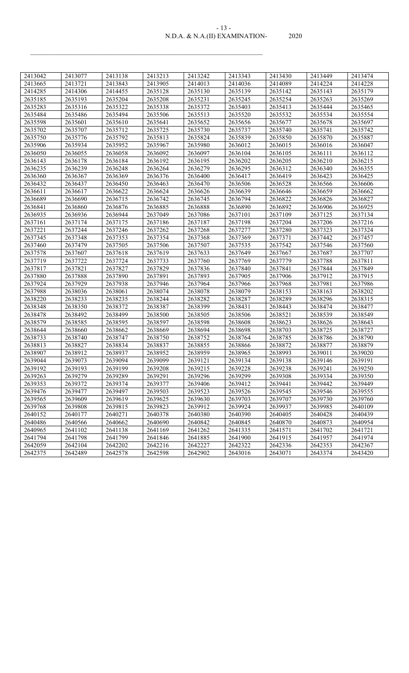#### N.D.A. & N.A.(II) EXAMINATION- 2020 - 13 -

| 2413042 | 2413077 | 2413138 | 2413213 | 2413242 | 2413343 | 2413430 | 2413449 | 2413474 |
|---------|---------|---------|---------|---------|---------|---------|---------|---------|
| 2413665 | 2413721 | 2413843 | 2413905 | 2414013 | 2414036 | 2414089 | 2414224 | 2414228 |
| 2414285 | 2414306 | 2414455 | 2635128 | 2635130 | 2635139 | 2635142 | 2635143 | 2635179 |
| 2635185 | 2635193 | 2635204 | 2635208 | 2635231 | 2635245 | 2635254 | 2635263 | 2635269 |
| 2635283 | 2635316 | 2635322 | 2635338 | 2635372 | 2635403 | 2635413 | 2635444 | 2635465 |
| 2635484 | 2635486 | 2635494 | 2635506 | 2635513 | 2635520 | 2635532 | 2635534 | 2635554 |
| 2635598 | 2635601 | 2635610 | 2635641 | 2635652 | 2635656 | 2635677 | 2635678 | 2635697 |
| 2635702 | 2635707 | 2635712 | 2635725 | 2635730 | 2635737 | 2635740 | 2635741 | 2635742 |
| 2635750 | 2635776 | 2635792 | 2635813 | 2635824 | 2635839 | 2635850 | 2635870 | 2635887 |
| 2635906 | 2635934 | 2635952 | 2635967 | 2635980 | 2636012 | 2636015 | 2636016 | 2636047 |
| 2636050 | 2636055 | 2636058 | 2636092 | 2636097 | 2636104 | 2636105 | 2636111 | 2636112 |
| 2636143 | 2636178 | 2636184 | 2636192 | 2636195 | 2636202 | 2636205 | 2636210 | 2636215 |
| 2636235 | 2636239 | 2636248 | 2636264 | 2636279 | 2636295 | 2636312 | 2636340 | 2636355 |
| 2636360 | 2636367 | 2636369 | 2636376 | 2636400 | 2636417 | 2636419 | 2636423 | 2636425 |
| 2636432 | 2636437 | 2636450 | 2636463 | 2636470 | 2636506 | 2636528 | 2636566 | 2636606 |
| 2636611 | 2636617 | 2636622 | 2636624 | 2636626 | 2636639 | 2636646 | 2636659 | 2636662 |
| 2636689 | 2636690 | 2636715 | 2636742 | 2636745 | 2636794 | 2636822 | 2636826 | 2636827 |
| 2636841 | 2636860 | 2636876 | 2636885 | 2636888 | 2636890 | 2636892 | 2636906 | 2636925 |
| 2636935 | 2636936 | 2636944 | 2637049 | 2637086 | 2637101 | 2637109 | 2637125 | 2637134 |
| 2637161 | 2637174 | 2637175 | 2637186 | 2637187 | 2637198 | 2637204 | 2637206 | 2637216 |
| 2637221 | 2637244 | 2637246 | 2637262 | 2637268 | 2637277 | 2637280 | 2637323 | 2637324 |
| 2637345 | 2637348 | 2637353 | 2637354 | 2637368 | 2637369 | 2637371 | 2637442 | 2637457 |
| 2637460 | 2637479 | 2637505 | 2637506 | 2637507 | 2637535 | 2637542 | 2637546 | 2637560 |
| 2637578 | 2637607 | 2637618 | 2637619 | 2637633 | 2637649 | 2637667 | 2637687 | 2637707 |
| 2637719 | 2637722 | 2637724 | 2637733 | 2637760 | 2637769 | 2637779 | 2637788 | 2637811 |
| 2637817 | 2637821 | 2637827 | 2637829 | 2637836 | 2637840 | 2637841 | 2637844 | 2637849 |
| 2637880 | 2637888 | 2637890 | 2637891 | 2637893 | 2637905 | 2637906 | 2637912 | 2637915 |
| 2637924 | 2637929 | 2637938 | 2637946 | 2637964 | 2637966 | 2637968 | 2637981 | 2637986 |
| 2637988 | 2638036 | 2638061 | 2638074 | 2638078 | 2638079 | 2638153 | 2638163 | 2638202 |
| 2638220 | 2638233 | 2638235 | 2638244 | 2638282 | 2638287 | 2638289 | 2638296 | 2638315 |
| 2638348 | 2638350 | 2638372 | 2638387 | 2638399 | 2638431 | 2638443 | 2638474 | 2638477 |
| 2638478 | 2638492 | 2638499 | 2638500 | 2638505 | 2638506 | 2638521 | 2638539 | 2638549 |
| 2638579 | 2638585 | 2638595 | 2638597 | 2638598 | 2638608 | 2638623 | 2638626 | 2638643 |
| 2638644 | 2638660 | 2638662 | 2638669 | 2638694 | 2638698 | 2638703 | 2638725 | 2638727 |
| 2638733 | 2638740 | 2638747 | 2638750 | 2638752 | 2638764 | 2638785 | 2638786 | 2638790 |
| 2638813 | 2638827 | 2638834 | 2638837 | 2638855 | 2638866 | 2638872 | 2638877 | 2638879 |
| 2638907 | 2638912 | 2638937 | 2638952 | 2638959 | 2638965 | 2638993 | 2639011 | 2639020 |
| 2639044 | 2639073 | 2639094 | 2639099 | 2639121 | 2639134 | 2639138 | 2639146 | 2639191 |
| 2639192 | 2639193 | 2639199 | 2639208 | 2639215 | 2639228 | 2639238 | 2639241 | 2639250 |
| 2639263 | 2639279 | 2639289 | 2639291 | 2639296 | 2639299 | 2639308 | 2639334 | 2639350 |
| 2639353 | 2639372 | 2639374 | 2639377 | 2639406 | 2639412 | 2639441 | 2639442 | 2639449 |
| 2639476 | 2639477 | 2639497 | 2639503 | 2639523 | 2639526 | 2639545 | 2639546 | 2639555 |
| 2639565 | 2639609 | 2639619 | 2639625 | 2639630 | 2639703 | 2639707 | 2639730 | 2639760 |
| 2639768 | 2639808 | 2639815 | 2639823 | 2639912 | 2639924 | 2639937 | 2639985 | 2640109 |
| 2640152 | 2640177 | 2640271 | 2640378 | 2640380 | 2640390 | 2640405 | 2640428 | 2640439 |
| 2640486 | 2640566 | 2640662 | 2640690 | 2640842 | 2640845 | 2640870 | 2640873 | 2640954 |
| 2640965 | 2641102 | 2641138 | 2641169 | 2641262 | 2641335 | 2641571 | 2641702 | 2641721 |
| 2641794 | 2641798 | 2641799 | 2641846 | 2641885 | 2641900 | 2641915 | 2641957 | 2641974 |
| 2642059 | 2642104 | 2642202 | 2642216 | 2642227 | 2642322 | 2642336 | 2642353 | 2642367 |
| 2642375 | 2642489 | 2642578 | 2642598 | 2642902 | 2643016 | 2643071 | 2643374 | 2643420 |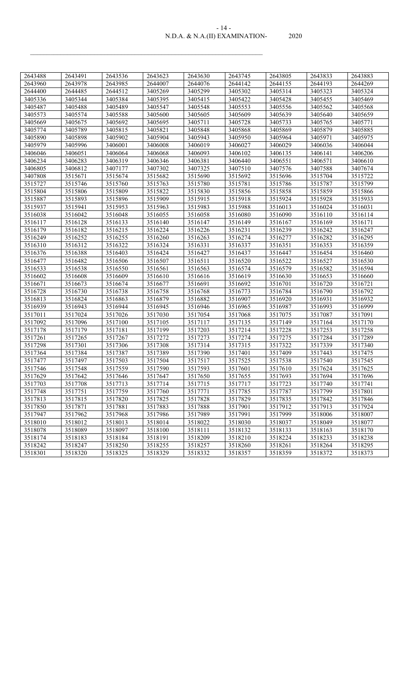#### N.D.A. & N.A.(II) EXAMINATION- 2020 - 14 -

| 2643488 | 2643491 | 2643536 | 2643623 | 2643630 | 2643745 | 2643805 | 2643833 | 2643883 |
|---------|---------|---------|---------|---------|---------|---------|---------|---------|
| 2643960 | 2643978 | 2643985 | 2644007 | 2644076 | 2644142 | 2644155 | 2644193 | 2644269 |
| 2644400 | 2644485 | 2644512 | 3405269 | 3405299 | 3405302 | 3405314 | 3405323 | 3405324 |
| 3405336 | 3405344 | 3405384 | 3405395 | 3405415 | 3405422 | 3405428 | 3405455 | 3405469 |
| 3405487 | 3405488 | 3405489 | 3405547 | 3405548 | 3405553 | 3405556 | 3405562 | 3405568 |
| 3405573 | 3405574 | 3405588 | 3405600 | 3405605 | 3405609 | 3405639 | 3405640 | 3405659 |
| 3405669 | 3405675 | 3405692 | 3405695 | 3405711 | 3405728 | 3405733 | 3405765 | 3405771 |
| 3405774 | 3405789 | 3405815 | 3405821 | 3405848 | 3405868 | 3405869 | 3405879 | 3405885 |
| 3405890 | 3405898 | 3405902 | 3405904 | 3405943 | 3405950 | 3405964 | 3405971 | 3405975 |
| 3405979 | 3405996 | 3406001 | 3406008 | 3406019 | 3406027 | 3406029 | 3406036 | 3406044 |
| 3406046 | 3406051 | 3406064 | 3406068 | 3406093 | 3406102 | 3406135 | 3406141 | 3406206 |
| 3406234 | 3406283 | 3406319 | 3406346 | 3406381 | 3406440 | 3406551 | 3406571 | 3406610 |
| 3406805 | 3406812 | 3407177 | 3407302 | 3407325 | 3407510 | 3407576 | 3407588 | 3407674 |
| 3407808 | 3515671 | 3515674 | 3515682 | 3515690 | 3515692 | 3515696 | 3515704 | 3515722 |
| 3515727 | 3515746 | 3515760 | 3515763 | 3515780 | 3515781 | 3515786 | 3515787 | 3515799 |
| 3515804 | 3515806 | 3515809 | 3515822 | 3515830 | 3515856 | 3515858 | 3515859 | 3515866 |
| 3515887 | 3515893 | 3515896 | 3515909 | 3515915 | 3515918 | 3515924 | 3515928 | 3515933 |
| 3515937 | 3515941 | 3515953 | 3515963 | 3515983 | 3515988 | 3516013 | 3516024 | 3516031 |
| 3516038 | 3516042 | 3516048 | 3516055 | 3516058 | 3516080 | 3516090 | 3516110 | 3516114 |
| 3516117 | 3516128 | 3516133 | 3516140 | 3516147 | 3516149 | 3516167 | 3516169 | 3516171 |
| 3516179 | 3516182 | 3516215 | 3516224 | 3516226 | 3516231 | 3516239 | 3516242 | 3516247 |
| 3516249 | 3516252 | 3516255 | 3516260 | 3516263 | 3516274 | 3516277 | 3516282 | 3516295 |
| 3516310 | 3516312 | 3516322 | 3516324 | 3516331 | 3516337 | 3516351 | 3516353 | 3516359 |
| 3516376 | 3516388 | 3516403 | 3516424 | 3516427 | 3516437 | 3516447 | 3516454 | 3516460 |
| 3516477 | 3516482 | 3516506 | 3516507 | 3516511 | 3516520 | 3516522 | 3516527 | 3516530 |
| 3516533 | 3516538 | 3516550 | 3516561 | 3516563 | 3516574 | 3516579 | 3516582 | 3516594 |
| 3516602 | 3516608 | 3516609 | 3516610 | 3516616 | 3516619 | 3516630 | 3516653 | 3516660 |
| 3516671 | 3516673 | 3516674 | 3516677 | 3516691 | 3516692 | 3516701 | 3516720 | 3516721 |
| 3516728 | 3516730 | 3516738 | 3516758 | 3516768 | 3516773 | 3516784 | 3516790 | 3516792 |
| 3516813 | 3516824 | 3516863 | 3516879 | 3516882 | 3516907 | 3516920 | 3516931 | 3516932 |
| 3516939 | 3516943 | 3516944 | 3516945 | 3516946 | 3516965 | 3516987 | 3516993 | 3516999 |
| 3517011 | 3517024 | 3517026 | 3517030 | 3517054 | 3517068 | 3517075 | 3517087 | 3517091 |
| 3517092 | 3517096 | 3517100 | 3517105 | 3517117 | 3517135 | 3517149 | 3517164 | 3517170 |
| 3517178 | 3517179 | 3517181 | 3517199 | 3517203 | 3517214 | 3517228 | 3517253 | 3517258 |
| 3517261 | 3517265 | 3517267 | 3517272 | 3517273 | 3517274 | 3517275 | 3517284 | 3517289 |
| 3517298 | 3517301 | 3517306 | 3517308 | 3517314 | 3517315 | 3517322 | 3517339 | 3517340 |
| 3517364 | 3517384 | 3517387 | 3517389 | 3517390 | 3517401 | 3517409 | 3517443 | 3517475 |
| 3517477 | 3517497 | 3517503 | 3517504 | 3517517 | 3517525 | 3517538 | 3517540 | 3517545 |
| 3517546 | 3517548 | 3517559 | 3517590 | 3517593 | 3517601 | 3517610 | 3517624 | 3517625 |
| 3517629 | 3517642 | 3517646 | 3517647 | 3517650 | 3517655 | 3517693 | 3517694 | 3517696 |
| 3517703 | 3517708 | 3517713 | 3517714 | 3517715 | 3517717 | 3517723 | 3517740 | 3517741 |
| 3517748 | 3517751 | 3517759 | 3517760 | 3517771 | 3517785 | 3517787 | 3517799 | 3517801 |
| 3517813 | 3517815 | 3517820 | 3517825 | 3517828 | 3517829 | 3517835 | 3517842 | 3517846 |
| 3517850 | 3517871 | 3517881 | 3517883 | 3517888 | 3517901 | 3517912 | 3517913 | 3517924 |
| 3517947 | 3517962 | 3517968 | 3517986 | 3517989 | 3517991 | 3517999 | 3518006 | 3518007 |
| 3518010 | 3518012 | 3518013 | 3518014 | 3518022 | 3518030 | 3518037 | 3518049 | 3518077 |
| 3518078 | 3518089 | 3518097 | 3518100 | 3518111 | 3518132 | 3518133 | 3518163 | 3518170 |
| 3518174 | 3518183 | 3518184 | 3518191 | 3518209 | 3518210 | 3518224 | 3518233 | 3518238 |
| 3518242 | 3518247 | 3518250 | 3518255 | 3518257 | 3518260 | 3518261 | 3518264 | 3518295 |
| 3518301 | 3518320 | 3518325 | 3518329 | 3518332 | 3518357 | 3518359 | 3518372 | 3518373 |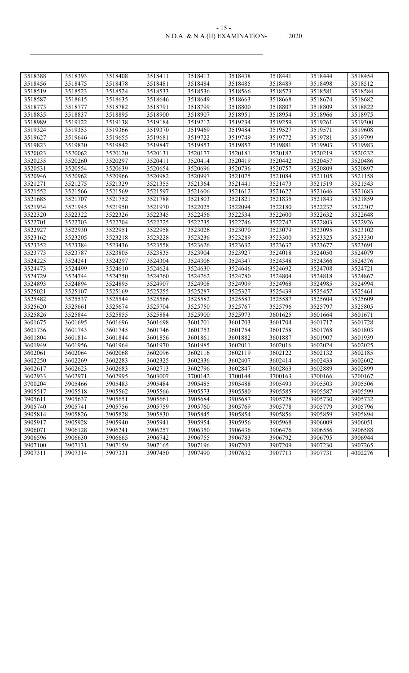| 3518388 | 3518393 | 3518408 | 3518411 | 3518413 | 3518438 | 3518441 | 3518444 | 3518454 |
|---------|---------|---------|---------|---------|---------|---------|---------|---------|
| 3518456 | 3518475 | 3518478 | 3518481 | 3518484 | 3518485 | 3518489 | 3518498 | 3518512 |
| 3518519 | 3518523 | 3518524 | 3518533 | 3518536 | 3518566 | 3518573 | 3518581 | 3518584 |
| 3518587 | 3518615 | 3518635 | 3518646 | 3518649 | 3518663 | 3518668 | 3518674 | 3518682 |
| 3518773 | 3518777 | 3518782 | 3518791 | 3518799 | 3518800 | 3518807 | 3518809 | 3518822 |
| 3518835 | 3518837 | 3518895 | 3518900 | 3518907 | 3518951 | 3518954 | 3518966 | 3518975 |
| 3518989 | 3519122 | 3519138 | 3519184 | 3519212 | 3519234 | 3519259 | 3519261 | 3519300 |
| 3519324 | 3519353 | 3519366 | 3519370 | 3519469 | 3519484 | 3519527 | 3519571 | 3519608 |
| 3519627 | 3519646 | 3519655 | 3519681 | 3519722 | 3519749 | 3519772 | 3519781 | 3519799 |
| 3519823 | 3519830 | 3519842 | 3519847 | 3519853 | 3519857 | 3519881 | 3519903 | 3519983 |
| 3520023 | 3520062 | 3520120 | 3520131 | 3520177 | 3520181 | 3520182 | 3520219 | 3520232 |
| 3520235 | 3520260 | 3520297 | 3520411 | 3520414 | 3520419 | 3520442 | 3520457 | 3520486 |
| 3520531 | 3520554 | 3520639 | 3520654 | 3520696 | 3520736 | 3520757 | 3520809 | 3520897 |
| 3520946 | 3520962 | 3520966 | 3520982 | 3520997 | 3521075 | 3521084 | 3521105 | 3521158 |
| 3521271 | 3521275 | 3521329 | 3521355 | 3521364 | 3521441 | 3521473 | 3521519 | 3521543 |
| 3521552 | 3521566 | 3521569 | 3521597 | 3521606 | 3521612 | 3521622 | 3521646 | 3521683 |
| 3521685 | 3521707 | 3521752 | 3521788 | 3521803 | 3521821 | 3521835 | 3521843 | 3521859 |
| 3521934 | 3521945 | 3521950 | 3521970 | 3522025 | 3522094 | 3522180 | 3522237 | 3522307 |
| 3522320 | 3522322 | 3522326 | 3522345 | 3522456 | 3522534 | 3522600 | 3522632 | 3522648 |
| 3522701 | 3522703 | 3522704 | 3522725 | 3522735 | 3522746 | 3522747 | 3522803 | 3522926 |
| 3522927 | 3522930 | 3522951 | 3522958 | 3523026 | 3523070 | 3523079 | 3523095 | 3523102 |
| 3523162 | 3523205 | 3523218 | 3523228 | 3523236 | 3523289 | 3523300 | 3523325 | 3523330 |
| 3523352 | 3523384 | 3523436 | 3523558 | 3523626 | 3523632 | 3523637 | 3523677 | 3523691 |
| 3523773 | 3523787 | 3523805 | 3523835 | 3523904 | 3523927 | 3524018 | 3524050 | 3524079 |
| 3524225 | 3524241 | 3524297 | 3524304 | 3524306 | 3524347 | 3524348 | 3524366 | 3524376 |
| 3524473 | 3524499 | 3524610 | 3524624 | 3524630 | 3524646 | 3524692 | 3524708 | 3524721 |
| 3524729 | 3524744 | 3524750 | 3524760 | 3524762 | 3524780 | 3524804 | 3524818 | 3524867 |
| 3524893 | 3524894 | 3524895 | 3524907 | 3524908 | 3524909 | 3524968 | 3524985 | 3524994 |
| 3525021 | 3525107 | 3525169 | 3525255 | 3525287 | 3525327 | 3525439 | 3525457 | 3525461 |
| 3525482 | 3525537 | 3525544 | 3525566 | 3525582 | 3525583 | 3525587 | 3525604 | 3525609 |
| 3525620 | 3525661 | 3525674 | 3525704 | 3525750 | 3525767 | 3525796 | 3525797 | 3525805 |
| 3525826 | 3525844 | 3525855 | 3525884 | 3525900 | 3525973 | 3601625 | 3601664 | 3601671 |
| 3601675 | 3601695 | 3601696 | 3601698 | 3601701 | 3601703 | 3601704 | 3601717 | 3601728 |
| 3601736 | 3601743 | 3601745 | 3601746 | 3601753 | 3601754 | 3601758 | 3601768 | 3601803 |
| 3601804 | 3601814 | 3601844 | 3601856 | 3601861 | 3601882 | 3601887 | 3601907 | 3601939 |
| 3601949 | 3601956 | 3601964 | 3601970 | 3601985 | 3602011 | 3602016 | 3602024 | 3602025 |
| 3602061 | 3602064 | 3602068 | 3602096 | 3602116 | 3602119 | 3602122 | 3602132 | 3602185 |
| 3602250 | 3602269 | 3602283 | 3602325 | 3602336 | 3602407 | 3602414 | 3602433 | 3602602 |
| 3602617 | 3602623 | 3602683 | 3602713 | 3602796 | 3602847 | 3602863 | 3602889 | 3602899 |
| 3602933 | 3602971 | 3602995 | 3603007 | 3700142 | 3700144 | 3700163 | 3700166 | 3700167 |
| 3700204 | 3905466 | 3905483 | 3905484 | 3905485 | 3905488 | 3905493 | 3905503 | 3905506 |
| 3905517 | 3905518 | 3905562 | 3905566 | 3905573 | 3905580 | 3905585 | 3905587 | 3905599 |
| 3905611 | 3905637 | 3905651 | 3905661 | 3905684 | 3905687 | 3905728 | 3905730 | 3905732 |
| 3905740 | 3905741 | 3905756 | 3905759 | 3905760 | 3905769 | 3905778 | 3905779 | 3905796 |
| 3905814 | 3905826 | 3905828 | 3905830 | 3905845 | 3905854 | 3905856 | 3905859 | 3905894 |
| 3905917 | 3905928 | 3905940 | 3905941 | 3905954 | 3905956 | 3905968 | 3906009 | 3906051 |
| 3906071 | 3906128 | 3906241 | 3906257 | 3906350 | 3906436 | 3906476 | 3906556 | 3906588 |
| 3906596 | 3906630 | 3906665 | 3906742 | 3906755 | 3906783 | 3906792 | 3906795 | 3906944 |
| 3907100 | 3907131 | 3907159 | 3907165 | 3907196 | 3907203 | 3907209 | 3907230 | 3907265 |
| 3907311 | 3907314 | 3907331 | 3907450 | 3907490 | 3907632 | 3907713 | 3907731 | 4002276 |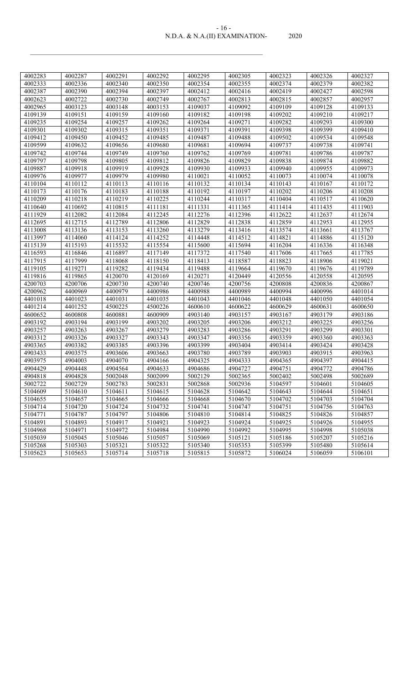#### N.D.A. & N.A.(II) EXAMINATION- 2020 - 16 -

| 4002283 | 4002287 | 4002291 | 4002292 | 4002295 | 4002305 | 4002323 | 4002326 | 4002327 |
|---------|---------|---------|---------|---------|---------|---------|---------|---------|
| 4002333 | 4002336 | 4002340 | 4002350 | 4002354 | 4002355 | 4002374 | 4002379 | 4002382 |
| 4002387 | 4002390 | 4002394 | 4002397 | 4002412 | 4002416 | 4002419 | 4002427 | 4002598 |
| 4002623 | 4002722 | 4002730 | 4002749 | 4002767 | 4002813 | 4002815 | 4002857 | 4002957 |
| 4002965 | 4003123 | 4003148 | 4003153 | 4109037 | 4109092 | 4109109 | 4109128 | 4109133 |
| 4109139 | 4109151 | 4109159 | 4109160 | 4109182 | 4109198 | 4109202 | 4109210 | 4109217 |
| 4109235 | 4109254 | 4109257 | 4109262 | 4109264 | 4109271 | 4109282 | 4109293 | 4109300 |
| 4109301 | 4109302 | 4109315 | 4109351 | 4109371 | 4109391 | 4109398 | 4109399 | 4109410 |
| 4109412 | 4109450 | 4109452 | 4109485 | 4109487 | 4109488 | 4109502 | 4109534 | 4109548 |
| 4109599 | 4109632 | 4109656 | 4109680 | 4109681 | 4109694 | 4109737 | 4109738 | 4109741 |
| 4109742 | 4109744 | 4109749 | 4109760 | 4109762 | 4109769 | 4109781 | 4109786 | 4109787 |
| 4109797 | 4109798 | 4109805 | 4109812 | 4109826 | 4109829 | 4109838 | 4109874 | 4109882 |
| 4109887 | 4109918 | 4109919 | 4109928 | 4109930 | 4109933 | 4109940 | 4109955 | 4109973 |
| 4109976 | 4109977 | 4109979 | 4109980 | 4110021 | 4110052 | 4110073 | 4110074 | 4110078 |
| 4110104 | 4110112 | 4110113 | 4110116 | 4110132 | 4110134 | 4110143 | 4110167 | 4110172 |
| 4110173 | 4110176 | 4110183 | 4110188 | 4110192 | 4110197 | 4110202 | 4110206 | 4110208 |
| 4110209 | 4110218 | 4110219 | 4110225 | 4110244 | 4110317 | 4110404 | 4110517 | 4110620 |
| 4110640 | 4110692 | 4110815 | 4111181 | 4111331 | 4111365 | 4111414 | 4111435 | 4111903 |
| 4111929 | 4112082 | 4112084 | 4112245 | 4112276 | 4112396 | 4112622 | 4112637 | 4112674 |
| 4112695 | 4112715 | 4112789 | 4112806 | 4112829 | 4112838 | 4112859 | 4112953 | 4112955 |
| 4113008 | 4113136 | 4113153 | 4113260 | 4113279 | 4113416 | 4113574 | 4113661 | 4113767 |
| 4113997 | 4114060 | 4114124 | 4114252 | 4114448 | 4114512 | 4114821 | 4114886 | 4115120 |
| 4115139 | 4115193 | 4115532 | 4115554 | 4115600 | 4115694 | 4116204 | 4116336 | 4116348 |
| 4116593 | 4116846 | 4116897 | 4117149 | 4117372 | 4117540 | 4117606 | 4117665 | 4117785 |
| 4117915 | 4117999 | 4118068 | 4118150 | 4118413 | 4118587 | 4118823 | 4118906 | 4119021 |
| 4119105 | 4119271 | 4119282 | 4119434 | 4119488 | 4119664 | 4119670 | 4119676 | 4119789 |
| 4119816 | 4119865 | 4120070 | 4120169 | 4120271 | 4120449 | 4120556 | 4120558 | 4120595 |
| 4200703 | 4200706 | 4200730 | 4200740 | 4200746 | 4200756 | 4200808 | 4200836 | 4200867 |
| 4200962 | 4400969 | 4400979 | 4400986 | 4400988 | 4400989 | 4400994 | 4400996 | 4401014 |
| 4401018 | 4401023 | 4401031 | 4401035 | 4401043 | 4401046 | 4401048 | 4401050 | 4401054 |
| 4401214 | 4401252 | 4500225 | 4500226 | 4600610 | 4600622 | 4600629 | 4600631 | 4600650 |
| 4600652 | 4600808 | 4600881 | 4600909 | 4903140 | 4903157 | 4903167 | 4903179 | 4903186 |
| 4903192 | 4903194 | 4903199 | 4903202 | 4903205 | 4903206 | 4903212 | 4903225 | 4903256 |
| 4903257 | 4903263 | 4903267 | 4903279 | 4903283 | 4903286 | 4903291 | 4903299 | 4903301 |
| 4903312 | 4903326 | 4903327 | 4903343 | 4903347 | 4903356 | 4903359 | 4903360 | 4903363 |
| 4903365 | 4903382 | 4903385 | 4903396 | 4903399 | 4903404 | 4903414 | 4903424 | 4903428 |
| 4903433 | 4903575 | 4903606 | 4903663 | 4903780 | 4903789 | 4903903 | 4903915 | 4903963 |
| 4903975 | 4904003 | 4904070 | 4904166 | 4904325 | 4904333 | 4904365 | 4904397 | 4904415 |
| 4904429 | 4904448 | 4904564 | 4904633 | 4904686 | 4904727 | 4904751 | 4904772 | 4904786 |
| 4904818 | 4904828 | 5002048 | 5002099 | 5002129 | 5002365 | 5002402 | 5002498 | 5002689 |
| 5002722 | 5002729 | 5002783 | 5002831 | 5002868 | 5002936 | 5104597 | 5104601 | 5104605 |
| 5104609 | 5104610 | 5104611 | 5104615 | 5104628 | 5104642 | 5104643 | 5104644 | 5104651 |
| 5104655 | 5104657 | 5104665 | 5104666 | 5104668 | 5104670 | 5104702 | 5104703 | 5104704 |
| 5104714 | 5104720 | 5104724 | 5104732 | 5104741 | 5104747 | 5104751 | 5104756 | 5104763 |
| 5104771 | 5104787 | 5104797 | 5104806 | 5104810 | 5104814 | 5104825 | 5104826 | 5104857 |
| 5104891 | 5104893 | 5104917 | 5104921 | 5104923 | 5104924 | 5104925 | 5104926 | 5104955 |
| 5104968 | 5104971 | 5104972 | 5104984 | 5104990 | 5104992 | 5104995 | 5104998 | 5105038 |
| 5105039 | 5105045 | 5105046 | 5105057 | 5105069 | 5105121 | 5105186 | 5105207 | 5105216 |
| 5105268 | 5105303 | 5105321 | 5105322 | 5105340 | 5105353 | 5105399 | 5105480 | 5105614 |
| 5105623 | 5105653 | 5105714 | 5105718 | 5105815 | 5105872 | 5106024 | 5106059 | 5106101 |